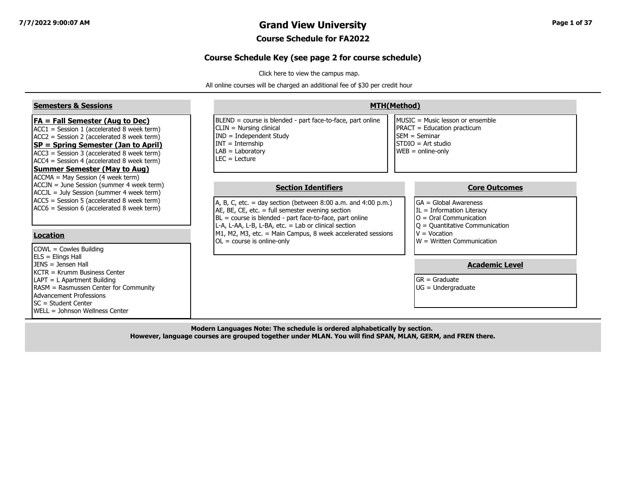#### **7/7/2022 9:00:07 AM Grand View University Page 1 of 37**

#### **Course Schedule for FA2022**

#### **Course Schedule Key (see page 2 for course schedule)**

[Click here to view the campus map.](https://www.grandview.edu/filesimages/PDF/AboutGV/CampusDirections/gv_campus_map.pdf)

All online courses will be charged an additional fee of \$30 per credit hour

| <b>Semesters &amp; Sessions</b>                                                                                                                                                                                                                                                                               |                                                                                                                                                                                                                                                                                                                                           | <b>MTH(Method)</b>                                                                                                                                             |
|---------------------------------------------------------------------------------------------------------------------------------------------------------------------------------------------------------------------------------------------------------------------------------------------------------------|-------------------------------------------------------------------------------------------------------------------------------------------------------------------------------------------------------------------------------------------------------------------------------------------------------------------------------------------|----------------------------------------------------------------------------------------------------------------------------------------------------------------|
| $FA = Fall Semester (Aug to Dec)$<br>$ACC1 = Session 1 (accelerated 8 week term)$<br>$ACC2 = Session 2 (accelerated 8 week term)$<br>SP = Spring Semester (Jan to April)<br>ACC3 = Session 3 (accelerated 8 week term)<br>$ACC4 = Session 4$ (accelerated 8 week term)<br><b>Summer Semester (May to Aug)</b> | BLEND = course is blended - part face-to-face, part online<br>$CLIN = Nursing clinical$<br>$IND = Independent Study$<br>$INT = Internship$<br>$LAB = Laboratory$<br>$LEC = Leture$                                                                                                                                                        | MUSIC = Music lesson or ensemble<br><b>PRACT</b> = Education practicum<br><b>ISEM</b> = Seminar<br>$ISTDIO = Art studio$<br>$WEB = online-only$                |
| ACCMA = May Session (4 week term)<br>ACCJN = June Session (summer 4 week term)<br>ACCJL = July Session (summer 4 week term)<br>$ACC5$ = Session 5 (accelerated 8 week term)<br>ACC6 = Session 6 (accelerated 8 week term)<br><b>Location</b>                                                                  | <b>Section Identifiers</b><br>A, B, C, etc. = day section (between $8:00$ a.m. and $4:00$ p.m.)<br>AE, BE, CE, etc. $=$ full semester evening section<br>$BL = course$ is blended - part face-to-face, part online<br>L-A, L-AA, L-B, L-BA, etc. = Lab or clinical section<br>M1, M2, M3, etc. = Main Campus, 8 week accelerated sessions | <b>Core Outcomes</b><br>$GA = Global Awards$<br>$IL = Information Literary$<br>$O =$ Oral Communication<br>$ Q =$ Quantitative Communication<br>$V = Vocation$ |
| $COWL = Cowles Building$<br>ELS = Elings Hall<br>$JENS = Jensen Hall$<br>KCTR = Krumm Business Center<br>LAPT = L Apartment Building<br>RASM = Rasmussen Center for Community<br><b>Advancement Professions</b>                                                                                               | $OL = course$ is online-only                                                                                                                                                                                                                                                                                                              | $\mathsf{I}\mathsf{W}$ = Written Communication<br><b>Academic Level</b><br>$GR = Graduate$<br>$UG = Undergraduate$                                             |
| SC = Student Center<br>WELL = Johnson Wellness Center                                                                                                                                                                                                                                                         |                                                                                                                                                                                                                                                                                                                                           |                                                                                                                                                                |

**Modern Languages Note: The schedule is ordered alphabetically by section. However, language courses are grouped together under MLAN. You will find SPAN, MLAN, GERM, and FREN there.**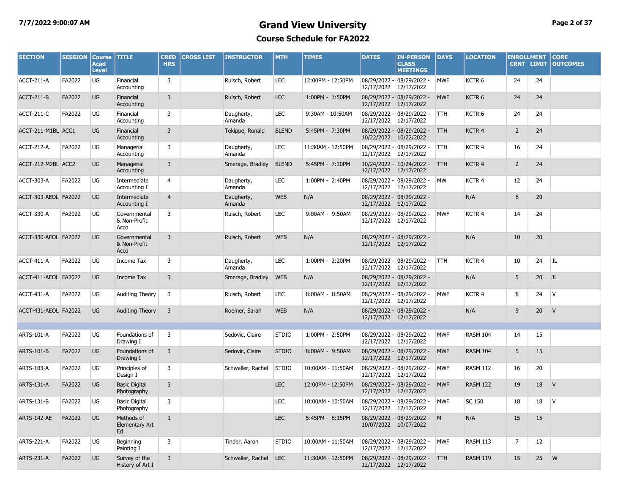#### **7/7/2022 9:00:07 AM Grand View University Page 2 of 37 Course Schedule for FA2022**

| <b>SECTION</b>       | <b>SESSION</b> | <b>Course</b><br><b>Acad</b><br><b>Level</b> | <b>TITLE</b>                              | <b>CRED</b><br><b>HRS</b> | <b>CROSS LIST</b> | <b>INSTRUCTOR</b>     | <b>MTH</b>   | <b>TIMES</b>      | <b>DATES</b>          | <b>IN-PERSON</b><br><b>CLASS</b><br><b>MEETINGS</b>    | DAYS       | <b>LOCATION</b>   | <b>ENROLLMENT</b><br><b>CRNT LIMIT</b> |                 | <b>CORE</b><br><b>OUTCOMES</b> |
|----------------------|----------------|----------------------------------------------|-------------------------------------------|---------------------------|-------------------|-----------------------|--------------|-------------------|-----------------------|--------------------------------------------------------|------------|-------------------|----------------------------------------|-----------------|--------------------------------|
| ACCT-211-A           | FA2022         | UG                                           | Financial<br>Accounting                   | 3                         |                   | Ruisch, Robert        | <b>LEC</b>   | 12:00PM - 12:50PM | 12/17/2022            | 08/29/2022 - 08/29/2022 -<br>12/17/2022                | MWF        | KCTR <sub>6</sub> | 24                                     | 24              |                                |
| ACCT-211-B           | FA2022         | <b>UG</b>                                    | Financial<br>Accounting                   | 3                         |                   | Ruisch, Robert        | <b>LEC</b>   | 1:00PM - 1:50PM   | 12/17/2022            | 08/29/2022 - 08/29/2022 -<br>12/17/2022                | <b>MWF</b> | KCTR <sub>6</sub> | 24                                     | 24              |                                |
| ACCT-211-C           | FA2022         | UG                                           | Financial<br>Accounting                   | 3                         |                   | Daugherty,<br>Amanda  | <b>LEC</b>   | 9:30AM - 10:50AM  | 12/17/2022            | 08/29/2022 - 08/29/2022 -<br>12/17/2022                | <b>TTH</b> | KCTR <sub>6</sub> | 24                                     | 24              |                                |
| ACCT-211-M1BL ACC1   |                | <b>UG</b>                                    | Financial<br>Accounting                   | 3                         |                   | Tekippe, Ronald       | <b>BLEND</b> | 5:45PM - 7:30PM   | 10/22/2022            | 08/29/2022 - 08/29/2022 -<br>10/22/2022                | <b>TTH</b> | KCTR 4            | $\overline{2}$                         | 24              |                                |
| ACCT-212-A           | FA2022         | UG                                           | Managerial<br>Accounting                  | 3                         |                   | Daugherty,<br>Amanda  | LEC          | 11:30AM - 12:50PM | 12/17/2022            | 08/29/2022 - 08/29/2022 -<br>12/17/2022                | <b>TTH</b> | KCTR 4            | 16                                     | 24              |                                |
| ACCT-212-M2BL ACC2   |                | <b>UG</b>                                    | Managerial<br>Accounting                  | 3                         |                   | Smerage, Bradley      | <b>BLEND</b> | 5:45PM - 7:30PM   | 12/17/2022            | 10/24/2022 - 10/24/2022 -<br>12/17/2022                | <b>TTH</b> | KCTR 4            | $\overline{2}$                         | 24              |                                |
| ACCT-303-A           | FA2022         | UG                                           | Intermediate<br>Accounting I              | 4                         |                   | Daugherty,<br>Amanda  | <b>LEC</b>   | 1:00PM - 2:40PM   | 12/17/2022            | 08/29/2022 - 08/29/2022 -<br>12/17/2022                | <b>MW</b>  | KCTR 4            | 12                                     | 24              |                                |
| ACCT-303-AEOL FA2022 |                | <b>UG</b>                                    | Intermediate<br>Accounting I              | $\overline{4}$            |                   | Daugherty,<br>Amanda  | <b>WEB</b>   | N/A               | 12/17/2022            | 08/29/2022 - 08/29/2022 -<br>12/17/2022                |            | N/A               | 6                                      | 20              |                                |
| ACCT-330-A           | FA2022         | UG                                           | Governmental<br>& Non-Profit<br>Acco      | 3                         |                   | Ruisch, Robert        | <b>LEC</b>   | 9:00AM - 9:50AM   | 12/17/2022            | 08/29/2022 - 08/29/2022 -<br>12/17/2022                | <b>MWF</b> | KCTR 4            | 14                                     | 24              |                                |
| ACCT-330-AEOL FA2022 |                | <b>UG</b>                                    | Governmental<br>& Non-Profit<br>Acco      | 3                         |                   | Ruisch, Robert        | <b>WEB</b>   | N/A               |                       | 08/29/2022 - 08/29/2022 -<br>12/17/2022 12/17/2022     |            | N/A               | 10                                     | 20              |                                |
| <b>ACCT-411-A</b>    | FA2022         | UG                                           | Income Tax                                | 3                         |                   | Daugherty,<br>Amanda  | <b>LEC</b>   | 1:00PM - 2:20PM   | 12/17/2022            | 08/29/2022 - 08/29/2022 -<br>12/17/2022                | <b>TTH</b> | KCTR 4            | 10                                     | 24              | ΙL                             |
| ACCT-411-AEOL FA2022 |                | <b>UG</b>                                    | Income Tax                                | 3                         |                   | Smerage, Bradley      | <b>WEB</b>   | N/A               | 12/17/2022            | 08/29/2022 - 08/29/2022 -<br>12/17/2022                |            | N/A               | 5                                      | 20 <sub>2</sub> | IL                             |
| ACCT-431-A           | FA2022         | UG                                           | <b>Auditing Theory</b>                    | 3                         |                   | Ruisch, Robert        | <b>LEC</b>   | 8:00AM - 8:50AM   | 12/17/2022            | 08/29/2022 - 08/29/2022 -<br>12/17/2022                | MWF        | KCTR 4            | 8                                      | 24              | IV.                            |
| ACCT-431-AEOL FA2022 |                | <b>UG</b>                                    | <b>Auditing Theory</b>                    | 3                         |                   | Roemer, Sarah         | <b>WEB</b>   | N/A               |                       | 08/29/2022 - 08/29/2022 -<br>12/17/2022 12/17/2022     |            | N/A               | 9                                      | 20              | V                              |
| ARTS-101-A           | FA2022         | UG                                           | Foundations of                            | 3                         |                   | Sedovic, Claire       | <b>STDIO</b> | 1:00PM - 2:50PM   |                       | 08/29/2022 - 08/29/2022 -                              | <b>MWF</b> | <b>RASM 104</b>   | 14                                     | 15              |                                |
|                      |                |                                              | Drawing I                                 |                           |                   |                       |              |                   | 12/17/2022            | 12/17/2022                                             |            |                   |                                        |                 |                                |
| ARTS-101-B           | FA2022         | UG                                           | Foundations of<br>Drawing I               | 3                         |                   | Sedovic, Claire       | <b>STDIO</b> | 8:00AM - 9:50AM   | 12/17/2022            | 08/29/2022 - 08/29/2022 -<br>12/17/2022                | <b>MWF</b> | <b>RASM 104</b>   | 5                                      | 15              |                                |
| ARTS-103-A           | FA2022         | UG                                           | Principles of<br>Design I                 | 3                         |                   | Schwaller, Rachel     | <b>STDIO</b> | 10:00AM - 11:50AM | 12/17/2022            | 08/29/2022 - 08/29/2022 -<br>12/17/2022                | <b>MWF</b> | <b>RASM 112</b>   | 16                                     | 20              |                                |
| ARTS-131-A           | FA2022         | UG                                           | <b>Basic Digital</b><br>Photography       | 3                         |                   |                       | <b>LEC</b>   | 12:00PM - 12:50PM | 12/17/2022            | 08/29/2022 - 08/29/2022 -<br>12/17/2022                | <b>MWF</b> | <b>RASM 122</b>   | 19                                     | 18              | V                              |
| ARTS-131-B           | FA2022         | UG                                           | <b>Basic Digital</b><br>Photography       | 3                         |                   |                       | <b>LEC</b>   | 10:00AM - 10:50AM | 12/17/2022 12/17/2022 | 08/29/2022 - 08/29/2022 -                              | <b>MWF</b> | SC 150            | 18                                     | 18              | <b>V</b>                       |
| ARTS-142-AE          | FA2022         | <b>UG</b>                                    | Methods of<br><b>Elementary Art</b><br>Ed | 1                         |                   |                       | <b>LEC</b>   | 5:45PM - 8:15PM   |                       | 08/29/2022 - 08/29/2022 - M<br>10/07/2022 10/07/2022   |            | N/A               | 15                                     | 15              |                                |
| <b>ARTS-221-A</b>    | FA2022         | UG                                           | Beginning<br>Painting I                   | 3                         |                   | Tinder, Aaron         | <b>STDIO</b> | 10:00AM - 11:50AM |                       | 08/29/2022 - 08/29/2022 -<br>12/17/2022 12/17/2022     | <b>MWF</b> | <b>RASM 113</b>   | 7                                      | 12              |                                |
| <b>ARTS-231-A</b>    | FA2022         | <b>UG</b>                                    | Survey of the<br>History of Art I         | 3                         |                   | Schwaller, Rachel LEC |              | 11:30AM - 12:50PM |                       | 08/29/2022 - 08/29/2022 - TTH<br>12/17/2022 12/17/2022 |            | <b>RASM 119</b>   | 15                                     | 25 W            |                                |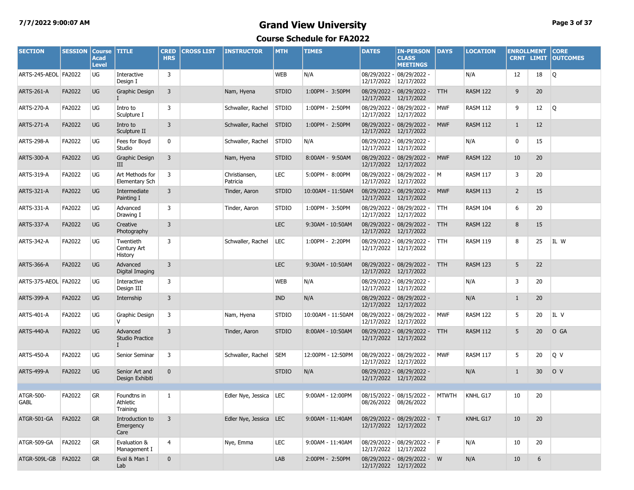## **7/7/2022 9:00:07 AM Grand View University Page 3 of 37**

| <b>SECTION</b>       | <b>SESSION</b> | <b>Course</b><br><b>Acad</b><br><b>Level</b> | <b>TITLE</b>                         | <b>CRED</b><br><b>HRS</b> | <b>CROSS LIST</b> | <b>INSTRUCTOR</b>         | <b>MTH</b>   | <b>TIMES</b>      | <b>DATES</b> | <b>IN-PERSON</b><br><b>CLASS</b><br><b>MEETINGS</b>  | DAYS         | <b>LOCATION</b> | <b>ENROLLMENT</b> | <b>CRNT LIMIT</b> | <b>CORE</b><br><b>OUTCOMES</b> |
|----------------------|----------------|----------------------------------------------|--------------------------------------|---------------------------|-------------------|---------------------------|--------------|-------------------|--------------|------------------------------------------------------|--------------|-----------------|-------------------|-------------------|--------------------------------|
| ARTS-245-AEOL FA2022 |                | UG                                           | Interactive<br>Design I              | 3                         |                   |                           | <b>WEB</b>   | N/A               | 12/17/2022   | 08/29/2022 - 08/29/2022 -<br>12/17/2022              |              | N/A             | 12                | 18                | Q                              |
| <b>ARTS-261-A</b>    | FA2022         | UG                                           | Graphic Design<br>Ι.                 | 3                         |                   | Nam, Hyena                | <b>STDIO</b> | 1:00PM - 3:50PM   | 12/17/2022   | 08/29/2022 - 08/29/2022 -<br>12/17/2022              | <b>TTH</b>   | <b>RASM 122</b> | 9                 | 20                |                                |
| <b>ARTS-270-A</b>    | FA2022         | UG                                           | Intro to<br>Sculpture I              | 3                         |                   | Schwaller, Rachel         | <b>STDIO</b> | 1:00PM - 2:50PM   | 12/17/2022   | 08/29/2022 - 08/29/2022 -<br>12/17/2022              | <b>MWF</b>   | <b>RASM 112</b> | 9                 | 12                | Q                              |
| <b>ARTS-271-A</b>    | FA2022         | <b>UG</b>                                    | Intro to<br>Sculpture II             | 3                         |                   | Schwaller, Rachel         | <b>STDIO</b> | 1:00PM - 2:50PM   | 12/17/2022   | 08/29/2022 - 08/29/2022 -<br>12/17/2022              | <b>MWF</b>   | <b>RASM 112</b> | $\mathbf{1}$      | 12                |                                |
| <b>ARTS-298-A</b>    | FA2022         | UG                                           | Fees for Boyd<br>Studio              | 0                         |                   | Schwaller, Rachel         | <b>STDIO</b> | N/A               | 12/17/2022   | 08/29/2022 - 08/29/2022 -<br>12/17/2022              |              | N/A             | 0                 | 15                |                                |
| <b>ARTS-300-A</b>    | FA2022         | UG                                           | Graphic Design<br>III                | 3                         |                   | Nam, Hyena                | <b>STDIO</b> | 8:00AM - 9:50AM   | 12/17/2022   | 08/29/2022 - 08/29/2022 -<br>12/17/2022              | <b>MWF</b>   | <b>RASM 122</b> | 10                | 20                |                                |
| <b>ARTS-319-A</b>    | FA2022         | UG                                           | Art Methods for<br>Elementary Sch    | 3                         |                   | Christiansen,<br>Patricia | <b>LEC</b>   | 5:00PM - 8:00PM   | 12/17/2022   | 08/29/2022 - 08/29/2022 -<br>12/17/2022              | M            | <b>RASM 117</b> | 3                 | 20                |                                |
| <b>ARTS-321-A</b>    | FA2022         | <b>UG</b>                                    | Intermediate<br>Painting I           | 3                         |                   | Tinder, Aaron             | <b>STDIO</b> | 10:00AM - 11:50AM | 12/17/2022   | 08/29/2022 - 08/29/2022 -<br>12/17/2022              | <b>MWF</b>   | <b>RASM 113</b> | $\overline{2}$    | 15                |                                |
| ARTS-331-A           | FA2022         | UG                                           | Advanced<br>Drawing I                | 3                         |                   | Tinder, Aaron             | <b>STDIO</b> | 1:00PM - 3:50PM   | 12/17/2022   | 08/29/2022 - 08/29/2022 -<br>12/17/2022              | TTH          | <b>RASM 104</b> | 6                 | 20                |                                |
| <b>ARTS-337-A</b>    | FA2022         | UG                                           | Creative<br>Photography              | 3                         |                   |                           | <b>LEC</b>   | 9:30AM - 10:50AM  | 12/17/2022   | 08/29/2022 - 08/29/2022 -<br>12/17/2022              | <b>TTH</b>   | <b>RASM 122</b> | 8                 | 15                |                                |
| ARTS-342-A           | FA2022         | UG                                           | Twentieth<br>Century Art<br>History  | 3                         |                   | Schwaller, Rachel         | LEC          | 1:00PM - 2:20PM   | 12/17/2022   | 08/29/2022 - 08/29/2022 -<br>12/17/2022              | TTH          | <b>RASM 119</b> | 8                 | 25                | IL W                           |
| <b>ARTS-366-A</b>    | FA2022         | <b>UG</b>                                    | Advanced<br>Digital Imaging          | 3                         |                   |                           | <b>LEC</b>   | 9:30AM - 10:50AM  | 12/17/2022   | 08/29/2022 - 08/29/2022 -<br>12/17/2022              | <b>TTH</b>   | <b>RASM 123</b> | 5                 | 22                |                                |
| ARTS-375-AEOL FA2022 |                | UG                                           | Interactive<br>Design III            | 3                         |                   |                           | <b>WEB</b>   | N/A               | 12/17/2022   | 08/29/2022 - 08/29/2022 -<br>12/17/2022              |              | N/A             | 3                 | 20                |                                |
| <b>ARTS-399-A</b>    | FA2022         | <b>UG</b>                                    | Internship                           | 3                         |                   |                           | <b>IND</b>   | N/A               | 12/17/2022   | 08/29/2022 - 08/29/2022 -<br>12/17/2022              |              | N/A             | $\mathbf{1}$      | 20                |                                |
| ARTS-401-A           | FA2022         | UG                                           | Graphic Design<br>$\vee$             | 3                         |                   | Nam, Hyena                | <b>STDIO</b> | 10:00AM - 11:50AM | 12/17/2022   | 08/29/2022 - 08/29/2022 -<br>12/17/2022              | <b>MWF</b>   | <b>RASM 122</b> | 5                 | 20                | IL V                           |
| <b>ARTS-440-A</b>    | FA2022         | <b>UG</b>                                    | Advanced<br>Studio Practice<br>L     | 3                         |                   | Tinder, Aaron             | <b>STDIO</b> | 8:00AM - 10:50AM  | 12/17/2022   | 08/29/2022 - 08/29/2022 -<br>12/17/2022              | <b>TTH</b>   | <b>RASM 112</b> | 5                 | 20 <sup>°</sup>   | O GA                           |
| <b>ARTS-450-A</b>    | FA2022         | UG                                           | Senior Seminar                       | 3                         |                   | Schwaller, Rachel         | <b>SEM</b>   | 12:00PM - 12:50PM | 12/17/2022   | 08/29/2022 - 08/29/2022 -<br>12/17/2022              | <b>MWF</b>   | <b>RASM 117</b> | 5                 | 20                | Q V                            |
| <b>ARTS-499-A</b>    | FA2022         | <b>UG</b>                                    | Senior Art and<br>Design Exhibiti    | $\mathbf 0$               |                   |                           | <b>STDIO</b> | N/A               |              | 08/29/2022 - 08/29/2022 -<br>12/17/2022 12/17/2022   |              | N/A             | $\mathbf{1}$      | 30                | O V                            |
| ATGR-500-<br>GABL    | FA2022         | <b>GR</b>                                    | Foundtns in<br>Athletic<br>Training  | 1                         |                   | Edler Nye, Jessica LEC    |              | 9:00AM - 12:00PM  |              | 08/15/2022 - 08/15/2022 -<br>08/26/2022 08/26/2022   | <b>MTWTH</b> | KNHL G17        | 10                | 20                |                                |
| ATGR-501-GA          | FA2022         | <b>GR</b>                                    | Introduction to<br>Emergency<br>Care | 3                         |                   | Edler Nye, Jessica LEC    |              | 9:00AM - 11:40AM  |              | 08/29/2022 - 08/29/2022 - T<br>12/17/2022 12/17/2022 |              | KNHL G17        | $10\,$            | 20                |                                |
| ATGR-509-GA          | FA2022         | GR                                           | Evaluation &<br>Management I         | 4                         |                   | Nye, Emma                 | <b>LEC</b>   | 9:00AM - 11:40AM  | 12/17/2022   | 08/29/2022 - 08/29/2022 - F<br>12/17/2022            |              | N/A             | 10                | 20                |                                |
| ATGR-509L-GB FA2022  |                | <b>GR</b>                                    | Eval & Man I<br>Lab                  | $\mathbf 0$               |                   |                           | LAB          | 2:00PM - 2:50PM   |              | 08/29/2022 - 08/29/2022 - W<br>12/17/2022 12/17/2022 |              | N/A             | 10                | 6                 |                                |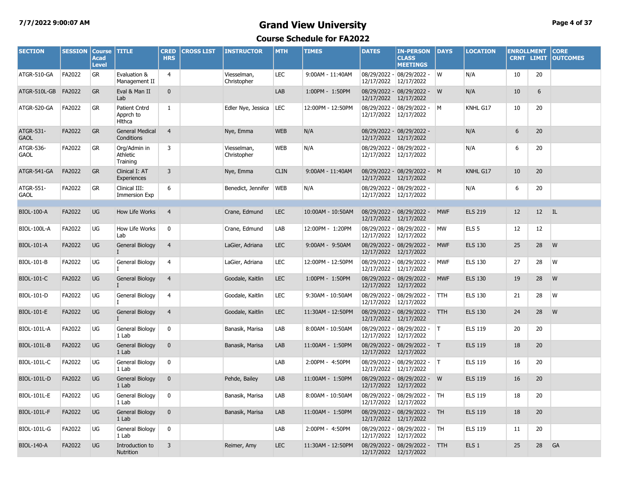#### **7/7/2022 9:00:07 AM Grand View University Page 4 of 37**

| <b>SECTION</b>           | <b>SESSION</b> | <b>Course</b><br><b>Acad</b><br><b>Level</b> | <b>TITLE</b>                                 | <b>CRED</b><br><b>HRS</b> | <b>CROSS LIST</b> | <b>INSTRUCTOR</b>          | <b>MTH</b>  | <b>TIMES</b>      | <b>DATES</b>          | <b>IN-PERSON</b><br><b>CLASS</b><br><b>MEETINGS</b>    | <b>DAYS</b> | <b>LOCATION</b>  | <b>ENROLLMENT</b><br><b>CRNT LIMIT</b> |         | <b>CORE</b><br><b>OUTCOMES</b> |
|--------------------------|----------------|----------------------------------------------|----------------------------------------------|---------------------------|-------------------|----------------------------|-------------|-------------------|-----------------------|--------------------------------------------------------|-------------|------------------|----------------------------------------|---------|--------------------------------|
| ATGR-510-GA              | FA2022         | GR                                           | Evaluation &<br>Management II                | 4                         |                   | Viesselman,<br>Christopher | LEC         | 9:00AM - 11:40AM  | 12/17/2022            | 08/29/2022 - 08/29/2022 -<br>12/17/2022                | W           | N/A              | 10                                     | 20      |                                |
| ATGR-510L-GB             | FA2022         | <b>GR</b>                                    | Eval & Man II<br>Lab                         | $\mathbf{0}$              |                   |                            | LAB         | 1:00PM - 1:50PM   | 12/17/2022            | 08/29/2022 - 08/29/2022 - W<br>12/17/2022              |             | N/A              | 10                                     | 6       |                                |
| ATGR-520-GA              | FA2022         | <b>GR</b>                                    | Patient Cntrd<br>Apprch to<br><b>H</b> Ithca | 1                         |                   | Edler Nye, Jessica         | LEC         | 12:00PM - 12:50PM | 12/17/2022            | $08/29/2022 - 08/29/2022 - M$<br>12/17/2022            |             | KNHL G17         | 10                                     | 20      |                                |
| ATGR-531-<br><b>GAOL</b> | FA2022         | <b>GR</b>                                    | <b>General Medical</b><br>Conditions         | $\overline{4}$            |                   | Nye, Emma                  | <b>WEB</b>  | N/A               |                       | 08/29/2022 - 08/29/2022 -<br>12/17/2022 12/17/2022     |             | N/A              | 6                                      | 20      |                                |
| ATGR-536-<br><b>GAOL</b> | FA2022         | GR                                           | Org/Admin in<br>Athletic<br>Training         | 3                         |                   | Viesselman,<br>Christopher | <b>WEB</b>  | N/A               | 12/17/2022            | 08/29/2022 - 08/29/2022 -<br>12/17/2022                |             | N/A              | 6                                      | 20      |                                |
| ATGR-541-GA              | FA2022         | <b>GR</b>                                    | Clinical I: AT<br>Experiences                | $\overline{3}$            |                   | Nye, Emma                  | <b>CLIN</b> | 9:00AM - 11:40AM  |                       | 08/29/2022 - 08/29/2022 - M<br>12/17/2022 12/17/2022   |             | KNHL G17         | 10                                     | 20      |                                |
| ATGR-551-<br><b>GAOL</b> | FA2022         | GR                                           | Clinical III:<br><b>Immersion Exp</b>        | 6                         |                   | Benedict, Jennifer         | <b>WEB</b>  | N/A               |                       | 08/29/2022 - 08/29/2022 -<br>12/17/2022 12/17/2022     |             | N/A              | 6                                      | 20      |                                |
|                          |                |                                              |                                              |                           |                   |                            |             |                   |                       |                                                        |             |                  |                                        |         |                                |
| <b>BIOL-100-A</b>        | FA2022         | UG                                           | How Life Works                               | $\overline{4}$            |                   | Crane, Edmund              | <b>LEC</b>  | 10:00AM - 10:50AM |                       | 08/29/2022 - 08/29/2022 - MWF<br>12/17/2022 12/17/2022 |             | <b>ELS 219</b>   | 12                                     | $12$ IL |                                |
| <b>BIOL-100L-A</b>       | FA2022         | UG                                           | How Life Works<br>Lab                        | 0                         |                   | Crane, Edmund              | LAB         | 12:00PM - 1:20PM  | 12/17/2022 12/17/2022 | 08/29/2022 - 08/29/2022 -                              | <b>MW</b>   | ELS <sub>5</sub> | 12                                     | 12      |                                |
| <b>BIOL-101-A</b>        | FA2022         | UG                                           | General Biology<br>$\mathbf{I}$              | $\overline{4}$            |                   | LaGier, Adriana            | <b>LEC</b>  | 9:00AM - 9:50AM   | 12/17/2022 12/17/2022 | 08/29/2022 - 08/29/2022 -                              | <b>MWF</b>  | <b>ELS 130</b>   | 25                                     | 28      | W                              |
| <b>BIOL-101-B</b>        | FA2022         | UG                                           | General Biology<br>IT.                       | 4                         |                   | LaGier, Adriana            | LEC         | 12:00PM - 12:50PM | 12/17/2022            | 08/29/2022 - 08/29/2022 -<br>12/17/2022                | <b>MWF</b>  | <b>ELS 130</b>   | 27                                     | 28      | W                              |
| <b>BIOL-101-C</b>        | FA2022         | UG                                           | General Biology<br>$\mathbf{I}$              | $\overline{4}$            |                   | Goodale, Kaitlin           | <b>LEC</b>  | 1:00PM - 1:50PM   | 12/17/2022            | 08/29/2022 - 08/29/2022 -<br>12/17/2022                | <b>MWF</b>  | <b>ELS 130</b>   | 19                                     | 28      | W                              |
| <b>BIOL-101-D</b>        | FA2022         | UG                                           | General Biology                              | 4                         |                   | Goodale, Kaitlin           | <b>LEC</b>  | 9:30AM - 10:50AM  | 12/17/2022            | 08/29/2022 - 08/29/2022 -<br>12/17/2022                | <b>TTH</b>  | <b>ELS 130</b>   | 21                                     | 28      | W                              |
| <b>BIOL-101-E</b>        | FA2022         | <b>UG</b>                                    | General Biology<br>$\mathbf{I}$              | $\overline{4}$            |                   | Goodale, Kaitlin           | <b>LEC</b>  | 11:30AM - 12:50PM | 12/17/2022            | 08/29/2022 - 08/29/2022 -<br>12/17/2022                | <b>TTH</b>  | <b>ELS 130</b>   | 24                                     | 28      | W                              |
| <b>BIOL-101L-A</b>       | FA2022         | <b>UG</b>                                    | General Biology<br>1 Lab                     | $\mathbf 0$               |                   | Banasik, Marisa            | LAB         | 8:00AM - 10:50AM  | 12/17/2022            | 08/29/2022 - 08/29/2022 -<br>12/17/2022                | IT.         | <b>ELS 119</b>   | 20                                     | 20      |                                |
| <b>BIOL-101L-B</b>       | FA2022         | UG                                           | <b>General Biology</b><br>1 Lab              | $\mathbf{0}$              |                   | Banasik, Marisa            | LAB         | 11:00AM - 1:50PM  | 12/17/2022            | 08/29/2022 - 08/29/2022 - T<br>12/17/2022              |             | <b>ELS 119</b>   | 18                                     | 20      |                                |
| <b>BIOL-101L-C</b>       | FA2022         | UG                                           | General Biology<br>1 Lab                     | 0                         |                   |                            | LAB         | 2:00PM - 4:50PM   | 12/17/2022            | $08/29/2022 - 08/29/2022 -$<br>12/17/2022              | IT.         | <b>ELS 119</b>   | 16                                     | 20      |                                |
| <b>BIOL-101L-D</b>       | FA2022         | UG                                           | General Biology<br>1 Lab                     | $\mathbf 0$               |                   | Pehde, Bailey              | LAB         | 11:00AM - 1:50PM  | 12/17/2022            | 08/29/2022 - 08/29/2022 -<br>12/17/2022                | W           | <b>ELS 119</b>   | 16                                     | 20      |                                |
| <b>BIOL-101L-E</b>       | FA2022         | UG                                           | General Biology<br>1 Lab                     | 0                         |                   | Banasik, Marisa            | LAB         | 8:00AM - 10:50AM  | 12/17/2022            | 08/29/2022 - 08/29/2022 -<br>12/17/2022                | <b>TH</b>   | <b>ELS 119</b>   | 18                                     | 20      |                                |
| <b>BIOL-101L-F</b>       | FA2022         | <b>UG</b>                                    | General Biology<br>1 Lab                     | $\mathbf{0}$              |                   | Banasik, Marisa            | LAB         | 11:00AM - 1:50PM  | 12/17/2022            | 08/29/2022 - 08/29/2022 -<br>12/17/2022                | <b>TH</b>   | <b>ELS 119</b>   | 18                                     | 20      |                                |
| <b>BIOL-101L-G</b>       | FA2022         | UG                                           | General Biology<br>1 Lab                     | 0                         |                   |                            | LAB         | 2:00PM - 4:50PM   | 12/17/2022            | 08/29/2022 - 08/29/2022 -<br>12/17/2022                | TH          | <b>ELS 119</b>   | 11                                     | 20      |                                |
| <b>BIOL-140-A</b>        | FA2022         | <b>UG</b>                                    | Introduction to<br>Nutrition                 | 3                         |                   | Reimer, Amy                | <b>LEC</b>  | 11:30AM - 12:50PM | 12/17/2022 12/17/2022 | 08/29/2022 - 08/29/2022 -                              | <b>TTH</b>  | ELS <sub>1</sub> | 25                                     | 28      | GA                             |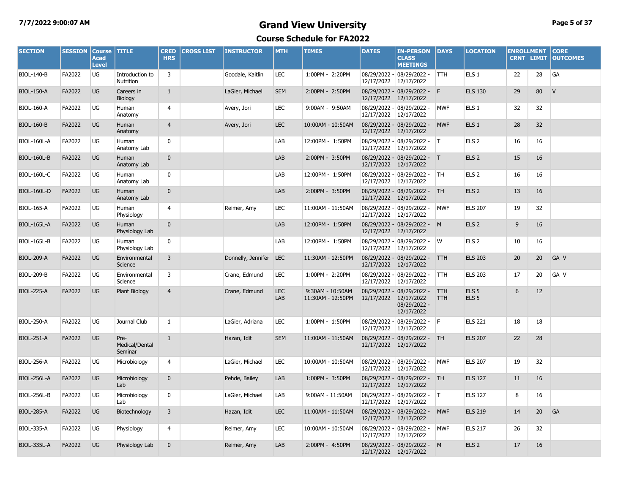## **7/7/2022 9:00:07 AM Grand View University Page 5 of 37**

| <b>SECTION</b>     | <b>SESSION</b> | <b>Course</b><br><b>Acad</b><br><b>Level</b> | <b>TITLE</b>                      | <b>CRED</b><br><b>HRS</b> | <b>CROSS LIST</b> | <b>INSTRUCTOR</b>      | <b>MTH</b>        | <b>TIMES</b>                          | <b>DATES</b> | <b>IN-PERSON</b><br><b>CLASS</b><br><b>MEETINGS</b>                   | <b>DAYS</b>              | <b>LOCATION</b>                      | <b>ENROLLMENT</b><br><b>CRNT LIMIT</b> |                 | <b>CORE</b><br><b>OUTCOMES</b> |
|--------------------|----------------|----------------------------------------------|-----------------------------------|---------------------------|-------------------|------------------------|-------------------|---------------------------------------|--------------|-----------------------------------------------------------------------|--------------------------|--------------------------------------|----------------------------------------|-----------------|--------------------------------|
| <b>BIOL-140-B</b>  | FA2022         | UG                                           | Introduction to<br>Nutrition      | 3                         |                   | Goodale, Kaitlin       | <b>LEC</b>        | 1:00PM - 2:20PM                       | 12/17/2022   | 08/29/2022 - 08/29/2022 -<br>12/17/2022                               | TTH                      | ELS <sub>1</sub>                     | 22                                     | 28              | GA                             |
| <b>BIOL-150-A</b>  | FA2022         | <b>UG</b>                                    | Careers in<br>Biology             | $\mathbf{1}$              |                   | LaGier, Michael        | <b>SEM</b>        | 2:00PM - 2:50PM                       |              | 08/29/2022 - 08/29/2022 - F<br>12/17/2022 12/17/2022                  |                          | <b>ELS 130</b>                       | 29                                     | 80              | V                              |
| <b>BIOL-160-A</b>  | FA2022         | UG                                           | Human<br>Anatomy                  | 4                         |                   | Avery, Jori            | <b>LEC</b>        | 9:00AM - 9:50AM                       |              | 08/29/2022 - 08/29/2022 -<br>12/17/2022 12/17/2022                    | <b>MWF</b>               | ELS <sub>1</sub>                     | 32                                     | 32              |                                |
| <b>BIOL-160-B</b>  | FA2022         | UG                                           | <b>Human</b><br>Anatomy           | $\overline{4}$            |                   | Avery, Jori            | <b>LEC</b>        | 10:00AM - 10:50AM                     |              | 08/29/2022 - 08/29/2022 -<br>12/17/2022 12/17/2022                    | <b>MWF</b>               | ELS <sub>1</sub>                     | 28                                     | 32              |                                |
| <b>BIOL-160L-A</b> | FA2022         | UG                                           | Human<br>Anatomy Lab              | 0                         |                   |                        | LAB               | 12:00PM - 1:50PM                      |              | 08/29/2022 - 08/29/2022 - T<br>12/17/2022 12/17/2022                  |                          | ELS <sub>2</sub>                     | 16                                     | 16              |                                |
| <b>BIOL-160L-B</b> | FA2022         | <b>UG</b>                                    | Human<br>Anatomy Lab              | $\mathbf{0}$              |                   |                        | LAB               | 2:00PM - 3:50PM                       |              | 08/29/2022 - 08/29/2022 - T<br>12/17/2022 12/17/2022                  |                          | ELS <sub>2</sub>                     | 15                                     | 16              |                                |
| <b>BIOL-160L-C</b> | FA2022         | UG                                           | Human<br>Anatomy Lab              | $\mathbf 0$               |                   |                        | LAB               | 12:00PM - 1:50PM                      |              | 08/29/2022 - 08/29/2022 -<br>12/17/2022 12/17/2022                    | <b>TH</b>                | ELS <sub>2</sub>                     | 16                                     | 16              |                                |
| <b>BIOL-160L-D</b> | FA2022         | <b>UG</b>                                    | Human<br>Anatomy Lab              | $\mathbf{0}$              |                   |                        | LAB               | 2:00PM - 3:50PM                       | 12/17/2022   | 08/29/2022 - 08/29/2022 -<br>12/17/2022                               | <b>TH</b>                | ELS <sub>2</sub>                     | 13                                     | 16              |                                |
| <b>BIOL-165-A</b>  | FA2022         | UG                                           | Human<br>Physiology               | 4                         |                   | Reimer, Amy            | LEC               | 11:00AM - 11:50AM                     |              | 08/29/2022 - 08/29/2022 -<br>12/17/2022 12/17/2022                    | <b>MWF</b>               | <b>ELS 207</b>                       | 19                                     | 32              |                                |
| <b>BIOL-165L-A</b> | FA2022         | <b>UG</b>                                    | Human<br>Physiology Lab           | $\mathbf{0}$              |                   |                        | LAB               | 12:00PM - 1:50PM                      | 12/17/2022   | 08/29/2022 - 08/29/2022 -<br>12/17/2022                               | M                        | ELS <sub>2</sub>                     | 9                                      | 16              |                                |
| <b>BIOL-165L-B</b> | FA2022         | UG                                           | Human<br>Physiology Lab           | 0                         |                   |                        | LAB               | 12:00PM - 1:50PM                      |              | 08/29/2022 - 08/29/2022 -<br>12/17/2022 12/17/2022                    | W                        | ELS <sub>2</sub>                     | 10                                     | 16              |                                |
| <b>BIOL-209-A</b>  | FA2022         | <b>UG</b>                                    | Environmental<br>Science          | 3                         |                   | Donnelly, Jennifer LEC |                   | 11:30AM - 12:50PM                     | 12/17/2022   | 08/29/2022 - 08/29/2022 -<br>12/17/2022                               | <b>TTH</b>               | <b>ELS 203</b>                       | 20                                     | 20 <sup>°</sup> | GA V                           |
| <b>BIOL-209-B</b>  | FA2022         | UG                                           | Environmental<br>Science          | 3                         |                   | Crane, Edmund          | <b>LEC</b>        | 1:00PM - 2:20PM                       |              | 08/29/2022 - 08/29/2022 -<br>12/17/2022 12/17/2022                    | TTH.                     | <b>ELS 203</b>                       | 17                                     | 20              | GA V                           |
| <b>BIOL-225-A</b>  | FA2022         | <b>UG</b>                                    | Plant Biology                     | $\overline{4}$            |                   | Crane, Edmund          | <b>LEC</b><br>LAB | 9:30AM - 10:50AM<br>11:30AM - 12:50PM | 12/17/2022   | 08/29/2022 - 08/29/2022 -<br>12/17/2022<br>08/29/2022 -<br>12/17/2022 | <b>TTH</b><br><b>TTH</b> | ELS <sub>5</sub><br>ELS <sub>5</sub> | 6                                      | 12              |                                |
| <b>BIOL-250-A</b>  | FA2022         | UG                                           | Journal Club                      | 1                         |                   | LaGier, Adriana        | <b>LEC</b>        | 1:00PM - 1:50PM                       | 12/17/2022   | 08/29/2022 - 08/29/2022 -<br>12/17/2022                               | IF.                      | <b>ELS 221</b>                       | 18                                     | 18              |                                |
| <b>BIOL-251-A</b>  | FA2022         | <b>UG</b>                                    | Pre-<br>Medical/Dental<br>Seminar | $\mathbf{1}$              |                   | Hazan, Idit            | <b>SEM</b>        | 11:00AM - 11:50AM                     |              | 08/29/2022 - 08/29/2022 - TH<br>12/17/2022 12/17/2022                 |                          | <b>ELS 207</b>                       | 22                                     | 28              |                                |
| <b>BIOL-256-A</b>  | FA2022         | UG                                           | Microbiology                      | 4                         |                   | LaGier, Michael        | <b>LEC</b>        | 10:00AM - 10:50AM                     |              | 08/29/2022 - 08/29/2022 -<br>12/17/2022 12/17/2022                    | <b>MWF</b>               | <b>ELS 207</b>                       | 19                                     | 32              |                                |
| BIOL-256L-A        | FA2022         | <b>UG</b>                                    | Microbiology<br>Lab               | $\mathbf 0$               |                   | Pehde, Bailey          | LAB               | 1:00PM - 3:50PM                       | 12/17/2022   | 08/29/2022 - 08/29/2022 -<br>12/17/2022                               | TH                       | <b>ELS 127</b>                       | 11                                     | 16              |                                |
| <b>BIOL-256L-B</b> | FA2022         | UG                                           | Microbiology<br>Lab               | 0                         |                   | LaGier, Michael        | LAB               | 9:00AM - 11:50AM                      |              | 08/29/2022 - 08/29/2022 -<br>12/17/2022 12/17/2022                    | IT.                      | <b>ELS 127</b>                       | 8                                      | 16              |                                |
| <b>BIOL-285-A</b>  | FA2022         | <b>UG</b>                                    | Biotechnology                     | 3                         |                   | Hazan, Idit            | <b>LEC</b>        | 11:00AM - 11:50AM                     |              | 08/29/2022 - 08/29/2022 -<br>12/17/2022 12/17/2022                    | <b>MWF</b>               | <b>ELS 219</b>                       | 14                                     | 20 <sub>2</sub> | GA                             |
| <b>BIOL-335-A</b>  | FA2022         | UG                                           | Physiology                        | 4                         |                   | Reimer, Amy            | <b>LEC</b>        | 10:00AM - 10:50AM                     |              | 08/29/2022 - 08/29/2022 -<br>12/17/2022 12/17/2022                    | MWF                      | <b>ELS 217</b>                       | 26                                     | 32              |                                |
| <b>BIOL-335L-A</b> | FA2022         | <b>UG</b>                                    | Physiology Lab                    | $\mathbf{0}$              |                   | Reimer, Amy            | LAB               | 2:00PM - 4:50PM                       |              | 08/29/2022 - 08/29/2022 - M<br>12/17/2022 12/17/2022                  |                          | ELS <sub>2</sub>                     | 17                                     | 16              |                                |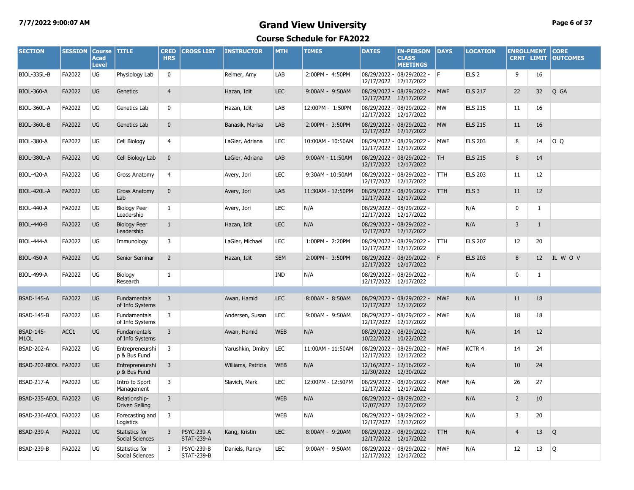#### **7/7/2022 9:00:07 AM Grand View University Page 6 of 37 Course Schedule for FA2022**

| <b>SECTION</b>                        | <b>SESSION</b> | <b>Course</b><br><b>Acad</b><br><b>Level</b> | <b>TITLE</b>                             | <b>CRED</b><br><b>HRS</b> | <b>CROSS LIST</b>                      | <b>INSTRUCTOR</b>  | <b>MTH</b> | <b>TIMES</b>      | <b>DATES</b>               | <b>IN-PERSON</b><br><b>CLASS</b><br><b>MEETINGS</b> | <b>DAYS</b> | <b>LOCATION</b>  | <b>ENROLLMENT</b> | <b>CRNT LIMIT</b> | <b>CORE</b><br><b>OUTCOMES</b> |
|---------------------------------------|----------------|----------------------------------------------|------------------------------------------|---------------------------|----------------------------------------|--------------------|------------|-------------------|----------------------------|-----------------------------------------------------|-------------|------------------|-------------------|-------------------|--------------------------------|
| <b>BIOL-335L-B</b>                    | FA2022         | UG                                           | Physiology Lab                           | $\mathbf 0$               |                                        | Reimer, Amy        | LAB        | 2:00PM - 4:50PM   | 12/17/2022                 | $08/29/2022 - 08/29/2022 - F$<br>12/17/2022         |             | ELS <sub>2</sub> | 9                 | 16                |                                |
| <b>BIOL-360-A</b>                     | FA2022         | <b>UG</b>                                    | Genetics                                 | $\overline{4}$            |                                        | Hazan, Idit        | <b>LEC</b> | 9:00AM - 9:50AM   | 12/17/2022                 | 08/29/2022 - 08/29/2022 -<br>12/17/2022             | <b>MWF</b>  | <b>ELS 217</b>   | 22                | 32                | Q GA                           |
| BIOL-360L-A                           | FA2022         | UG                                           | Genetics Lab                             | $\mathbf 0$               |                                        | Hazan, Idit        | LAB        | 12:00PM - 1:50PM  | 08/29/2022 -<br>12/17/2022 | 08/29/2022 -<br>12/17/2022                          | <b>MW</b>   | <b>ELS 215</b>   | 11                | 16                |                                |
| <b>BIOL-360L-B</b>                    | FA2022         | <b>UG</b>                                    | Genetics Lab                             | $\mathbf 0$               |                                        | Banasik, Marisa    | LAB        | 2:00PM - 3:50PM   | 12/17/2022                 | 08/29/2022 - 08/29/2022 -<br>12/17/2022             | <b>MW</b>   | <b>ELS 215</b>   | 11                | 16                |                                |
| <b>BIOL-380-A</b>                     | FA2022         | UG                                           | Cell Biology                             | 4                         |                                        | LaGier, Adriana    | <b>LEC</b> | 10:00AM - 10:50AM | 12/17/2022                 | 08/29/2022 - 08/29/2022 -<br>12/17/2022             | <b>MWF</b>  | <b>ELS 203</b>   | 8                 | 14                | O Q                            |
| BIOL-380L-A                           | FA2022         | UG                                           | Cell Biology Lab                         | $\mathbf{0}$              |                                        | LaGier, Adriana    | LAB        | 9:00AM - 11:50AM  | 12/17/2022                 | 08/29/2022 - 08/29/2022 -<br>12/17/2022             | <b>TH</b>   | <b>ELS 215</b>   | 8                 | 14                |                                |
| <b>BIOL-420-A</b>                     | FA2022         | UG                                           | <b>Gross Anatomy</b>                     | 4                         |                                        | Avery, Jori        | <b>LEC</b> | 9:30AM - 10:50AM  | 12/17/2022                 | 08/29/2022 - 08/29/2022 -<br>12/17/2022             | <b>TTH</b>  | <b>ELS 203</b>   | 11                | 12                |                                |
| <b>BIOL-420L-A</b>                    | FA2022         | <b>UG</b>                                    | <b>Gross Anatomy</b><br>Lab              | $\mathbf 0$               |                                        | Avery, Jori        | LAB        | 11:30AM - 12:50PM | 12/17/2022                 | 08/29/2022 - 08/29/2022 -<br>12/17/2022             | <b>TTH</b>  | ELS <sub>3</sub> | 11                | 12                |                                |
| <b>BIOL-440-A</b>                     | FA2022         | UG                                           | <b>Biology Peer</b><br>Leadership        | 1                         |                                        | Avery, Jori        | <b>LEC</b> | N/A               | 12/17/2022                 | 08/29/2022 - 08/29/2022 -<br>12/17/2022             |             | N/A              | 0                 | $\mathbf{1}$      |                                |
| <b>BIOL-440-B</b>                     | FA2022         | <b>UG</b>                                    | <b>Biology Peer</b><br>Leadership        | $\mathbf{1}$              |                                        | Hazan, Idit        | <b>LEC</b> | N/A               | 12/17/2022                 | 08/29/2022 - 08/29/2022 -<br>12/17/2022             |             | N/A              | 3                 | $\mathbf{1}$      |                                |
| <b>BIOL-444-A</b>                     | FA2022         | UG                                           | Immunology                               | 3                         |                                        | LaGier, Michael    | <b>LEC</b> | 1:00PM - 2:20PM   | 12/17/2022                 | 08/29/2022 - 08/29/2022 -<br>12/17/2022             | <b>TTH</b>  | <b>ELS 207</b>   | 12                | 20                |                                |
| <b>BIOL-450-A</b>                     | FA2022         | UG                                           | Senior Seminar                           | $\overline{2}$            |                                        | Hazan, Idit        | <b>SEM</b> | 2:00PM - 3:50PM   | 12/17/2022                 | 08/29/2022 - 08/29/2022 - F<br>12/17/2022           |             | <b>ELS 203</b>   | 8                 | 12 <sup>2</sup>   | IL WOV                         |
| <b>BIOL-499-A</b>                     | FA2022         | UG                                           | Biology<br>Research                      | 1                         |                                        |                    | IND        | N/A               | 12/17/2022 12/17/2022      | 08/29/2022 - 08/29/2022 -                           |             | N/A              | 0                 | 1                 |                                |
|                                       |                |                                              |                                          |                           |                                        |                    |            |                   |                            |                                                     |             |                  |                   |                   |                                |
| <b>BSAD-145-A</b>                     | FA2022         | UG                                           | <b>Fundamentals</b><br>of Info Systems   | 3                         |                                        | Awan, Hamid        | <b>LEC</b> | 8:00AM - 8:50AM   | 12/17/2022 12/17/2022      | 08/29/2022 - 08/29/2022 -                           | <b>MWF</b>  | N/A              | 11                | 18                |                                |
| <b>BSAD-145-B</b>                     | FA2022         | UG                                           | Fundamentals<br>of Info Systems          | 3                         |                                        | Andersen, Susan    | LEC        | 9:00AM - 9:50AM   | 12/17/2022                 | 08/29/2022 - 08/29/2022 -<br>12/17/2022             | <b>MWF</b>  | N/A              | 18                | 18                |                                |
| <b>BSAD-145-</b><br>M <sub>1</sub> OL | ACC1           | <b>UG</b>                                    | <b>Fundamentals</b><br>of Info Systems   | 3                         |                                        | Awan, Hamid        | <b>WEB</b> | N/A               | 10/22/2022 10/22/2022      | 08/29/2022 - 08/29/2022 -                           |             | N/A              | 14                | 12                |                                |
| <b>BSAD-202-A</b>                     | FA2022         | UG                                           | Entrepreneurshi<br>p & Bus Fund          | 3                         |                                        | Yarushkin, Dmitry  | LEC        | 11:00AM - 11:50AM | 12/17/2022                 | 08/29/2022 - 08/29/2022 -<br>12/17/2022             | <b>MWF</b>  | KCTR 4           | 14                | 24                |                                |
| BSAD-202-BEOL FA2022                  |                | <b>UG</b>                                    | Entrepreneurshi<br>p & Bus Fund          | 3                         |                                        | Williams, Patricia | <b>WEB</b> | N/A               | 12/30/2022 12/30/2022      | 12/16/2022 - 12/16/2022 -                           |             | N/A              | 10                | 24                |                                |
| <b>BSAD-217-A</b>                     | FA2022         | UG                                           | Intro to Sport<br>Management             | 3                         |                                        | Slavich, Mark      | <b>LEC</b> | 12:00PM - 12:50PM | 12/17/2022                 | 08/29/2022 - 08/29/2022 -<br>12/17/2022             | <b>MWF</b>  | N/A              | 26                | 27                |                                |
| BSAD-235-AEOL FA2022                  |                | <b>UG</b>                                    | Relationship-<br>Driven Selling          | 3                         |                                        |                    | <b>WEB</b> | N/A               | 12/07/2022 12/07/2022      | 08/29/2022 - 08/29/2022 -                           |             | N/A              | $\overline{2}$    | 10                |                                |
| BSAD-236-AEOL FA2022                  |                | UG                                           | Forecasting and<br>Logistics             | 3                         |                                        |                    | <b>WEB</b> | N/A               | 08/29/2022 -<br>12/17/2022 | 08/29/2022 -<br>12/17/2022                          |             | N/A              | 3                 | 20                |                                |
| <b>BSAD-239-A</b>                     | FA2022         | UG                                           | Statistics for<br><b>Social Sciences</b> | 3                         | <b>PSYC-239-A</b><br><b>STAT-239-A</b> | Kang, Kristin      | <b>LEC</b> | 8:00AM - 9:20AM   | 12/17/2022                 | 08/29/2022 - 08/29/2022 -<br>12/17/2022             | <b>TTH</b>  | N/A              | 4                 | 13                | Q                              |
| <b>BSAD-239-B</b>                     | FA2022         | UG                                           | Statistics for<br>Social Sciences        | 3                         | <b>PSYC-239-B</b><br><b>STAT-239-B</b> | Daniels, Randy     | <b>LEC</b> | 9:00AM - 9:50AM   | 12/17/2022 12/17/2022      | 08/29/2022 - 08/29/2022 -                           | <b>MWF</b>  | N/A              | 12                | 13                | O                              |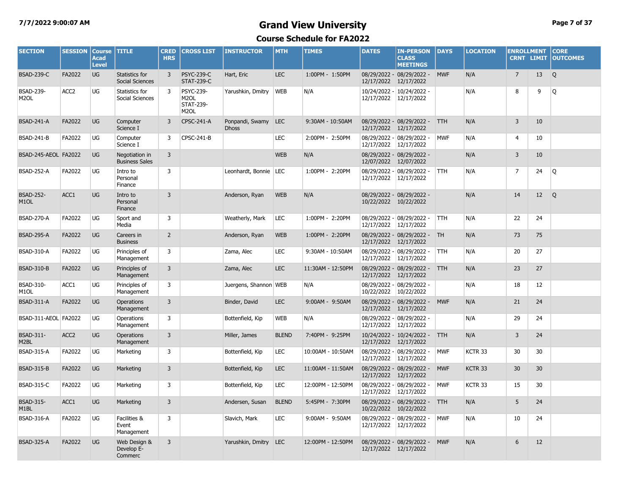#### **7/7/2022 9:00:07 AM Grand View University Page 7 of 37**

| <b>SECTION</b>                        | <b>SESSION</b>   | <b>Course</b><br><b>Acad</b><br><b>Level</b> | <b>TITLE</b>                             | <b>CRED</b><br><b>HRS</b> | <b>CROSS LIST</b>                                                       | <b>INSTRUCTOR</b>               | <b>MTH</b>   | <b>TIMES</b>      | <b>DATES</b>               | <b>IN-PERSON</b><br><b>CLASS</b><br><b>MEETINGS</b> | <b>DAYS</b> | <b>LOCATION</b>    | <b>ENROLLMENT</b> | <b>CRNT LIMIT</b> | <b>CORE</b><br><b>OUTCOMES</b> |
|---------------------------------------|------------------|----------------------------------------------|------------------------------------------|---------------------------|-------------------------------------------------------------------------|---------------------------------|--------------|-------------------|----------------------------|-----------------------------------------------------|-------------|--------------------|-------------------|-------------------|--------------------------------|
| <b>BSAD-239-C</b>                     | FA2022           | <b>UG</b>                                    | Statistics for<br><b>Social Sciences</b> | 3                         | <b>PSYC-239-C</b><br><b>STAT-239-C</b>                                  | Hart, Eric                      | <b>LEC</b>   | 1:00PM - 1:50PM   | 12/17/2022                 | 08/29/2022 - 08/29/2022 -<br>12/17/2022             | <b>MWF</b>  | N/A                | $\overline{7}$    | 13                | Q                              |
| <b>BSAD-239-</b><br>M <sub>2</sub> OL | ACC <sub>2</sub> | UG                                           | Statistics for<br>Social Sciences        | 3                         | <b>PSYC-239-</b><br>M <sub>2</sub> OL<br>STAT-239-<br>M <sub>2</sub> OL | Yarushkin, Dmitry               | <b>WEB</b>   | N/A               | 12/17/2022                 | 10/24/2022 - 10/24/2022 -<br>12/17/2022             |             | N/A                | 8                 | 9                 | Q                              |
| <b>BSAD-241-A</b>                     | FA2022           | UG                                           | Computer<br>Science I                    | 3                         | <b>CPSC-241-A</b>                                                       | Ponpandi, Swamy<br><b>Dhoss</b> | <b>LEC</b>   | 9:30AM - 10:50AM  | 12/17/2022                 | 08/29/2022 - 08/29/2022 -<br>12/17/2022             | <b>TTH</b>  | N/A                | 3                 | 10                |                                |
| <b>BSAD-241-B</b>                     | FA2022           | UG                                           | Computer<br>Science I                    | 3                         | CPSC-241-B                                                              |                                 | <b>LEC</b>   | 2:00PM - 2:50PM   | 12/17/2022                 | 08/29/2022 - 08/29/2022 -<br>12/17/2022             | <b>MWF</b>  | N/A                | 4                 | 10                |                                |
| BSAD-245-AEOL FA2022                  |                  | UG                                           | Negotiation in<br><b>Business Sales</b>  | $\overline{3}$            |                                                                         |                                 | <b>WEB</b>   | N/A               | 12/07/2022                 | 08/29/2022 - 08/29/2022 -<br>12/07/2022             |             | N/A                | 3                 | 10                |                                |
| <b>BSAD-252-A</b>                     | FA2022           | UG                                           | Intro to<br>Personal<br>Finance          | 3                         |                                                                         | Leonhardt, Bonnie   LEC         |              | 1:00PM - 2:20PM   | 08/29/2022 -<br>12/17/2022 | 08/29/2022 -<br>12/17/2022                          | <b>TTH</b>  | N/A                | $\overline{7}$    | 24                | Q                              |
| <b>BSAD-252-</b><br>M <sub>1</sub> OL | ACC1             | UG                                           | Intro to<br>Personal<br>Finance          | $\overline{3}$            |                                                                         | Anderson, Ryan                  | <b>WEB</b>   | N/A               | 10/22/2022 10/22/2022      | 08/29/2022 - 08/29/2022 -                           |             | N/A                | 14                | 12                | Q                              |
| <b>BSAD-270-A</b>                     | FA2022           | UG                                           | Sport and<br>Media                       | 3                         |                                                                         | Weatherly, Mark                 | LEC          | 1:00PM - 2:20PM   | 12/17/2022                 | 08/29/2022 - 08/29/2022 -<br>12/17/2022             | <b>TTH</b>  | N/A                | 22                | 24                |                                |
| <b>BSAD-295-A</b>                     | FA2022           | UG                                           | Careers in<br><b>Business</b>            | $\overline{2}$            |                                                                         | Anderson, Ryan                  | <b>WEB</b>   | 1:00PM - 2:20PM   | 12/17/2022                 | 08/29/2022 - 08/29/2022 - TH<br>12/17/2022          |             | N/A                | 73                | 75                |                                |
| <b>BSAD-310-A</b>                     | FA2022           | UG                                           | Principles of<br>Management              | $\overline{3}$            |                                                                         | Zama, Alec                      | <b>LEC</b>   | 9:30AM - 10:50AM  | 12/17/2022 12/17/2022      | 08/29/2022 - 08/29/2022 -                           | <b>TTH</b>  | N/A                | 20                | 27                |                                |
| <b>BSAD-310-B</b>                     | FA2022           | <b>UG</b>                                    | Principles of<br>Management              | $\overline{3}$            |                                                                         | Zama, Alec                      | <b>LEC</b>   | 11:30AM - 12:50PM | 12/17/2022                 | 08/29/2022 - 08/29/2022 - TTH<br>12/17/2022         |             | N/A                | 23                | 27                |                                |
| <b>BSAD-310-</b><br>M <sub>1</sub> OL | ACC1             | UG                                           | Principles of<br>Management              | 3                         |                                                                         | Juergens, Shannon WEB           |              | N/A               | 10/22/2022 10/22/2022      | 08/29/2022 - 08/29/2022 -                           |             | N/A                | 18                | 12                |                                |
| <b>BSAD-311-A</b>                     | FA2022           | UG                                           | <b>Operations</b><br>Management          | $\overline{3}$            |                                                                         | Binder, David                   | <b>LEC</b>   | 9:00AM - 9:50AM   | 12/17/2022                 | 08/29/2022 - 08/29/2022 -<br>12/17/2022             | <b>MWF</b>  | N/A                | 21                | 24                |                                |
| BSAD-311-AEOL FA2022                  |                  | UG                                           | Operations<br>Management                 | 3                         |                                                                         | Bottenfield, Kip                | <b>WEB</b>   | N/A               | 12/17/2022 12/17/2022      | 08/29/2022 - 08/29/2022 -                           |             | N/A                | 29                | 24                |                                |
| BSAD-311-<br>M2BL                     | ACC <sub>2</sub> | UG                                           | <b>Operations</b><br>Management          | 3                         |                                                                         | Miller, James                   | <b>BLEND</b> | 7:40PM - 9:25PM   | 12/17/2022                 | 10/24/2022 - 10/24/2022 -<br>12/17/2022             | <b>TTH</b>  | N/A                | 3                 | 24                |                                |
| <b>BSAD-315-A</b>                     | FA2022           | UG                                           | Marketing                                | 3                         |                                                                         | Bottenfield, Kip                | LEC          | 10:00AM - 10:50AM | 12/17/2022 12/17/2022      | 08/29/2022 - 08/29/2022 -                           | <b>MWF</b>  | KCTR 33            | 30                | 30                |                                |
| <b>BSAD-315-B</b>                     | FA2022           | UG                                           | Marketing                                | $\overline{3}$            |                                                                         | Bottenfield, Kip                | <b>LEC</b>   | 11:00AM - 11:50AM | 12/17/2022                 | 08/29/2022 - 08/29/2022 -<br>12/17/2022             | <b>MWF</b>  | KCTR 33            | 30                | 30                |                                |
| <b>BSAD-315-C</b>                     | FA2022           | UG                                           | Marketing                                | $\overline{3}$            |                                                                         | Bottenfield, Kip                | LEC          | 12:00PM - 12:50PM | 12/17/2022                 | 08/29/2022 - 08/29/2022 -<br>12/17/2022             | <b>MWF</b>  | KCTR <sub>33</sub> | 15                | 30                |                                |
| <b>BSAD-315-</b><br>M <sub>1</sub> BL | ACC1             | <b>UG</b>                                    | Marketing                                | $\overline{3}$            |                                                                         | Andersen, Susan                 | <b>BLEND</b> | 5:45PM - 7:30PM   | 10/22/2022                 | 08/29/2022 - 08/29/2022 -<br>10/22/2022             | <b>TTH</b>  | N/A                | 5                 | 24                |                                |
| <b>BSAD-316-A</b>                     | FA2022           | UG                                           | Facilities &<br>Event<br>Management      | 3                         |                                                                         | Slavich, Mark                   | LEC          | 9:00AM - 9:50AM   | 12/17/2022                 | 08/29/2022 - 08/29/2022 -<br>12/17/2022             | <b>MWF</b>  | N/A                | 10                | 24                |                                |
| <b>BSAD-325-A</b>                     | FA2022           | UG                                           | Web Design &<br>Develop E-<br>Commerc    | 3                         |                                                                         | Yarushkin, Dmitry               | <b>LEC</b>   | 12:00PM - 12:50PM | 12/17/2022 12/17/2022      | 08/29/2022 - 08/29/2022 -                           | <b>MWF</b>  | N/A                | 6                 | 12                |                                |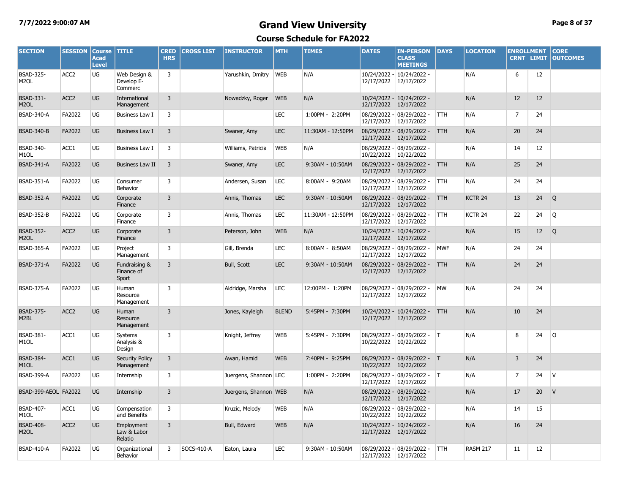#### **7/7/2022 9:00:07 AM Grand View University Page 8 of 37**

| <b>SECTION</b>                        | <b>SESSION</b>   | <b>Course</b><br><b>Acad</b><br><b>Level</b> | <b>TITLE</b>                          | <b>CRED</b><br><b>HRS</b> | <b>CROSS LIST</b> | <b>INSTRUCTOR</b>     | <b>MTH</b>   | <b>TIMES</b>      | <b>DATES</b>               | <b>IN-PERSON</b><br><b>CLASS</b><br><b>MEETINGS</b> | <b>DAYS</b> | <b>LOCATION</b>    | <b>ENROLLMENT</b><br><b>CRNT LIMIT</b> |    | <b>CORE</b><br><b>OUTCOMES</b> |
|---------------------------------------|------------------|----------------------------------------------|---------------------------------------|---------------------------|-------------------|-----------------------|--------------|-------------------|----------------------------|-----------------------------------------------------|-------------|--------------------|----------------------------------------|----|--------------------------------|
| <b>BSAD-325-</b><br>M <sub>2</sub> OL | ACC <sub>2</sub> | UG                                           | Web Design &<br>Develop E-<br>Commerc | 3                         |                   | Yarushkin, Dmitry     | <b>WEB</b>   | N/A               | 12/17/2022                 | 10/24/2022 - 10/24/2022 -<br>12/17/2022             |             | N/A                | 6                                      | 12 |                                |
| <b>BSAD-331-</b><br>M <sub>2</sub> OL | ACC <sub>2</sub> | UG                                           | International<br>Management           | 3                         |                   | Nowadzky, Roger       | <b>WEB</b>   | N/A               | 12/17/2022                 | 10/24/2022 - 10/24/2022 -<br>12/17/2022             |             | N/A                | 12                                     | 12 |                                |
| <b>BSAD-340-A</b>                     | FA2022           | UG                                           | Business Law I                        | 3                         |                   |                       | <b>LEC</b>   | 1:00PM - 2:20PM   | 12/17/2022 12/17/2022      | 08/29/2022 - 08/29/2022 -                           | <b>TTH</b>  | N/A                | $\overline{7}$                         | 24 |                                |
| <b>BSAD-340-B</b>                     | FA2022           | <b>UG</b>                                    | <b>Business Law I</b>                 | 3                         |                   | Swaner, Amy           | <b>LEC</b>   | 11:30AM - 12:50PM | 12/17/2022                 | 08/29/2022 - 08/29/2022 -<br>12/17/2022             | <b>TTH</b>  | N/A                | 20                                     | 24 |                                |
| <b>BSAD-340-</b><br>M <sub>1</sub> OL | ACC1             | UG                                           | Business Law I                        | 3                         |                   | Williams, Patricia    | <b>WEB</b>   | N/A               | 10/22/2022                 | 08/29/2022 - 08/29/2022 -<br>10/22/2022             |             | N/A                | 14                                     | 12 |                                |
| <b>BSAD-341-A</b>                     | FA2022           | UG                                           | <b>Business Law II</b>                | $\overline{3}$            |                   | Swaner, Amy           | <b>LEC</b>   | 9:30AM - 10:50AM  | 12/17/2022                 | 08/29/2022 - 08/29/2022 -<br>12/17/2022             | <b>TTH</b>  | N/A                | 25                                     | 24 |                                |
| <b>BSAD-351-A</b>                     | FA2022           | UG                                           | Consumer<br>Behavior                  | 3                         |                   | Andersen, Susan       | <b>LEC</b>   | 8:00AM - 9:20AM   | 12/17/2022                 | 08/29/2022 - 08/29/2022 -<br>12/17/2022             | TTH         | N/A                | 24                                     | 24 |                                |
| <b>BSAD-352-A</b>                     | FA2022           | UG                                           | Corporate<br>Finance                  | 3                         |                   | Annis, Thomas         | <b>LEC</b>   | 9:30AM - 10:50AM  | 12/17/2022                 | 08/29/2022 - 08/29/2022 -<br>12/17/2022             | <b>TTH</b>  | KCTR <sub>24</sub> | 13                                     | 24 | Q                              |
| <b>BSAD-352-B</b>                     | FA2022           | UG                                           | Corporate<br>Finance                  | 3                         |                   | Annis, Thomas         | <b>LEC</b>   | 11:30AM - 12:50PM | 12/17/2022                 | 08/29/2022 - 08/29/2022 -<br>12/17/2022             | TTH         | KCTR 24            | 22                                     | 24 | Q                              |
| <b>BSAD-352-</b><br>M <sub>2</sub> OL | ACC <sub>2</sub> | UG                                           | Corporate<br>Finance                  | 3                         |                   | Peterson, John        | <b>WEB</b>   | N/A               | 12/17/2022 12/17/2022      | 10/24/2022 - 10/24/2022 -                           |             | N/A                | 15                                     | 12 | Q                              |
| <b>BSAD-365-A</b>                     | FA2022           | UG                                           | Project<br>Management                 | 3                         |                   | Gill, Brenda          | <b>LEC</b>   | 8:00AM - 8:50AM   | 12/17/2022                 | 08/29/2022 - 08/29/2022 -<br>12/17/2022             | <b>MWF</b>  | N/A                | 24                                     | 24 |                                |
| <b>BSAD-371-A</b>                     | FA2022           | UG                                           | Fundraising &<br>Finance of<br>Sport  | 3                         |                   | Bull, Scott           | <b>LEC</b>   | 9:30AM - 10:50AM  | 12/17/2022 12/17/2022      | 08/29/2022 - 08/29/2022 -                           | <b>TTH</b>  | N/A                | 24                                     | 24 |                                |
| <b>BSAD-375-A</b>                     | FA2022           | UG                                           | Human<br>Resource<br>Management       | 3                         |                   | Aldridge, Marsha      | <b>LEC</b>   | 12:00PM - 1:20PM  | 08/29/2022 -<br>12/17/2022 | $08/29/2022 -$<br>12/17/2022                        | MW          | N/A                | 24                                     | 24 |                                |
| <b>BSAD-375-</b><br>M2BL              | ACC <sub>2</sub> | UG                                           | Human<br>Resource<br>Management       | 3                         |                   | Jones, Kayleigh       | <b>BLEND</b> | 5:45PM - 7:30PM   | 12/17/2022 12/17/2022      | 10/24/2022 - 10/24/2022 -                           | <b>TTH</b>  | N/A                | 10                                     | 24 |                                |
| BSAD-381-<br>M <sub>1</sub> OL        | ACC1             | UG                                           | Systems<br>Analysis &<br>Design       | 3                         |                   | Knight, Jeffrey       | WEB          | 5:45PM - 7:30PM   | 10/22/2022                 | 08/29/2022 - 08/29/2022 -<br>10/22/2022             | IT.         | N/A                | 8                                      | 24 | 0                              |
| <b>BSAD-384-</b><br>M <sub>1</sub> OL | ACC1             | UG                                           | <b>Security Policy</b><br>Management  | 3                         |                   | Awan, Hamid           | <b>WEB</b>   | 7:40PM - 9:25PM   | 10/22/2022                 | 08/29/2022 - 08/29/2022 - T<br>10/22/2022           |             | N/A                | $\overline{3}$                         | 24 |                                |
| <b>BSAD-399-A</b>                     | FA2022           | UG                                           | Internship                            | 3                         |                   | Juergens, Shannon LEC |              | 1:00PM - 2:20PM   | 12/17/2022                 | 08/29/2022 - 08/29/2022 - T<br>12/17/2022           |             | N/A                | 7                                      | 24 | <b>V</b>                       |
| BSAD-399-AEOL FA2022                  |                  | <b>UG</b>                                    | Internship                            | 3                         |                   | Juergens, Shannon WEB |              | N/A               | 12/17/2022                 | 08/29/2022 - 08/29/2022 -<br>12/17/2022             |             | N/A                | 17                                     | 20 | $\vee$                         |
| <b>BSAD-407-</b><br>M1OL              | ACC1             | UG                                           | Compensation<br>and Benefits          | 3                         |                   | Kruzic, Melody        | <b>WEB</b>   | N/A               | 08/29/2022 -<br>10/22/2022 | 08/29/2022 -<br>10/22/2022                          |             | N/A                | 14                                     | 15 |                                |
| <b>BSAD-408-</b><br>M <sub>2</sub> OL | ACC <sub>2</sub> | UG                                           | Employment<br>Law & Labor<br>Relatio  | 3                         |                   | Bull, Edward          | <b>WEB</b>   | N/A               | 12/17/2022                 | 10/24/2022 - 10/24/2022 -<br>12/17/2022             |             | N/A                | 16                                     | 24 |                                |
| <b>BSAD-410-A</b>                     | FA2022           | UG                                           | Organizational<br>Behavior            | 3                         | SOCS-410-A        | Eaton, Laura          | <b>LEC</b>   | 9:30AM - 10:50AM  | 12/17/2022 12/17/2022      | 08/29/2022 - 08/29/2022 -                           | <b>TTH</b>  | <b>RASM 217</b>    | 11                                     | 12 |                                |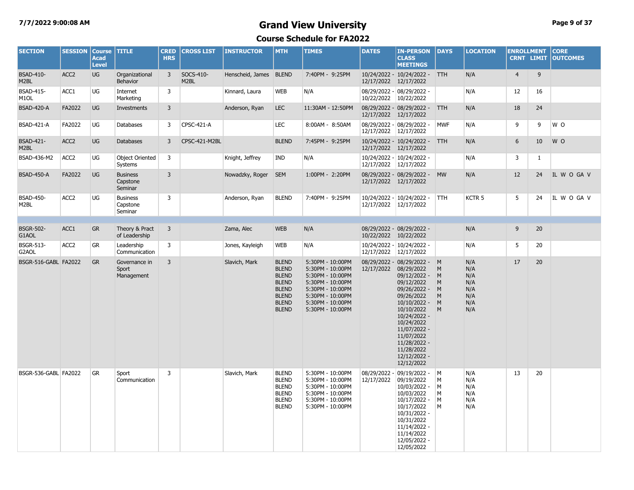#### **7/7/2022 9:00:08 AM Grand View University Page 9 of 37**

| <b>SECTION</b>                        | <b>SESSION</b>   | <b>Course</b><br><b>Acad</b><br><b>Level</b> | <b>TITLE</b>                           | <b>CRED</b><br><b>HRS</b> | <b>CROSS LIST</b> | <b>INSTRUCTOR</b>      | <b>MTH</b>                                                                                                                   | <b>TIMES</b>                                                                                                                                                 | <b>DATES</b>             | <b>IN-PERSON</b><br><b>CLASS</b><br><b>MEETINGS</b>                                                                                                                                                                                                             | <b>DAYS</b>                     | <b>LOCATION</b>                                      | <b>ENROLLMENT</b> |              | <b>CORE</b><br><b>CRNT LIMIT OUTCOMES</b> |
|---------------------------------------|------------------|----------------------------------------------|----------------------------------------|---------------------------|-------------------|------------------------|------------------------------------------------------------------------------------------------------------------------------|--------------------------------------------------------------------------------------------------------------------------------------------------------------|--------------------------|-----------------------------------------------------------------------------------------------------------------------------------------------------------------------------------------------------------------------------------------------------------------|---------------------------------|------------------------------------------------------|-------------------|--------------|-------------------------------------------|
| <b>BSAD-410-</b><br>M2BL              | ACC <sub>2</sub> | UG                                           | Organizational<br>Behavior             | 3                         | SOCS-410-<br>M2BL | Henscheid, James BLEND |                                                                                                                              | 7:40PM - 9:25PM                                                                                                                                              | 12/17/2022 12/17/2022    | 10/24/2022 - 10/24/2022 - TTH                                                                                                                                                                                                                                   |                                 | N/A                                                  | $\overline{4}$    | 9            |                                           |
| <b>BSAD-415-</b><br>M <sub>1</sub> OL | ACC1             | UG                                           | Internet<br>Marketing                  | 3                         |                   | Kinnard, Laura         | <b>WEB</b>                                                                                                                   | N/A                                                                                                                                                          | 10/22/2022 10/22/2022    | 08/29/2022 - 08/29/2022 -                                                                                                                                                                                                                                       |                                 | N/A                                                  | 12                | 16           |                                           |
| <b>BSAD-420-A</b>                     | FA2022           | UG                                           | Investments                            | 3                         |                   | Anderson, Ryan         | <b>LEC</b>                                                                                                                   | 11:30AM - 12:50PM                                                                                                                                            | 12/17/2022 12/17/2022    | 08/29/2022 - 08/29/2022 - TTH                                                                                                                                                                                                                                   |                                 | N/A                                                  | 18                | 24           |                                           |
| <b>BSAD-421-A</b>                     | FA2022           | UG                                           | Databases                              | 3                         | CPSC-421-A        |                        | <b>LEC</b>                                                                                                                   | 8:00AM - 8:50AM                                                                                                                                              | 12/17/2022 12/17/2022    | 08/29/2022 - 08/29/2022 -                                                                                                                                                                                                                                       | <b>MWF</b>                      | N/A                                                  | 9                 | 9            | W O                                       |
| <b>BSAD-421-</b><br>M2BL              | ACC <sub>2</sub> | UG                                           | <b>Databases</b>                       | $\overline{3}$            | CPSC-421-M2BL     |                        | <b>BLEND</b>                                                                                                                 | 7:45PM - 9:25PM                                                                                                                                              | 12/17/2022 12/17/2022    | 10/24/2022 - 10/24/2022 -                                                                                                                                                                                                                                       | <b>TTH</b>                      | N/A                                                  | 6                 | 10           | W O                                       |
| BSAD-436-M2                           | ACC <sub>2</sub> | UG                                           | <b>Object Oriented</b><br>Systems      | 3                         |                   | Knight, Jeffrey        | <b>IND</b>                                                                                                                   | N/A                                                                                                                                                          | 12/17/2022 12/17/2022    | 10/24/2022 - 10/24/2022 -                                                                                                                                                                                                                                       |                                 | N/A                                                  | 3                 | $\mathbf{1}$ |                                           |
| <b>BSAD-450-A</b>                     | FA2022           | UG                                           | <b>Business</b><br>Capstone<br>Seminar | $\overline{3}$            |                   | Nowadzky, Roger        | <b>SEM</b>                                                                                                                   | 1:00PM - 2:20PM                                                                                                                                              | 12/17/2022 12/17/2022    | 08/29/2022 - 08/29/2022 -                                                                                                                                                                                                                                       | <b>MW</b>                       | N/A                                                  | 12                | 24           | IL W O GA V                               |
| <b>BSAD-450-</b><br>M <sub>2</sub> BL | ACC <sub>2</sub> | UG                                           | <b>Business</b><br>Capstone<br>Seminar | 3                         |                   | Anderson, Ryan         | <b>BLEND</b>                                                                                                                 | 7:40PM - 9:25PM                                                                                                                                              | 12/17/2022 12/17/2022    | 10/24/2022 - 10/24/2022 -                                                                                                                                                                                                                                       | <b>TTH</b>                      | KCTR <sub>5</sub>                                    | 5                 | 24           | IL W O GA V                               |
|                                       |                  |                                              |                                        |                           |                   |                        |                                                                                                                              |                                                                                                                                                              |                          |                                                                                                                                                                                                                                                                 |                                 |                                                      |                   |              |                                           |
| <b>BSGR-502-</b><br>G1AOL             | ACC1             | <b>GR</b>                                    | Theory & Pract<br>of Leadership        | $\overline{3}$            |                   | Zama, Alec             | <b>WEB</b>                                                                                                                   | N/A                                                                                                                                                          | 10/22/2022 10/22/2022    | 08/29/2022 - 08/29/2022 -                                                                                                                                                                                                                                       |                                 | N/A                                                  | 9                 | 20           |                                           |
| <b>BSGR-513-</b><br>G2AOL             | ACC <sub>2</sub> | <b>GR</b>                                    | Leadership<br>Communication            | 3                         |                   | Jones, Kayleigh        | <b>WEB</b>                                                                                                                   | N/A                                                                                                                                                          | 12/17/2022               | 10/24/2022 - 10/24/2022 -<br>12/17/2022                                                                                                                                                                                                                         |                                 | N/A                                                  | 5                 | 20           |                                           |
| BSGR-516-GABL FA2022                  |                  | <b>GR</b>                                    | Governance in<br>Sport<br>Management   | 3                         |                   | Slavich, Mark          | <b>BLEND</b><br><b>BLEND</b><br><b>BLEND</b><br><b>BLEND</b><br><b>BLEND</b><br><b>BLEND</b><br><b>BLEND</b><br><b>BLEND</b> | 5:30PM - 10:00PM<br>5:30PM - 10:00PM<br>5:30PM - 10:00PM<br>5:30PM - 10:00PM<br>5:30PM - 10:00PM<br>5:30PM - 10:00PM<br>5:30PM - 10:00PM<br>5:30PM - 10:00PM | 12/17/2022               | 08/29/2022 - 08/29/2022 - M<br>08/29/2022<br>09/12/2022 -<br>09/12/2022<br>09/26/2022 -<br>09/26/2022<br>$10/10/2022 -$<br>10/10/2022<br>10/24/2022 -<br>10/24/2022<br>11/07/2022 -<br>11/07/2022<br>11/28/2022 -<br>11/28/2022<br>$12/12/2022 -$<br>12/12/2022 | M<br>M<br>M<br>M<br>M<br>M<br>M | N/A<br>N/A<br>N/A<br>N/A<br>N/A<br>N/A<br>N/A<br>N/A | 17                | 20           |                                           |
| BSGR-536-GABL FA2022                  |                  | GR                                           | Sport<br>Communication                 | 3                         |                   | Slavich, Mark          | <b>BLEND</b><br><b>BLEND</b><br><b>BLEND</b><br><b>BLEND</b><br><b>BLEND</b><br><b>BLEND</b>                                 | 5:30PM - 10:00PM<br>5:30PM - 10:00PM<br>5:30PM - 10:00PM<br>5:30PM - 10:00PM<br>5:30PM - 10:00PM<br>5:30PM - 10:00PM                                         | 08/29/2022<br>12/17/2022 | 09/19/2022 - M<br>09/19/2022<br>10/03/2022 -<br>10/03/2022<br>10/17/2022 -<br>10/17/2022<br>10/31/2022 -<br>10/31/2022<br>11/14/2022 -<br>11/14/2022<br>12/05/2022 -<br>12/05/2022                                                                              | M<br>M<br>M<br>M<br>M           | N/A<br>N/A<br>N/A<br>N/A<br>N/A<br>N/A               | 13                | 20           |                                           |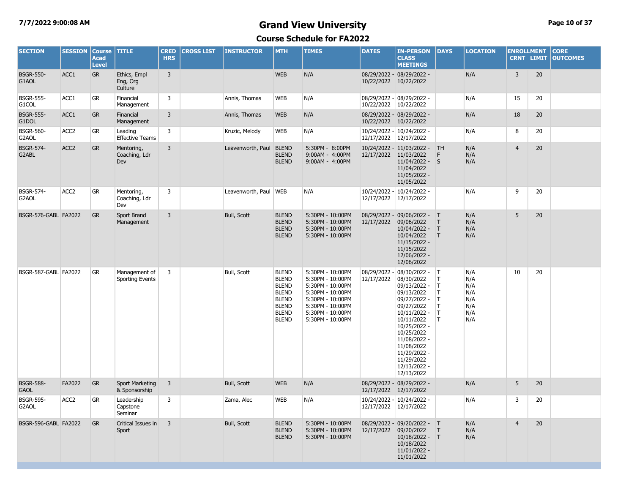### **7/7/2022 9:00:08 AM Grand View University Page 10 of 37**

| <b>SECTION</b>                  | <b>SESSION</b>   | <b>Course</b><br><b>Acad</b><br><b>Level</b> | <b>TITLE</b>                            | <b>CRED</b><br><b>HRS</b> | <b>CROSS LIST</b> | <b>INSTRUCTOR</b>       | <b>MTH</b>                                                                                                                   | <b>TIMES</b>                                                                                                                                                 | <b>DATES</b>             | <b>IN-PERSON</b><br><b>CLASS</b><br><b>MEETINGS</b>                                                                                                                                                                                          | <b>DAYS</b>                           | <b>LOCATION</b>                                      | <b>ENROLLMENT</b><br><b>CRNT LIMIT</b> |    | <b>CORE</b><br><b>OUTCOMES</b> |
|---------------------------------|------------------|----------------------------------------------|-----------------------------------------|---------------------------|-------------------|-------------------------|------------------------------------------------------------------------------------------------------------------------------|--------------------------------------------------------------------------------------------------------------------------------------------------------------|--------------------------|----------------------------------------------------------------------------------------------------------------------------------------------------------------------------------------------------------------------------------------------|---------------------------------------|------------------------------------------------------|----------------------------------------|----|--------------------------------|
| <b>BSGR-550-</b><br>G1AOL       | ACC1             | <b>GR</b>                                    | Ethics, Empl<br>Eng, Org<br>Culture     | $\overline{3}$            |                   |                         | <b>WEB</b>                                                                                                                   | N/A                                                                                                                                                          | 10/22/2022 10/22/2022    | 08/29/2022 - 08/29/2022 -                                                                                                                                                                                                                    |                                       | N/A                                                  | $\overline{3}$                         | 20 |                                |
| <b>BSGR-555-</b><br>G1COL       | ACC1             | <b>GR</b>                                    | Financial<br>Management                 | 3                         |                   | Annis, Thomas           | <b>WEB</b>                                                                                                                   | N/A                                                                                                                                                          | 10/22/2022 10/22/2022    | 08/29/2022 - 08/29/2022 -                                                                                                                                                                                                                    |                                       | N/A                                                  | 15                                     | 20 |                                |
| <b>BSGR-555-</b><br>G1DOL       | ACC1             | GR                                           | Financial<br>Management                 | 3                         |                   | Annis, Thomas           | <b>WEB</b>                                                                                                                   | N/A                                                                                                                                                          | 10/22/2022 10/22/2022    | 08/29/2022 - 08/29/2022 -                                                                                                                                                                                                                    |                                       | N/A                                                  | 18                                     | 20 |                                |
| <b>BSGR-560-</b><br>G2AOL       | ACC <sub>2</sub> | GR                                           | Leading<br><b>Effective Teams</b>       | 3                         |                   | Kruzic, Melody          | <b>WEB</b>                                                                                                                   | N/A                                                                                                                                                          | 12/17/2022 12/17/2022    | 10/24/2022 - 10/24/2022 -                                                                                                                                                                                                                    |                                       | N/A                                                  | 8                                      | 20 |                                |
| <b>BSGR-574-</b><br>G2ABL       | ACC <sub>2</sub> | GR                                           | Mentoring,<br>Coaching, Ldr<br>Dev      | 3                         |                   | Leavenworth, Paul       | <b>BLEND</b><br><b>BLEND</b><br><b>BLEND</b>                                                                                 | 5:30PM - 8:00PM<br>9:00AM - 4:00PM<br>9:00AM - 4:00PM                                                                                                        | 12/17/2022 11/03/2022    | 10/24/2022 - 11/03/2022 - TH<br>$11/04/2022 -$<br>11/04/2022<br>11/05/2022 -<br>11/05/2022                                                                                                                                                   | F<br><sub>S</sub>                     | N/A<br>N/A<br>N/A                                    | $\overline{4}$                         | 20 |                                |
| <b>BSGR-574-</b><br>G2AOL       | ACC <sub>2</sub> | GR                                           | Mentoring,<br>Coaching, Ldr<br>Dev      | 3                         |                   | Leavenworth, Paul   WEB |                                                                                                                              | N/A                                                                                                                                                          | 12/17/2022               | 10/24/2022 - 10/24/2022 -<br>12/17/2022                                                                                                                                                                                                      |                                       | N/A                                                  | 9                                      | 20 |                                |
| BSGR-576-GABL FA2022            |                  | <b>GR</b>                                    | Sport Brand<br>Management               | $\overline{3}$            |                   | Bull, Scott             | <b>BLEND</b><br><b>BLEND</b><br><b>BLEND</b><br><b>BLEND</b>                                                                 | 5:30PM - 10:00PM<br>5:30PM - 10:00PM<br>5:30PM - 10:00PM<br>5:30PM - 10:00PM                                                                                 | 12/17/2022               | 08/29/2022 - 09/06/2022 - T<br>09/06/2022<br>$10/04/2022 - T$<br>10/04/2022<br>$11/15/2022 -$<br>11/15/2022<br>12/06/2022 -<br>12/06/2022                                                                                                    | $\top$<br>$\top$                      | N/A<br>N/A<br>N/A<br>N/A                             | 5                                      | 20 |                                |
| BSGR-587-GABL FA2022            |                  | <b>GR</b>                                    | Management of<br><b>Sporting Events</b> | 3                         |                   | Bull, Scott             | <b>BLEND</b><br><b>BLEND</b><br><b>BLEND</b><br><b>BLEND</b><br><b>BLEND</b><br><b>BLEND</b><br><b>BLEND</b><br><b>BLEND</b> | 5:30PM - 10:00PM<br>5:30PM - 10:00PM<br>5:30PM - 10:00PM<br>5:30PM - 10:00PM<br>5:30PM - 10:00PM<br>5:30PM - 10:00PM<br>5:30PM - 10:00PM<br>5:30PM - 10:00PM | 08/29/2022<br>12/17/2022 | 08/30/2022 -<br>08/30/2022<br>09/13/2022 -<br>09/13/2022<br>09/27/2022 -<br>09/27/2022<br>10/11/2022 -<br>10/11/2022<br>10/25/2022 -<br>10/25/2022<br>11/08/2022 -<br>11/08/2022<br>11/29/2022 -<br>11/29/2022<br>12/13/2022 -<br>12/13/2022 | T<br>T<br>Τ<br>T.<br>T<br>T<br>T<br>T | N/A<br>N/A<br>N/A<br>N/A<br>N/A<br>N/A<br>N/A<br>N/A | 10                                     | 20 |                                |
| <b>BSGR-588-</b><br><b>GAOL</b> | FA2022           | GR                                           | <b>Sport Marketing</b><br>& Sponsorship | $\overline{3}$            |                   | Bull, Scott             | <b>WEB</b>                                                                                                                   | N/A                                                                                                                                                          | 12/17/2022               | 08/29/2022 - 08/29/2022 -<br>12/17/2022                                                                                                                                                                                                      |                                       | N/A                                                  | 5                                      | 20 |                                |
| <b>BSGR-595-</b><br>G2AOL       | ACC <sub>2</sub> | <b>GR</b>                                    | Leadership<br>Capstone<br>Seminar       | 3                         |                   | Zama, Alec              | <b>WEB</b>                                                                                                                   | N/A                                                                                                                                                          | 12/17/2022 12/17/2022    | 10/24/2022 - 10/24/2022 -                                                                                                                                                                                                                    |                                       | N/A                                                  | 3                                      | 20 |                                |
| BSGR-596-GABL FA2022            |                  | <b>GR</b>                                    | Critical Issues in<br>Sport             | $\overline{3}$            |                   | Bull, Scott             | <b>BLEND</b><br><b>BLEND</b><br><b>BLEND</b>                                                                                 | 5:30PM - 10:00PM<br>5:30PM - 10:00PM<br>5:30PM - 10:00PM                                                                                                     | 12/17/2022               | 08/29/2022 - 09/20/2022 - T<br>09/20/2022<br>$10/18/2022 - T$<br>10/18/2022<br>11/01/2022<br>11/01/2022                                                                                                                                      | $\top$                                | N/A<br>N/A<br>N/A                                    | $\overline{4}$                         | 20 |                                |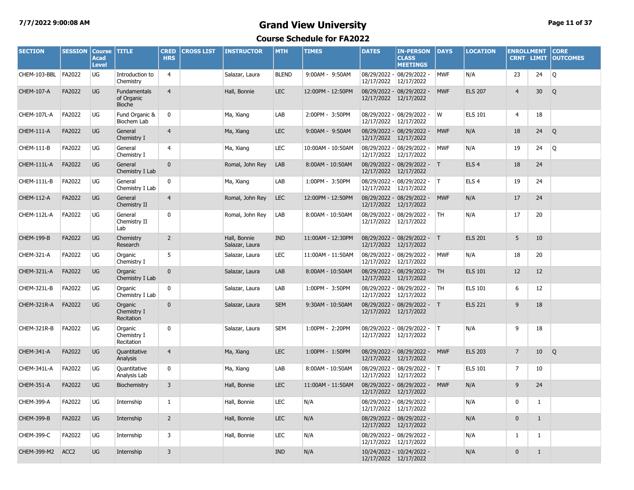#### **7/7/2022 9:00:08 AM Grand View University Page 11 of 37**

| <b>SECTION</b>      | <b>SESSION</b>   | <b>Course</b><br><b>Acad</b><br><b>Level</b> | <b>TITLE</b>                         | <b>CRED</b><br><b>HRS</b> | <b>CROSS LIST</b> | <b>INSTRUCTOR</b>              | <b>MTH</b>   | <b>TIMES</b>      | <b>DATES</b> | <b>IN-PERSON</b><br><b>CLASS</b><br><b>MEETINGS</b>  | <b>DAYS</b> | <b>LOCATION</b>  | <b>ENROLLMENT</b> | CRNT LIMIT   | <b>CORE</b><br><b>OUTCOMES</b> |
|---------------------|------------------|----------------------------------------------|--------------------------------------|---------------------------|-------------------|--------------------------------|--------------|-------------------|--------------|------------------------------------------------------|-------------|------------------|-------------------|--------------|--------------------------------|
| CHEM-103-BBL FA2022 |                  | UG                                           | Introduction to<br>Chemistry         | $\overline{4}$            |                   | Salazar, Laura                 | <b>BLEND</b> | 9:00AM - 9:50AM   | 12/17/2022   | 08/29/2022 - 08/29/2022 -<br>12/17/2022              | <b>MWF</b>  | N/A              | 23                | 24           | Q                              |
| CHEM-107-A          | FA2022           | UG                                           | Fundamentals<br>of Organic<br>Bioche | $\overline{4}$            |                   | Hall, Bonnie                   | <b>LEC</b>   | 12:00PM - 12:50PM |              | 08/29/2022 - 08/29/2022 -<br>12/17/2022 12/17/2022   | <b>MWF</b>  | <b>ELS 207</b>   | $\overline{4}$    | 30           | Q                              |
| CHEM-107L-A         | FA2022           | UG                                           | Fund Organic &<br><b>Biochem Lab</b> | 0                         |                   | Ma, Xiang                      | LAB          | 2:00PM - 3:50PM   |              | 08/29/2022 - 08/29/2022 -<br>12/17/2022 12/17/2022   | W           | <b>ELS 101</b>   | 4                 | 18           |                                |
| CHEM-111-A          | FA2022           | UG                                           | General<br>Chemistry I               | $\overline{4}$            |                   | Ma, Xiang                      | LEC.         | 9:00AM - 9:50AM   | 12/17/2022   | 08/29/2022 - 08/29/2022 -<br>12/17/2022              | <b>MWF</b>  | N/A              | 18                | 24           | Q                              |
| CHEM-111-B          | FA2022           | UG                                           | General<br>Chemistry I               | 4                         |                   | Ma, Xiang                      | <b>LEC</b>   | 10:00AM - 10:50AM |              | 08/29/2022 - 08/29/2022 -<br>12/17/2022 12/17/2022   | <b>MWF</b>  | N/A              | 19                | 24           | Q                              |
| CHEM-111L-A         | FA2022           | UG                                           | General<br>Chemistry I Lab           | $\mathbf 0$               |                   | Romal, John Rey                | LAB          | 8:00AM - 10:50AM  | 12/17/2022   | 08/29/2022 - 08/29/2022 - T<br>12/17/2022            |             | ELS <sub>4</sub> | 18                | 24           |                                |
| CHEM-111L-B         | FA2022           | UG                                           | General<br>Chemistry I Lab           | 0                         |                   | Ma, Xiang                      | LAB          | 1:00PM - 3:50PM   |              | 08/29/2022 - 08/29/2022 -<br>12/17/2022 12/17/2022   | IT.         | ELS <sub>4</sub> | 19                | 24           |                                |
| CHEM-112-A          | FA2022           | UG                                           | General<br>Chemistry II              | $\overline{4}$            |                   | Romal, John Rey                | <b>LEC</b>   | 12:00PM - 12:50PM | 12/17/2022   | 08/29/2022 - 08/29/2022 -<br>12/17/2022              | <b>MWF</b>  | N/A              | 17                | 24           |                                |
| CHEM-112L-A         | FA2022           | UG                                           | General<br>Chemistry II<br>Lab       | 0                         |                   | Romal, John Rey                | LAB          | 8:00AM - 10:50AM  |              | 08/29/2022 - 08/29/2022 -<br>12/17/2022 12/17/2022   | TH          | N/A              | 17                | 20           |                                |
| <b>CHEM-199-B</b>   | FA2022           | UG                                           | Chemistry<br>Research                | $\overline{2}$            |                   | Hall, Bonnie<br>Salazar, Laura | <b>IND</b>   | 11:00AM - 12:30PM | 12/17/2022   | 08/29/2022 - 08/29/2022 - T<br>12/17/2022            |             | <b>ELS 201</b>   | 5                 | 10           |                                |
| CHEM-321-A          | FA2022           | UG                                           | Organic<br>Chemistry I               | 5                         |                   | Salazar, Laura                 | <b>LEC</b>   | 11:00AM - 11:50AM |              | 08/29/2022 - 08/29/2022 -<br>12/17/2022 12/17/2022   | <b>MWF</b>  | N/A              | 18                | 20           |                                |
| CHEM-321L-A         | FA2022           | UG                                           | Organic<br>Chemistry I Lab           | $\Omega$                  |                   | Salazar, Laura                 | LAB          | 8:00AM - 10:50AM  | 12/17/2022   | 08/29/2022 - 08/29/2022 -<br>12/17/2022              | <b>TH</b>   | <b>ELS 101</b>   | 12                | 12           |                                |
| CHEM-321L-B         | FA2022           | UG                                           | Organic<br>Chemistry I Lab           | 0                         |                   | Salazar, Laura                 | LAB          | 1:00PM - 3:50PM   | 12/17/2022   | 08/29/2022 - 08/29/2022 -<br>12/17/2022              | <b>TH</b>   | <b>ELS 101</b>   | 6                 | 12           |                                |
| CHEM-321R-A         | FA2022           | UG                                           | Organic<br>Chemistry I<br>Recitation | $\mathbf{0}$              |                   | Salazar, Laura                 | <b>SEM</b>   | 9:30AM - 10:50AM  |              | 08/29/2022 - 08/29/2022 - T<br>12/17/2022 12/17/2022 |             | <b>ELS 221</b>   | 9                 | 18           |                                |
| CHEM-321R-B         | FA2022           | UG                                           | Organic<br>Chemistry I<br>Recitation | 0                         |                   | Salazar, Laura                 | <b>SEM</b>   | 1:00PM - 2:20PM   | 12/17/2022   | 08/29/2022 - 08/29/2022 -<br>12/17/2022              | IT.         | N/A              | 9                 | 18           |                                |
| CHEM-341-A          | FA2022           | <b>UG</b>                                    | Quantitative<br>Analysis             | $\overline{4}$            |                   | Ma, Xiang                      | <b>LEC</b>   | 1:00PM - 1:50PM   |              | 08/29/2022 - 08/29/2022 -<br>12/17/2022 12/17/2022   | <b>MWF</b>  | <b>ELS 203</b>   | $7\overline{ }$   | 10           | Q                              |
| CHEM-341L-A         | FA2022           | UG                                           | Ouantitative<br>Analysis Lab         | 0                         |                   | Ma, Xiang                      | LAB          | 8:00AM - 10:50AM  | 12/17/2022   | 08/29/2022 - 08/29/2022 -<br>12/17/2022              | IT.         | <b>ELS 101</b>   | $\overline{7}$    | 10           |                                |
| <b>CHEM-351-A</b>   | FA2022           | <b>UG</b>                                    | Biochemistry                         | 3                         |                   | Hall, Bonnie                   | <b>LEC</b>   | 11:00AM - 11:50AM |              | 08/29/2022 - 08/29/2022 -<br>12/17/2022 12/17/2022   | <b>MWF</b>  | N/A              | 9                 | 24           |                                |
| <b>CHEM-399-A</b>   | FA2022           | UG                                           | Internship                           | 1                         |                   | Hall, Bonnie                   | LEC          | N/A               |              | 08/29/2022 - 08/29/2022 -<br>12/17/2022 12/17/2022   |             | N/A              | 0                 | $\mathbf{1}$ |                                |
| <b>CHEM-399-B</b>   | FA2022           | UG                                           | Internship                           | $\overline{2}$            |                   | Hall, Bonnie                   | <b>LEC</b>   | N/A               |              | 08/29/2022 - 08/29/2022 -<br>12/17/2022 12/17/2022   |             | N/A              | $\mathbf 0$       | $\mathbf{1}$ |                                |
| <b>CHEM-399-C</b>   | FA2022           | UG                                           | Internship                           | 3                         |                   | Hall, Bonnie                   | LEC          | N/A               |              | 08/29/2022 - 08/29/2022 -<br>12/17/2022 12/17/2022   |             | N/A              | 1                 | $\mathbf{1}$ |                                |
| CHEM-399-M2         | ACC <sub>2</sub> | UG                                           | Internship                           | 3                         |                   |                                | <b>IND</b>   | N/A               |              | 10/24/2022 - 10/24/2022 -<br>12/17/2022 12/17/2022   |             | N/A              | $\mathbf{0}$      | $\mathbf{1}$ |                                |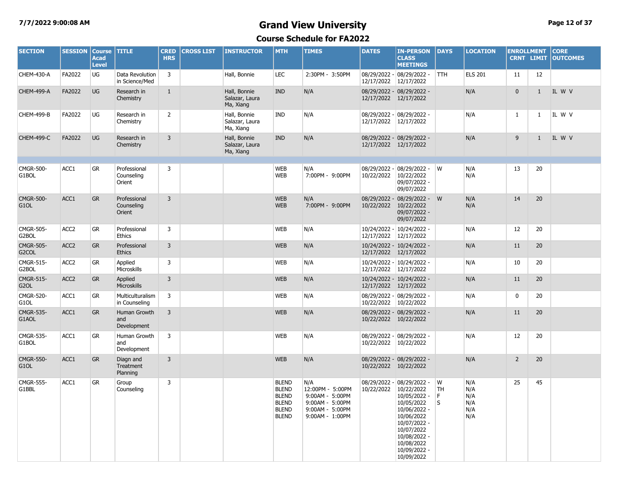#### **7/7/2022 9:00:08 AM Grand View University Page 12 of 37**

| <b>SECTION</b>                         | <b>SESSION Course</b> | <b>Acad</b><br><b>Level</b> | <b>TITLE</b>                              | <b>CRED</b><br><b>HRS</b> | <b>CROSS LIST</b> | <b>INSTRUCTOR</b>                           | <b>MTH</b>                                                                                   | <b>TIMES</b>                                                                                        | <b>DATES</b>               | <b>IN-PERSON</b><br><b>CLASS</b><br><b>MEETINGS</b>                                                                                                                              | <b>DAYS</b>        | <b>LOCATION</b>                        |                | <b>ENROLLMENT</b><br><b>CRNT LIMIT</b> | <b>CORE</b><br><b>OUTCOMES</b> |
|----------------------------------------|-----------------------|-----------------------------|-------------------------------------------|---------------------------|-------------------|---------------------------------------------|----------------------------------------------------------------------------------------------|-----------------------------------------------------------------------------------------------------|----------------------------|----------------------------------------------------------------------------------------------------------------------------------------------------------------------------------|--------------------|----------------------------------------|----------------|----------------------------------------|--------------------------------|
| CHEM-430-A                             | FA2022                | UG                          | Data Revolution<br>in Science/Med         | $\overline{3}$            |                   | Hall, Bonnie                                | <b>LEC</b>                                                                                   | 2:30PM - 3:50PM                                                                                     | 12/17/2022 12/17/2022      | 08/29/2022 - 08/29/2022 -                                                                                                                                                        | <b>TTH</b>         | <b>ELS 201</b>                         | 11             | 12                                     |                                |
| CHEM-499-A                             | FA2022                | <b>UG</b>                   | Research in<br>Chemistry                  | $\mathbf{1}$              |                   | Hall, Bonnie<br>Salazar, Laura<br>Ma, Xiang | <b>IND</b>                                                                                   | N/A                                                                                                 | 12/17/2022 12/17/2022      | 08/29/2022 - 08/29/2022 -                                                                                                                                                        |                    | N/A                                    | $\mathbf{0}$   | $\mathbf{1}$                           | IL W V                         |
| <b>CHEM-499-B</b>                      | FA2022                | UG                          | Research in<br>Chemistry                  | $\overline{2}$            |                   | Hall, Bonnie<br>Salazar, Laura<br>Ma, Xiang | IND                                                                                          | N/A                                                                                                 |                            | 08/29/2022 - 08/29/2022 -<br>12/17/2022 12/17/2022                                                                                                                               |                    | N/A                                    | $\mathbf{1}$   | 1                                      | IL W V                         |
| <b>CHEM-499-C</b>                      | FA2022                | <b>UG</b>                   | Research in<br>Chemistry                  | $\overline{3}$            |                   | Hall, Bonnie<br>Salazar, Laura<br>Ma, Xiang | <b>IND</b>                                                                                   | N/A                                                                                                 | 12/17/2022 12/17/2022      | 08/29/2022 - 08/29/2022 -                                                                                                                                                        |                    | N/A                                    | 9              | $\mathbf{1}$                           | IL W V                         |
| <b>CMGR-500-</b><br>G1BOL              | ACC1                  | <b>GR</b>                   | Professional<br>Counseling<br>Orient      | $\overline{3}$            |                   |                                             | <b>WEB</b><br><b>WEB</b>                                                                     | N/A<br>7:00PM - 9:00PM                                                                              | 10/22/2022                 | 08/29/2022 - 08/29/2022 - W<br>10/22/2022<br>09/07/2022 -<br>09/07/2022                                                                                                          |                    | N/A<br>N/A                             | 13             | 20                                     |                                |
| <b>CMGR-500-</b><br>G <sub>1</sub> OL  | ACC1                  | <b>GR</b>                   | Professional<br>Counseling<br>Orient      | 3                         |                   |                                             | <b>WEB</b><br><b>WEB</b>                                                                     | N/A<br>7:00PM - 9:00PM                                                                              | 10/22/2022                 | 08/29/2022 - 08/29/2022 - W<br>10/22/2022<br>09/07/2022 -<br>09/07/2022                                                                                                          |                    | N/A<br>N/A                             | 14             | 20                                     |                                |
| CMGR-505-<br>G2BOL                     | ACC <sub>2</sub>      | <b>GR</b>                   | Professional<br>Ethics                    | $\overline{3}$            |                   |                                             | <b>WEB</b>                                                                                   | N/A                                                                                                 | 12/17/2022                 | 10/24/2022 - 10/24/2022 -<br>12/17/2022                                                                                                                                          |                    | N/A                                    | 12             | 20                                     |                                |
| <b>CMGR-505-</b><br>G <sub>2</sub> COL | ACC <sub>2</sub>      | <b>GR</b>                   | Professional<br><b>Ethics</b>             | $\overline{3}$            |                   |                                             | <b>WEB</b>                                                                                   | N/A                                                                                                 |                            | 10/24/2022 - 10/24/2022 -<br>12/17/2022 12/17/2022                                                                                                                               |                    | N/A                                    | 11             | 20                                     |                                |
| CMGR-515-<br>G2BOL                     | ACC <sub>2</sub>      | <b>GR</b>                   | Applied<br>Microskills                    | $\overline{3}$            |                   |                                             | <b>WEB</b>                                                                                   | N/A                                                                                                 | 12/17/2022 12/17/2022      | 10/24/2022 - 10/24/2022 -                                                                                                                                                        |                    | N/A                                    | 10             | 20                                     |                                |
| CMGR-515-<br>G <sub>2</sub> OL         | ACC <sub>2</sub>      | <b>GR</b>                   | Applied<br>Microskills                    | $\overline{3}$            |                   |                                             | <b>WEB</b>                                                                                   | N/A                                                                                                 |                            | 10/24/2022 - 10/24/2022 -<br>12/17/2022 12/17/2022                                                                                                                               |                    | N/A                                    | 11             | 20                                     |                                |
| <b>CMGR-520-</b><br>G1OL               | ACC1                  | <b>GR</b>                   | Multiculturalism<br>in Counseling         | 3                         |                   |                                             | <b>WEB</b>                                                                                   | N/A                                                                                                 | 10/22/2022                 | 08/29/2022 - 08/29/2022 -<br>10/22/2022                                                                                                                                          |                    | N/A                                    | 0              | 20                                     |                                |
| <b>CMGR-535-</b><br>G1AOL              | ACC1                  | <b>GR</b>                   | Human Growth<br>and<br>Development        | $\overline{3}$            |                   |                                             | <b>WEB</b>                                                                                   | N/A                                                                                                 |                            | 08/29/2022 - 08/29/2022 -<br>10/22/2022 10/22/2022                                                                                                                               |                    | N/A                                    | 11             | 20                                     |                                |
| CMGR-535-<br>G1BOL                     | ACC1                  | <b>GR</b>                   | Human Growth<br>and<br>Development        | 3                         |                   |                                             | <b>WEB</b>                                                                                   | N/A                                                                                                 |                            | 08/29/2022 - 08/29/2022 -<br>10/22/2022 10/22/2022                                                                                                                               |                    | N/A                                    | 12             | 20                                     |                                |
| <b>CMGR-550-</b><br>G <sub>1</sub> OL  | ACC1                  | <b>GR</b>                   | Diagn and<br><b>Treatment</b><br>Planning | 3                         |                   |                                             | <b>WEB</b>                                                                                   | N/A                                                                                                 | 10/22/2022 10/22/2022      | 08/29/2022 - 08/29/2022 -                                                                                                                                                        |                    | N/A                                    | $\overline{2}$ | 20                                     |                                |
| <b>CMGR-555-</b><br>G1BBL              | ACC1                  | <b>GR</b>                   | Group<br>Counseling                       | 3                         |                   |                                             | <b>BLEND</b><br><b>BLEND</b><br><b>BLEND</b><br><b>BLEND</b><br><b>BLEND</b><br><b>BLEND</b> | N/A<br>12:00PM - 5:00PM<br>9:00AM - 5:00PM<br>9:00AM - 5:00PM<br>9:00AM - 5:00PM<br>9:00AM - 1:00PM | 08/29/2022 -<br>10/22/2022 | 08/29/2022 -<br>10/22/2022<br>10/05/2022 -<br>10/05/2022<br>10/06/2022 -<br>10/06/2022<br>10/07/2022 -<br>10/07/2022<br>10/08/2022 -<br>10/08/2022<br>10/09/2022 -<br>10/09/2022 | W<br>TH<br>F.<br>S | N/A<br>N/A<br>N/A<br>N/A<br>N/A<br>N/A | 25             | 45                                     |                                |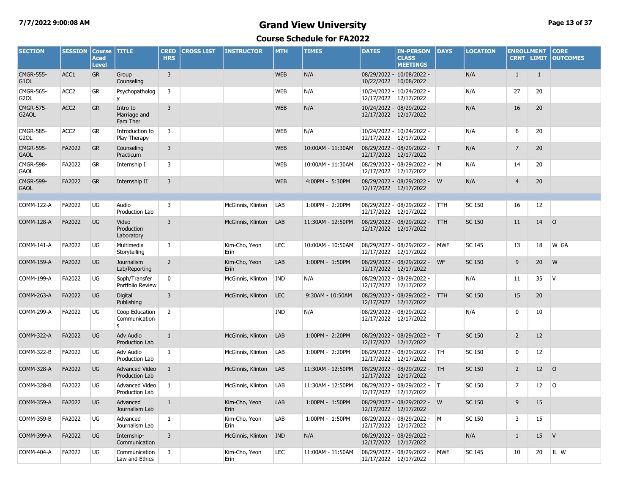## **7/7/2022 9:00:08 AM Grand View University Page 13 of 37**

| <b>SECTION</b>                        | <b>SESSION</b>   | <b>Course</b><br><b>Acad</b><br><b>Level</b> | <b>TITLE</b>                            | <b>CRED</b><br><b>HRS</b> | <b>CROSS LIST</b> | <b>INSTRUCTOR</b>     | <b>MTH</b> | <b>TIMES</b>      | <b>DATES</b> | <b>IN-PERSON</b><br><b>CLASS</b><br><b>MEETINGS</b>  | <b>DAYS</b>  | <b>LOCATION</b> | <b>ENROLLMENT</b><br><b>CRNT LIMIT</b> |              | <b>CORE</b><br><b>OUTCOMES</b> |
|---------------------------------------|------------------|----------------------------------------------|-----------------------------------------|---------------------------|-------------------|-----------------------|------------|-------------------|--------------|------------------------------------------------------|--------------|-----------------|----------------------------------------|--------------|--------------------------------|
| <b>CMGR-555-</b><br>G1OL              | ACC1             | <b>GR</b>                                    | Group<br>Counseling                     | 3                         |                   |                       | <b>WEB</b> | N/A               |              | 08/29/2022 - 10/08/2022 -<br>10/22/2022 10/08/2022   |              | N/A             | $\mathbf{1}$                           | $\mathbf{1}$ |                                |
| <b>CMGR-565-</b><br>G <sub>2</sub> OL | ACC <sub>2</sub> | <b>GR</b>                                    | Psychopatholog<br>v                     | 3                         |                   |                       | <b>WEB</b> | N/A               |              | 10/24/2022 - 10/24/2022 -<br>12/17/2022 12/17/2022   |              | N/A             | 27                                     | 20           |                                |
| <b>CMGR-575-</b><br>G2AOL             | ACC <sub>2</sub> | <b>GR</b>                                    | Intro to<br>Marriage and<br>Fam Ther    | $\overline{3}$            |                   |                       | <b>WEB</b> | N/A               |              | 10/24/2022 - 08/29/2022 -<br>12/17/2022 12/17/2022   |              | N/A             | 16                                     | 20           |                                |
| <b>CMGR-585-</b><br>G <sub>2</sub> OL | ACC <sub>2</sub> | <b>GR</b>                                    | Introduction to<br>Play Therapy         | 3                         |                   |                       | <b>WEB</b> | N/A               |              | 10/24/2022 - 10/24/2022 -<br>12/17/2022 12/17/2022   |              | N/A             | 6                                      | 20           |                                |
| <b>CMGR-595-</b><br><b>GAOL</b>       | FA2022           | <b>GR</b>                                    | Counseling<br>Practicum                 | 3                         |                   |                       | <b>WEB</b> | 10:00AM - 11:30AM | 12/17/2022   | 08/29/2022 - 08/29/2022 - T<br>12/17/2022            |              | N/A             | $\overline{7}$                         | 20           |                                |
| <b>CMGR-598-</b><br><b>GAOL</b>       | FA2022           | <b>GR</b>                                    | Internship I                            | 3                         |                   |                       | <b>WEB</b> | 10:00AM - 11:30AM | 12/17/2022   | 08/29/2022 - 08/29/2022 -<br>12/17/2022              | $\mathsf{M}$ | N/A             | 14                                     | 20           |                                |
| <b>CMGR-599-</b><br><b>GAOL</b>       | FA2022           | <b>GR</b>                                    | Internship II                           | 3                         |                   |                       | <b>WEB</b> | 4:00PM - 5:30PM   |              | 08/29/2022 - 08/29/2022 - W<br>12/17/2022 12/17/2022 |              | N/A             | $\overline{4}$                         | 20           |                                |
|                                       |                  |                                              |                                         |                           |                   |                       |            |                   |              |                                                      |              |                 |                                        |              |                                |
| COMM-122-A                            | FA2022           | UG                                           | Audio<br>Production Lab                 | 3                         |                   | McGinnis, Klinton     | LAB        | 1:00PM - 2:20PM   | 12/17/2022   | 08/29/2022 - 08/29/2022 -<br>12/17/2022              | <b>TTH</b>   | SC 150          | 16                                     | 12           |                                |
| <b>COMM-128-A</b>                     | FA2022           | UG                                           | Video<br>Production<br>Laboratory       | $\overline{3}$            |                   | McGinnis, Klinton     | LAB        | 11:30AM - 12:50PM |              | 08/29/2022 - 08/29/2022 -<br>12/17/2022 12/17/2022   | <b>TTH</b>   | <b>SC 150</b>   | 11                                     | 14           | $\circ$                        |
| COMM-141-A                            | FA2022           | UG                                           | Multimedia<br>Storytelling              | 3                         |                   | Kim-Cho, Yeon<br>Erin | <b>LEC</b> | 10:00AM - 10:50AM | 12/17/2022   | 08/29/2022 - 08/29/2022 -<br>12/17/2022              | <b>MWF</b>   | <b>SC 145</b>   | 13                                     | 18           | W GA                           |
| <b>COMM-159-A</b>                     | FA2022           | <b>UG</b>                                    | Journalism<br>Lab/Reporting             | $\overline{2}$            |                   | Kim-Cho, Yeon<br>Erin | LAB        | 1:00PM - 1:50PM   | 12/17/2022   | 08/29/2022 - 08/29/2022 -<br>12/17/2022              | <b>WF</b>    | <b>SC 150</b>   | 9                                      | 20           | W                              |
| COMM-199-A                            | FA2022           | UG                                           | Soph/Transfer<br>Portfolio Review       | 0                         |                   | McGinnis, Klinton     | IND        | N/A               | 12/17/2022   | 08/29/2022 - 08/29/2022 -<br>12/17/2022              |              | N/A             | 11                                     | 35           | <b>V</b>                       |
| <b>COMM-263-A</b>                     | FA2022           | UG                                           | Digital<br>Publishing                   | 3                         |                   | McGinnis, Klinton     | <b>LEC</b> | 9:30AM - 10:50AM  | 12/17/2022   | 08/29/2022 - 08/29/2022 -<br>12/17/2022              | <b>TTH</b>   | <b>SC 150</b>   | 15                                     | 20           |                                |
| COMM-299-A                            | FA2022           | UG                                           | Coop Education<br>Communication<br>s    | $\overline{2}$            |                   |                       | <b>IND</b> | N/A               | 12/17/2022   | 08/29/2022 - 08/29/2022 -<br>12/17/2022              |              | N/A             | $\mathbf 0$                            | 10           |                                |
| COMM-322-A                            | FA2022           | <b>UG</b>                                    | Adv Audio<br>Production Lab             | $\mathbf{1}$              |                   | McGinnis, Klinton     | LAB        | 1:00PM - 2:20PM   |              | 08/29/2022 - 08/29/2022 - T<br>12/17/2022 12/17/2022 |              | <b>SC 150</b>   | $\overline{2}$                         | 12           |                                |
| COMM-322-B                            | FA2022           | UG                                           | Adv Audio<br>Production Lab             | $\mathbf{1}$              |                   | McGinnis, Klinton     | LAB        | 1:00PM - 2:20PM   | 12/17/2022   | 08/29/2022 - 08/29/2022 -<br>12/17/2022              | TH           | SC 150          | 0                                      | 12           |                                |
| <b>COMM-328-A</b>                     | FA2022           | UG                                           | <b>Advanced Video</b><br>Production Lab | $\mathbf{1}$              |                   | McGinnis, Klinton     | LAB        | 11:30AM - 12:50PM | 12/17/2022   | 08/29/2022 - 08/29/2022 -<br>12/17/2022              | <b>TH</b>    | <b>SC 150</b>   | $\overline{2}$                         | 12           | $\circ$                        |
| COMM-328-B                            | FA2022           | UG                                           | Advanced Video<br>Production Lab        | $\mathbf{1}$              |                   | McGinnis, Klinton     | LAB        | 11:30AM - 12:50PM | 12/17/2022   | 08/29/2022 - 08/29/2022 -<br>12/17/2022              | IT.          | SC 150          | $\overline{7}$                         | 12           | l O                            |
| <b>COMM-359-A</b>                     | FA2022           | <b>UG</b>                                    | Advanced<br>Journalism Lab              | $\mathbf{1}$              |                   | Kim-Cho, Yeon<br>Erin | LAB        | 1:00PM - 1:50PM   | 12/17/2022   | 08/29/2022 - 08/29/2022 - W<br>12/17/2022            |              | <b>SC 150</b>   | 9                                      | 15           |                                |
| COMM-359-B                            | FA2022           | UG                                           | Advanced<br>Journalism Lab              | $\mathbf{1}$              |                   | Kim-Cho, Yeon<br>Erin | LAB        | 1:00PM - 1:50PM   | 12/17/2022   | 08/29/2022 - 08/29/2022 -<br>12/17/2022              | <b>M</b>     | SC 150          | 3                                      | 15           |                                |
| <b>COMM-399-A</b>                     | FA2022           | UG                                           | Internship-<br>Communication            | 3                         |                   | McGinnis, Klinton     | <b>IND</b> | N/A               | 12/17/2022   | 08/29/2022 - 08/29/2022 -<br>12/17/2022              |              | N/A             | $\mathbf{1}$                           | 15           | V                              |
| COMM-404-A                            | FA2022           | UG                                           | Communication<br>Law and Ethics         | 3                         |                   | Kim-Cho, Yeon<br>Erin | <b>LEC</b> | 11:00AM - 11:50AM |              | 08/29/2022 - 08/29/2022 -<br>12/17/2022 12/17/2022   | <b>MWF</b>   | <b>SC 145</b>   | 10                                     | 20           | IL W                           |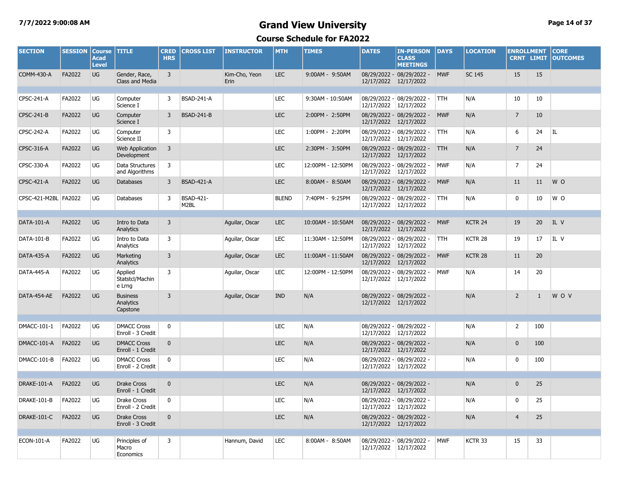### **7/7/2022 9:00:08 AM Grand View University Page 14 of 37**

| <b>SECTION</b>       | <b>SESSION</b> | <b>Course</b><br><b>Acad</b><br><b>Level</b> | <b>TITLE</b>                             | <b>CRED</b><br><b>HRS</b> | <b>CROSS LIST</b>        | <b>INSTRUCTOR</b>     | <b>MTH</b>   | <b>TIMES</b>      | <b>DATES</b> | <b>IN-PERSON</b><br><b>CLASS</b><br><b>MEETINGS</b> | <b>DAYS</b> | <b>LOCATION</b>    | <b>ENROLLMENT</b><br><b>CRNT LIMIT</b> |     | <b>CORE</b><br><b>OUTCOMES</b> |
|----------------------|----------------|----------------------------------------------|------------------------------------------|---------------------------|--------------------------|-----------------------|--------------|-------------------|--------------|-----------------------------------------------------|-------------|--------------------|----------------------------------------|-----|--------------------------------|
| <b>COMM-430-A</b>    | FA2022         | <b>UG</b>                                    | Gender, Race,<br>Class and Media         | $\overline{3}$            |                          | Kim-Cho, Yeon<br>Erin | <b>LEC</b>   | 9:00AM - 9:50AM   |              | 08/29/2022 - 08/29/2022 -<br>12/17/2022 12/17/2022  | <b>MWF</b>  | <b>SC 145</b>      | 15                                     | 15  |                                |
| CPSC-241-A           | FA2022         | UG                                           | Computer<br>Science I                    | 3                         | <b>BSAD-241-A</b>        |                       | <b>LEC</b>   | 9:30AM - 10:50AM  | 12/17/2022   | 08/29/2022 - 08/29/2022 -<br>12/17/2022             | <b>TTH</b>  | N/A                | 10                                     | 10  |                                |
| CPSC-241-B           | FA2022         | <b>UG</b>                                    | Computer<br>Science I                    | 3                         | <b>BSAD-241-B</b>        |                       | <b>LEC</b>   | 2:00PM - 2:50PM   | 12/17/2022   | 08/29/2022 - 08/29/2022 -<br>12/17/2022             | <b>MWF</b>  | N/A                | $\overline{7}$                         | 10  |                                |
| CPSC-242-A           | FA2022         | UG                                           | Computer<br>Science II                   | 3                         |                          |                       | <b>LEC</b>   | 1:00PM - 2:20PM   |              | 08/29/2022 - 08/29/2022 -<br>12/17/2022 12/17/2022  | <b>TTH</b>  | N/A                | 6                                      | 24  | IL                             |
| CPSC-316-A           | FA2022         | <b>UG</b>                                    | Web Application<br>Development           | 3                         |                          |                       | <b>LEC</b>   | 2:30PM - 3:50PM   | 12/17/2022   | 08/29/2022 - 08/29/2022 -<br>12/17/2022             | <b>TTH</b>  | N/A                | $\overline{7}$                         | 24  |                                |
| CPSC-330-A           | FA2022         | UG                                           | Data Structures<br>and Algorithms        | 3                         |                          |                       | <b>LEC</b>   | 12:00PM - 12:50PM |              | 08/29/2022 - 08/29/2022 -<br>12/17/2022 12/17/2022  | <b>MWF</b>  | N/A                | $\overline{7}$                         | 24  |                                |
| CPSC-421-A           | FA2022         | <b>UG</b>                                    | <b>Databases</b>                         | 3                         | <b>BSAD-421-A</b>        |                       | <b>LEC</b>   | 8:00AM - 8:50AM   |              | 08/29/2022 - 08/29/2022 -<br>12/17/2022 12/17/2022  | <b>MWF</b>  | N/A                | 11                                     | 11  | W O                            |
| CPSC-421-M2BL FA2022 |                | UG                                           | Databases                                | $\overline{3}$            | <b>BSAD-421-</b><br>M2BL |                       | <b>BLEND</b> | 7:40PM - 9:25PM   |              | 08/29/2022 - 08/29/2022 -<br>12/17/2022 12/17/2022  | TTH         | N/A                | 0                                      | 10  | W O                            |
| DATA-101-A           | FA2022         | <b>UG</b>                                    | Intro to Data                            | $\overline{3}$            |                          | Aquilar, Oscar        | <b>LEC</b>   | 10:00AM - 10:50AM |              | 08/29/2022 - 08/29/2022 -                           | <b>MWF</b>  | KCTR 24            | 19                                     | 20  | IL V                           |
|                      |                |                                              | Analytics                                |                           |                          |                       |              |                   | 12/17/2022   | 12/17/2022                                          |             |                    |                                        |     |                                |
| DATA-101-B           | FA2022         | UG                                           | Intro to Data<br>Analytics               | $\overline{3}$            |                          | Aquilar, Oscar        | <b>LEC</b>   | 11:30AM - 12:50PM |              | 08/29/2022 - 08/29/2022 -<br>12/17/2022 12/17/2022  | <b>TTH</b>  | KCTR <sub>28</sub> | 19                                     | 17  | IL V                           |
| <b>DATA-435-A</b>    | FA2022         | <b>UG</b>                                    | Marketing<br>Analytics                   | $\overline{3}$            |                          | Aquilar, Oscar        | <b>LEC</b>   | 11:00AM - 11:50AM |              | 08/29/2022 - 08/29/2022 -<br>12/17/2022 12/17/2022  | <b>MWF</b>  | KCTR <sub>28</sub> | 11                                     | 20  |                                |
| DATA-445-A           | FA2022         | UG                                           | Applied<br>Statstcl/Machin<br>e Lrng     | $\overline{3}$            |                          | Aquilar, Oscar        | <b>LEC</b>   | 12:00PM - 12:50PM |              | 08/29/2022 - 08/29/2022 -<br>12/17/2022 12/17/2022  | <b>MWF</b>  | N/A                | 14                                     | 20  |                                |
| DATA-454-AE          | FA2022         | UG                                           | <b>Business</b><br>Analytics<br>Capstone | $\overline{3}$            |                          | Aguilar, Oscar        | <b>IND</b>   | N/A               |              | 08/29/2022 - 08/29/2022 -<br>12/17/2022 12/17/2022  |             | N/A                | $\overline{2}$                         | 1   | <b>WOV</b>                     |
|                      |                |                                              |                                          |                           |                          |                       |              |                   |              |                                                     |             |                    |                                        |     |                                |
| DMACC-101-1          | FA2022         | UG                                           | <b>DMACC Cross</b><br>Enroll - 3 Credit  | 0                         |                          |                       | <b>LEC</b>   | N/A               |              | 08/29/2022 - 08/29/2022 -<br>12/17/2022 12/17/2022  |             | N/A                | $\overline{2}$                         | 100 |                                |
| DMACC-101-A          | FA2022         | <b>UG</b>                                    | <b>DMACC Cross</b><br>Enroll - 1 Credit  | $\mathbf{0}$              |                          |                       | <b>LEC</b>   | N/A               |              | 08/29/2022 - 08/29/2022 -<br>12/17/2022 12/17/2022  |             | N/A                | $\mathbf{0}$                           | 100 |                                |
| DMACC-101-B          | FA2022         | UG                                           | <b>DMACC Cross</b><br>Enroll - 2 Credit  | $\mathbf 0$               |                          |                       | <b>LEC</b>   | N/A               |              | 08/29/2022 - 08/29/2022 -<br>12/17/2022 12/17/2022  |             | N/A                | $\mathbf 0$                            | 100 |                                |
|                      | FA2022         | <b>UG</b>                                    | <b>Drake Cross</b>                       | $\mathbf{0}$              |                          |                       | <b>LEC</b>   |                   |              |                                                     |             |                    |                                        |     |                                |
| DRAKE-101-A          |                |                                              | Enroll - 1 Credit                        |                           |                          |                       |              | N/A               |              | 08/29/2022 - 08/29/2022 -<br>12/17/2022 12/17/2022  |             | N/A                | $\mathbf 0$                            | 25  |                                |
| DRAKE-101-B          | FA2022         | UG                                           | <b>Drake Cross</b><br>Enroll - 2 Credit  | $\mathbf 0$               |                          |                       | <b>LEC</b>   | N/A               | 12/17/2022   | 08/29/2022 - 08/29/2022 -<br>12/17/2022             |             | N/A                | $\mathbf 0$                            | 25  |                                |
| DRAKE-101-C          | FA2022         | UG                                           | <b>Drake Cross</b><br>Enroll - 3 Credit  | $\mathbf{0}$              |                          |                       | <b>LEC</b>   | N/A               |              | 08/29/2022 - 08/29/2022 -<br>12/17/2022 12/17/2022  |             | N/A                | $\overline{4}$                         | 25  |                                |
|                      |                |                                              |                                          |                           |                          |                       |              |                   |              |                                                     |             |                    |                                        |     |                                |
| <b>ECON-101-A</b>    | FA2022         | <b>UG</b>                                    | Principles of<br>Macro<br>Economics      | 3                         |                          | Hannum, David         | <b>LEC</b>   | 8:00AM - 8:50AM   |              | 08/29/2022 - 08/29/2022 -<br>12/17/2022 12/17/2022  | <b>MWF</b>  | KCTR <sub>33</sub> | 15                                     | 33  |                                |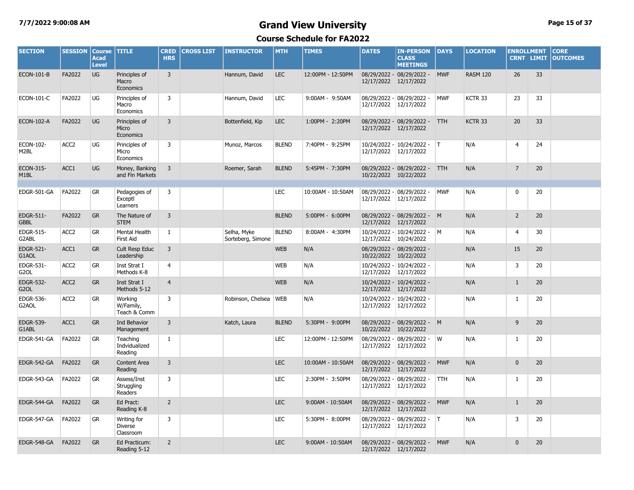#### **7/7/2022 9:00:08 AM Grand View University Page 15 of 37**

| <b>SECTION</b>                        | <b>SESSION</b>   | <b>Course</b><br>Acad<br><b>Level</b> | <b>TITLE</b>                               | <b>CRED</b><br><b>HRS</b> | <b>CROSS LIST</b> | <b>INSTRUCTOR</b>                | <b>MTH</b>   | <b>TIMES</b>      | <b>DATES</b>               | <b>IN-PERSON</b><br><b>CLASS</b><br><b>MEETINGS</b> | <b>DAYS</b> | <b>LOCATION</b>    | <b>ENROLLMENT</b><br><b>CRNT LIMIT</b> |    | <b>CORE</b><br><b>OUTCOMES</b> |
|---------------------------------------|------------------|---------------------------------------|--------------------------------------------|---------------------------|-------------------|----------------------------------|--------------|-------------------|----------------------------|-----------------------------------------------------|-------------|--------------------|----------------------------------------|----|--------------------------------|
| <b>ECON-101-B</b>                     | FA2022           | UG                                    | Principles of<br>Macro<br>Economics        | $\overline{3}$            |                   | Hannum, David                    | <b>LEC</b>   | 12:00PM - 12:50PM | 12/17/2022 12/17/2022      | 08/29/2022 - 08/29/2022 -                           | <b>MWF</b>  | <b>RASM 120</b>    | 26                                     | 33 |                                |
| <b>ECON-101-C</b>                     | FA2022           | UG                                    | Principles of<br>Macro<br>Economics        | 3                         |                   | Hannum, David                    | LEC          | 9:00AM - 9:50AM   | 12/17/2022                 | 08/29/2022 - 08/29/2022 -<br>12/17/2022             | <b>MWF</b>  | KCTR 33            | 23                                     | 33 |                                |
| <b>ECON-102-A</b>                     | FA2022           | <b>UG</b>                             | Principles of<br>Micro<br>Economics        | $\overline{3}$            |                   | Bottenfield, Kip                 | <b>LEC</b>   | 1:00PM - 2:20PM   | 12/17/2022                 | 08/29/2022 - 08/29/2022 -<br>12/17/2022             | <b>TTH</b>  | KCTR <sub>33</sub> | 20                                     | 33 |                                |
| ECON-102-<br>M <sub>2</sub> BL        | ACC <sub>2</sub> | UG                                    | Principles of<br>Micro<br>Economics        | 3                         |                   | Munoz, Marcos                    | <b>BLEND</b> | 7:40PM - 9:25PM   | 12/17/2022                 | 10/24/2022 - 10/24/2022 -<br>12/17/2022             | T           | N/A                | 4                                      | 24 |                                |
| ECON-315-<br>M <sub>1</sub> BL        | ACC1             | UG                                    | Money, Banking<br>and Fin Markets          | 3                         |                   | Roemer, Sarah                    | <b>BLEND</b> | 5:45PM - 7:30PM   | 10/22/2022 10/22/2022      | 08/29/2022 - 08/29/2022 -                           | <b>TTH</b>  | N/A                | $\overline{7}$                         | 20 |                                |
| EDGR-501-GA                           | FA2022           | GR                                    | Pedagogies of<br>Exceptl<br>Learners       | 3                         |                   |                                  | LEC          | 10:00AM - 10:50AM | 12/17/2022                 | 08/29/2022 - 08/29/2022 -<br>12/17/2022             | <b>MWF</b>  | N/A                | 0                                      | 20 |                                |
| EDGR-511-<br><b>GBBL</b>              | FA2022           | <b>GR</b>                             | The Nature of<br><b>STEM</b>               | $\overline{3}$            |                   |                                  | <b>BLEND</b> | 5:00PM - 6:00PM   | 12/17/2022 12/17/2022      | 08/29/2022 - 08/29/2022 - M                         |             | N/A                | $\overline{2}$                         | 20 |                                |
| EDGR-515-<br>G2ABL                    | ACC <sub>2</sub> | <b>GR</b>                             | Mental Health<br><b>First Aid</b>          | $\mathbf{1}$              |                   | Selha, Myke<br>Sorteberg, Simone | <b>BLEND</b> | 8:00AM - 4:30PM   | 12/17/2022                 | 10/24/2022 - 10/24/2022 - M<br>10/24/2022           |             | N/A                | $\overline{4}$                         | 30 |                                |
| EDGR-521-<br>G1AOL                    | ACC1             | <b>GR</b>                             | Cult Resp Educ<br>Leadership               | $\overline{3}$            |                   |                                  | <b>WEB</b>   | N/A               | 10/22/2022                 | 08/29/2022 - 08/29/2022 -<br>10/22/2022             |             | N/A                | 15                                     | 20 |                                |
| EDGR-531-<br>G <sub>2</sub> OL        | ACC <sub>2</sub> | <b>GR</b>                             | Inst Strat I<br>Methods K-8                | $\overline{4}$            |                   |                                  | <b>WEB</b>   | N/A               | 12/17/2022 12/17/2022      | 10/24/2022 - 10/24/2022 -                           |             | N/A                | 3                                      | 20 |                                |
| <b>EDGR-532-</b><br>G <sub>2</sub> OL | ACC <sub>2</sub> | <b>GR</b>                             | Inst Strat I<br>Methods 5-12               | $\overline{4}$            |                   |                                  | <b>WEB</b>   | N/A               | 12/17/2022 12/17/2022      | 10/24/2022 - 10/24/2022 -                           |             | N/A                | $\mathbf{1}$                           | 20 |                                |
| <b>EDGR-536-</b><br>G2AOL             | ACC <sub>2</sub> | GR                                    | Working<br>W/Family,<br>Teach & Comm       | 3                         |                   | Robinson, Chelsea                | <b>WEB</b>   | N/A               | 12/17/2022                 | 10/24/2022 - 10/24/2022 -<br>12/17/2022             |             | N/A                | $\mathbf{1}$                           | 20 |                                |
| <b>EDGR-539-</b><br>G1ABL             | ACC1             | <b>GR</b>                             | Ind Behavior<br>Management                 | $\overline{3}$            |                   | Katch, Laura                     | <b>BLEND</b> | 5:30PM - 9:00PM   | 10/22/2022                 | 08/29/2022 - 08/29/2022 - M<br>10/22/2022           |             | N/A                | $\overline{9}$                         | 20 |                                |
| EDGR-541-GA                           | FA2022           | GR                                    | Teaching<br>Indvidualized<br>Reading       | $\mathbf{1}$              |                   |                                  | LEC          | 12:00PM - 12:50PM | 08/29/2022 -<br>12/17/2022 | 08/29/2022 -<br>12/17/2022                          | W           | N/A                | 1                                      | 20 |                                |
| EDGR-542-GA                           | FA2022           | <b>GR</b>                             | Content Area<br>Reading                    | $\overline{3}$            |                   |                                  | <b>LEC</b>   | 10:00AM - 10:50AM | 12/17/2022                 | 08/29/2022 - 08/29/2022 -<br>12/17/2022             | <b>MWF</b>  | N/A                | $\mathbf 0$                            | 20 |                                |
| EDGR-543-GA                           | FA2022           | <b>GR</b>                             | Assess/Inst<br>Struggling<br>Readers       | 3                         |                   |                                  | <b>LEC</b>   | 2:30PM - 3:50PM   | 12/17/2022                 | 08/29/2022 - 08/29/2022 -<br>12/17/2022             | <b>TTH</b>  | N/A                | $\mathbf{1}$                           | 20 |                                |
| EDGR-544-GA                           | FA2022           | <b>GR</b>                             | Ed Pract:<br>Reading K-8                   | $\overline{2}$            |                   |                                  | <b>LEC</b>   | 9:00AM - 10:50AM  | 12/17/2022 12/17/2022      | 08/29/2022 - 08/29/2022 -                           | <b>MWF</b>  | N/A                | $\mathbf{1}$                           | 20 |                                |
| EDGR-547-GA                           | FA2022           | GR                                    | Writing for<br><b>Diverse</b><br>Classroom | 3                         |                   |                                  | LEC          | 5:30PM - 8:00PM   | 12/17/2022                 | 08/29/2022 - 08/29/2022 -   T<br>12/17/2022         |             | N/A                | 3                                      | 20 |                                |
| EDGR-548-GA                           | FA2022           | <b>GR</b>                             | Ed Practicum:<br>Reading 5-12              | $\overline{2}$            |                   |                                  | <b>LEC</b>   | 9:00AM - 10:50AM  | 12/17/2022 12/17/2022      | 08/29/2022 - 08/29/2022 -                           | <b>MWF</b>  | N/A                | $\mathbf{0}$                           | 20 |                                |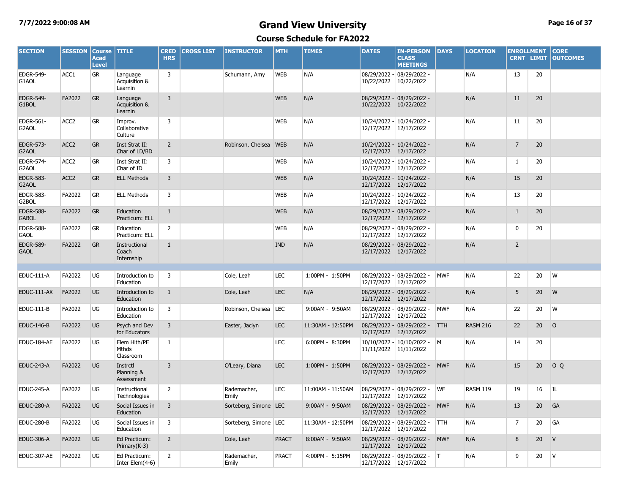#### **7/7/2022 9:00:08 AM Grand View University Page 16 of 37**

| <b>SECTION</b>                   | <b>SESSION</b>   | <b>Course</b><br><b>Acad</b><br><b>Level</b> | <b>TITLE</b>                         | <b>CRED</b><br><b>HRS</b> | <b>CROSS LIST</b> | <b>INSTRUCTOR</b>       | <b>MTH</b>   | <b>TIMES</b>      | <b>DATES</b>          | <b>IN-PERSON</b><br><b>CLASS</b><br><b>MEETINGS</b> | <b>DAYS</b> | <b>LOCATION</b> | <b>ENROLLMENT</b><br><b>CRNT LIMIT</b> |    | <b>CORE</b><br><b>OUTCOMES</b> |
|----------------------------------|------------------|----------------------------------------------|--------------------------------------|---------------------------|-------------------|-------------------------|--------------|-------------------|-----------------------|-----------------------------------------------------|-------------|-----------------|----------------------------------------|----|--------------------------------|
| EDGR-549-<br>G1AOL               | ACC1             | GR                                           | Language<br>Acquisition &<br>Learnin | 3                         |                   | Schumann, Amy           | <b>WEB</b>   | N/A               | 10/22/2022            | 08/29/2022 - 08/29/2022 -<br>10/22/2022             |             | N/A             | 13                                     | 20 |                                |
| <b>EDGR-549-</b><br>G1BOL        | FA2022           | <b>GR</b>                                    | Language<br>Acquisition &<br>Learnin | $\overline{3}$            |                   |                         | <b>WEB</b>   | N/A               |                       | 08/29/2022 - 08/29/2022 -<br>10/22/2022 10/22/2022  |             | N/A             | 11                                     | 20 |                                |
| EDGR-561-<br>G2AOL               | ACC <sub>2</sub> | <b>GR</b>                                    | Improv.<br>Collaborative<br>Culture  | 3                         |                   |                         | <b>WEB</b>   | N/A               |                       | 10/24/2022 - 10/24/2022 -<br>12/17/2022 12/17/2022  |             | N/A             | 11                                     | 20 |                                |
| <b>EDGR-573-</b><br>G2AOL        | ACC <sub>2</sub> | <b>GR</b>                                    | Inst Strat II:<br>Char of LD/BD      | $\overline{2}$            |                   | Robinson, Chelsea WEB   |              | N/A               | 12/17/2022 12/17/2022 | 10/24/2022 - 10/24/2022 -                           |             | N/A             | $\overline{7}$                         | 20 |                                |
| <b>EDGR-574-</b><br>G2AOL        | ACC <sub>2</sub> | <b>GR</b>                                    | Inst Strat II:<br>Char of ID         | 3                         |                   |                         | <b>WEB</b>   | N/A               | 12/17/2022 12/17/2022 | 10/24/2022 - 10/24/2022 -                           |             | N/A             | $\mathbf{1}$                           | 20 |                                |
| <b>EDGR-583-</b><br>G2AOL        | ACC <sub>2</sub> | <b>GR</b>                                    | <b>ELL Methods</b>                   | 3                         |                   |                         | <b>WEB</b>   | N/A               | 12/17/2022 12/17/2022 | 10/24/2022 - 10/24/2022 -                           |             | N/A             | 15                                     | 20 |                                |
| <b>EDGR-583-</b><br>G2BOL        | FA2022           | <b>GR</b>                                    | <b>ELL Methods</b>                   | 3                         |                   |                         | <b>WEB</b>   | N/A               | 12/17/2022 12/17/2022 | 10/24/2022 - 10/24/2022 -                           |             | N/A             | 13                                     | 20 |                                |
| <b>EDGR-588-</b><br><b>GABOL</b> | FA2022           | <b>GR</b>                                    | Education<br>Practicum: ELL          | $\mathbf{1}$              |                   |                         | <b>WEB</b>   | N/A               | 12/17/2022 12/17/2022 | 08/29/2022 - 08/29/2022 -                           |             | N/A             | $\mathbf{1}$                           | 20 |                                |
| <b>EDGR-588-</b><br><b>GAOL</b>  | FA2022           | <b>GR</b>                                    | Education<br>Practicum: ELL          | $\overline{2}$            |                   |                         | <b>WEB</b>   | N/A               | 12/17/2022            | 08/29/2022 - 08/29/2022 -<br>12/17/2022             |             | N/A             | $\mathbf 0$                            | 20 |                                |
| <b>EDGR-589-</b><br><b>GAOL</b>  | FA2022           | <b>GR</b>                                    | Instructional<br>Coach<br>Internship | $\mathbf{1}$              |                   |                         | <b>IND</b>   | N/A               | 12/17/2022 12/17/2022 | 08/29/2022 - 08/29/2022 -                           |             | N/A             | $\overline{2}$                         |    |                                |
|                                  |                  |                                              |                                      |                           |                   |                         |              |                   |                       |                                                     |             |                 |                                        |    |                                |
| EDUC-111-A                       | FA2022           | UG                                           | Introduction to<br>Education         | 3                         |                   | Cole, Leah              | <b>LEC</b>   | 1:00PM - 1:50PM   | 12/17/2022 12/17/2022 | 08/29/2022 - 08/29/2022 -                           | <b>MWF</b>  | N/A             | 22                                     | 20 | W                              |
| EDUC-111-AX                      | FA2022           | <b>UG</b>                                    | Introduction to<br>Education         | $\mathbf{1}$              |                   | Cole, Leah              | <b>LEC</b>   | N/A               | 12/17/2022 12/17/2022 | 08/29/2022 - 08/29/2022 -                           |             | N/A             | 5                                      | 20 | W                              |
| <b>EDUC-111-B</b>                | FA2022           | UG                                           | Introduction to<br>Education         | 3                         |                   | Robinson, Chelsea       | LEC          | 9:00AM - 9:50AM   | 12/17/2022            | 08/29/2022 - 08/29/2022 -<br>12/17/2022             | <b>MWF</b>  | N/A             | 22                                     | 20 | W                              |
| <b>EDUC-146-B</b>                | FA2022           | <b>UG</b>                                    | Psych and Dev<br>for Educators       | 3                         |                   | Easter, Jaclyn          | <b>LEC</b>   | 11:30AM - 12:50PM | 12/17/2022 12/17/2022 | 08/29/2022 - 08/29/2022 -                           | <b>TTH</b>  | <b>RASM 216</b> | 22                                     | 20 | $\circ$                        |
| EDUC-184-AE                      | FA2022           | UG                                           | Elem Hlth/PE<br>Mthds<br>Classroom   | $\mathbf{1}$              |                   |                         | <b>LEC</b>   | 6:00PM - 8:30PM   | 11/11/2022 11/11/2022 | 10/10/2022 - 10/10/2022 -                           | M           | N/A             | 14                                     | 20 |                                |
| <b>EDUC-243-A</b>                | FA2022           | <b>UG</b>                                    | Instrctl<br>Planning &<br>Assessment | $\overline{3}$            |                   | O'Leary, Diana          | <b>LEC</b>   | 1:00PM - 1:50PM   | 12/17/2022 12/17/2022 | 08/29/2022 - 08/29/2022 -                           | <b>MWF</b>  | N/A             | 15                                     | 20 | OQ                             |
| <b>EDUC-245-A</b>                | FA2022           | UG                                           | Instructional<br>Technologies        | $\overline{2}$            |                   | Rademacher,<br>Emily    | <b>LEC</b>   | 11:00AM - 11:50AM | 12/17/2022 12/17/2022 | 08/29/2022 - 08/29/2022 -                           | WF          | <b>RASM 119</b> | 19                                     | 16 | IL.                            |
| <b>EDUC-280-A</b>                | FA2022           | <b>UG</b>                                    | Social Issues in<br>Education        | 3                         |                   | Sorteberg, Simone LEC   |              | 9:00AM - 9:50AM   | 12/17/2022            | 08/29/2022 - 08/29/2022 -<br>12/17/2022             | <b>MWF</b>  | N/A             | 13                                     | 20 | GA                             |
| <b>EDUC-280-B</b>                | FA2022           | UG                                           | Social Issues in<br>Education        | 3                         |                   | Sorteberg, Simone   LEC |              | 11:30AM - 12:50PM | 12/17/2022 12/17/2022 | 08/29/2022 - 08/29/2022 -                           | TTH.        | N/A             | $\overline{7}$                         | 20 | GA                             |
| <b>EDUC-306-A</b>                | FA2022           | <b>UG</b>                                    | Ed Practicum:<br>Primary(K-3)        | $\overline{2}$            |                   | Cole, Leah              | <b>PRACT</b> | 8:00AM - 9:50AM   | 12/17/2022 12/17/2022 | 08/29/2022 - 08/29/2022 -                           | <b>MWF</b>  | N/A             | 8                                      | 20 | V                              |
| EDUC-307-AE                      | FA2022           | UG                                           | Ed Practicum:<br>Inter Elem(4-6)     | $\overline{2}$            |                   | Rademacher,<br>Emily    | <b>PRACT</b> | 4:00PM - 5:15PM   | 12/17/2022 12/17/2022 | 08/29/2022 - 08/29/2022 - T                         |             | N/A             | 9                                      | 20 | <b>V</b>                       |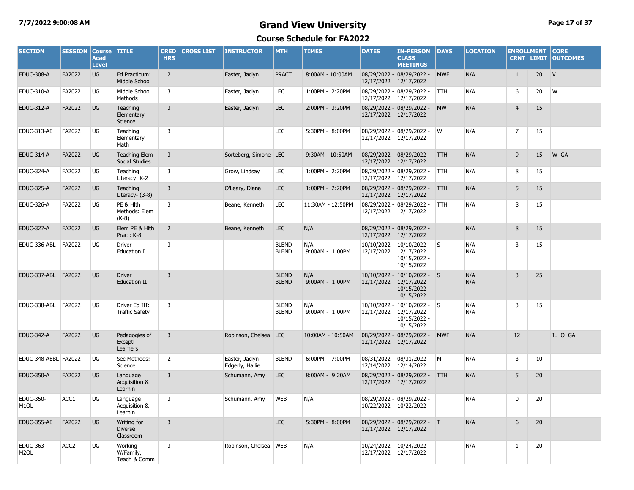#### **7/7/2022 9:00:08 AM Grand View University Page 17 of 37**

| <b>SECTION</b>                 | <b>SESSION</b>   | <b>Course</b><br><b>Acad</b><br><b>Level</b> | <b>TITLE</b>                               | <b>CRED</b><br><b>HRS</b> | <b>CROSS LIST</b> | <b>INSTRUCTOR</b>                 | <b>MTH</b>                   | <b>TIMES</b>           | <b>DATES</b>               | <b>IN-PERSON</b><br><b>CLASS</b><br><b>MEETINGS</b>                                | <b>DAYS</b> | <b>LOCATION</b> | <b>ENROLLMENT</b><br><b>CRNT LIMIT</b> |    | <b>CORE</b><br><b>OUTCOMES</b> |
|--------------------------------|------------------|----------------------------------------------|--------------------------------------------|---------------------------|-------------------|-----------------------------------|------------------------------|------------------------|----------------------------|------------------------------------------------------------------------------------|-------------|-----------------|----------------------------------------|----|--------------------------------|
| <b>EDUC-308-A</b>              | FA2022           | <b>UG</b>                                    | Ed Practicum:<br>Middle School             | $\overline{2}$            |                   | Easter, Jaclyn                    | <b>PRACT</b>                 | 8:00AM - 10:00AM       | 12/17/2022                 | 08/29/2022 - 08/29/2022 -<br>12/17/2022                                            | <b>MWF</b>  | N/A             | $\mathbf{1}$                           | 20 | V                              |
| EDUC-310-A                     | FA2022           | UG                                           | Middle School<br>Methods                   | 3                         |                   | Easter, Jaclyn                    | <b>LEC</b>                   | 1:00PM - 2:20PM        | 12/17/2022                 | 08/29/2022 - 08/29/2022 -<br>12/17/2022                                            | <b>TTH</b>  | N/A             | 6                                      | 20 | W                              |
| <b>EDUC-312-A</b>              | FA2022           | <b>UG</b>                                    | Teaching<br>Elementary<br>Science          | 3                         |                   | Easter, Jaclyn                    | <b>LEC</b>                   | 2:00PM - 3:20PM        |                            | 08/29/2022 - 08/29/2022 -<br>12/17/2022 12/17/2022                                 | <b>MW</b>   | N/A             | $\overline{4}$                         | 15 |                                |
| EDUC-313-AE                    | FA2022           | UG                                           | Teaching<br>Elementary<br>Math             | 3                         |                   |                                   | LEC                          | 5:30PM - 8:00PM        |                            | 08/29/2022 - 08/29/2022 -<br>12/17/2022 12/17/2022                                 | W           | N/A             | $\overline{7}$                         | 15 |                                |
| <b>EDUC-314-A</b>              | FA2022           | <b>UG</b>                                    | <b>Teaching Elem</b><br>Social Studies     | 3                         |                   | Sorteberg, Simone LEC             |                              | 9:30AM - 10:50AM       |                            | 08/29/2022 - 08/29/2022 -<br>12/17/2022 12/17/2022                                 | <b>TTH</b>  | N/A             | 9                                      | 15 | W GA                           |
| <b>EDUC-324-A</b>              | FA2022           | <b>UG</b>                                    | Teaching<br>Literacy: K-2                  | 3                         |                   | Grow, Lindsay                     | <b>LEC</b>                   | 1:00PM - 2:20PM        | 12/17/2022                 | 08/29/2022 - 08/29/2022 -<br>12/17/2022                                            | <b>TTH</b>  | N/A             | 8                                      | 15 |                                |
| <b>EDUC-325-A</b>              | FA2022           | <b>UG</b>                                    | Teaching<br>Literacy- (3-8)                | 3                         |                   | O'Leary, Diana                    | <b>LEC</b>                   | 1:00PM - 2:20PM        | 12/17/2022                 | 08/29/2022 - 08/29/2022 -<br>12/17/2022                                            | <b>TTH</b>  | N/A             | 5                                      | 15 |                                |
| <b>EDUC-326-A</b>              | FA2022           | UG                                           | PE & Hith<br>Methods: Elem<br>$(K-8)$      | 3                         |                   | Beane, Kenneth                    | <b>LEC</b>                   | 11:30AM - 12:50PM      | 12/17/2022                 | 08/29/2022 - 08/29/2022 -<br>12/17/2022                                            | <b>TTH</b>  | N/A             | 8                                      | 15 |                                |
| <b>EDUC-327-A</b>              | FA2022           | <b>UG</b>                                    | Elem PE & Hlth<br>Pract: K-8               | $\overline{2}$            |                   | Beane, Kenneth                    | <b>LEC</b>                   | N/A                    | 12/17/2022                 | 08/29/2022 - 08/29/2022 -<br>12/17/2022                                            |             | N/A             | 8                                      | 15 |                                |
| EDUC-336-ABL                   | FA2022           | UG                                           | <b>Driver</b><br>Education I               | 3                         |                   |                                   | <b>BLEND</b><br><b>BLEND</b> | N/A<br>9:00AM - 1:00PM | 10/10/2022 -<br>12/17/2022 | $10/10/2022 - S$<br>12/17/2022<br>10/15/2022 -<br>10/15/2022                       |             | N/A<br>N/A      | 3                                      | 15 |                                |
| EDUC-337-ABL FA2022            |                  | <b>UG</b>                                    | <b>Driver</b><br>Education II              | $\overline{3}$            |                   |                                   | <b>BLEND</b><br><b>BLEND</b> | N/A<br>9:00AM - 1:00PM |                            | 10/10/2022 - 10/10/2022 - S<br>12/17/2022 12/17/2022<br>10/15/2022 -<br>10/15/2022 |             | N/A<br>N/A      | $\overline{3}$                         | 25 |                                |
| EDUC-338-ABL                   | FA2022           | UG                                           | Driver Ed III:<br><b>Traffic Safety</b>    | 3                         |                   |                                   | <b>BLEND</b><br><b>BLEND</b> | N/A<br>9:00AM - 1:00PM | 12/17/2022                 | $10/10/2022 - 10/10/2022 -$<br>12/17/2022<br>10/15/2022 -<br>10/15/2022            |             | N/A<br>N/A      | 3                                      | 15 |                                |
| <b>EDUC-342-A</b>              | FA2022           | <b>UG</b>                                    | Pedagogies of<br>Exceptl<br>Learners       | 3                         |                   | Robinson, Chelsea LEC             |                              | 10:00AM - 10:50AM      |                            | 08/29/2022 - 08/29/2022 -<br>12/17/2022 12/17/2022                                 | <b>MWF</b>  | N/A             | 12                                     |    | IL Q GA                        |
| EDUC-348-AEBL FA2022           |                  | UG                                           | Sec Methods:<br>Science                    | $\overline{2}$            |                   | Easter, Jaclyn<br>Edgerly, Hallie | <b>BLEND</b>                 | 6:00PM - 7:00PM        |                            | 08/31/2022 - 08/31/2022 -<br>12/14/2022 12/14/2022                                 | M           | N/A             | 3                                      | 10 |                                |
| <b>EDUC-350-A</b>              | FA2022           | <b>UG</b>                                    | Language<br>Acquisition &<br>Learnin       | 3                         |                   | Schumann, Amy                     | <b>LEC</b>                   | 8:00AM - 9:20AM        |                            | 08/29/2022 - 08/29/2022 - TTH<br>12/17/2022 12/17/2022                             |             | N/A             | 5                                      | 20 |                                |
| EDUC-350-<br>M <sub>1</sub> OL | ACC1             | <b>UG</b>                                    | Language<br>Acquisition &<br>Learnin       | 3                         |                   | Schumann, Amy                     | <b>WEB</b>                   | N/A                    | 10/22/2022                 | 08/29/2022 - 08/29/2022 -<br>10/22/2022                                            |             | N/A             | $\mathbf 0$                            | 20 |                                |
| EDUC-355-AE                    | FA2022           | <b>UG</b>                                    | Writing for<br><b>Diverse</b><br>Classroom | 3                         |                   |                                   | <b>LEC</b>                   | 5:30PM - 8:00PM        |                            | 08/29/2022 - 08/29/2022 - T<br>12/17/2022 12/17/2022                               |             | N/A             | 6                                      | 20 |                                |
| EDUC-363-<br>M <sub>2</sub> OL | ACC <sub>2</sub> | UG                                           | Working<br>W/Family,<br>Teach & Comm       | 3                         |                   | Robinson, Chelsea WEB             |                              | N/A                    |                            | 10/24/2022 - 10/24/2022 -<br>12/17/2022 12/17/2022                                 |             | N/A             | $\mathbf{1}$                           | 20 |                                |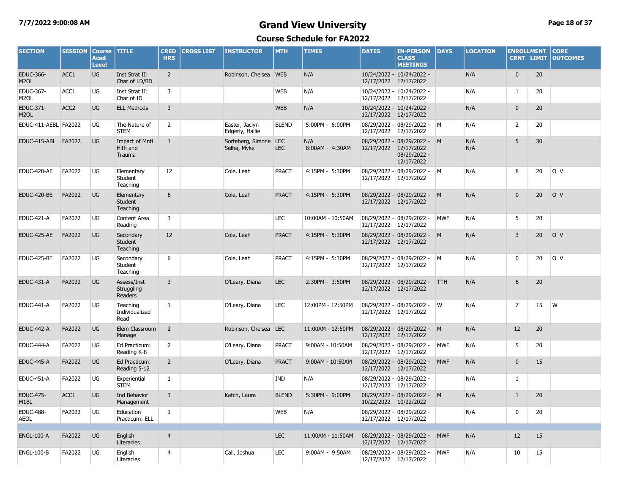### **7/7/2022 9:00:08 AM Grand View University Page 18 of 37**

| <b>SECTION</b>                        | <b>SESSION</b>   | <b>Course</b><br><b>Acad</b><br><b>Level</b> | <b>TITLE</b>                            | <b>CRED</b><br><b>HRS</b> | <b>CROSS LIST</b> | <b>INSTRUCTOR</b>                    | <b>MTH</b>   | <b>TIMES</b>           | <b>DATES</b> | <b>IN-PERSON</b><br><b>CLASS</b><br><b>MEETINGS</b>                                | <b>DAYS</b> | <b>LOCATION</b> | <b>ENROLLMENT</b><br><b>CRNT LIMIT</b> |    | <b>CORE</b><br><b>OUTCOMES</b> |
|---------------------------------------|------------------|----------------------------------------------|-----------------------------------------|---------------------------|-------------------|--------------------------------------|--------------|------------------------|--------------|------------------------------------------------------------------------------------|-------------|-----------------|----------------------------------------|----|--------------------------------|
| <b>EDUC-366-</b><br>M <sub>2</sub> OL | ACC1             | UG                                           | Inst Strat II:<br>Char of LD/BD         | $\overline{2}$            |                   | Robinson, Chelsea WEB                |              | N/A                    |              | 10/24/2022 - 10/24/2022 -<br>12/17/2022 12/17/2022                                 |             | N/A             | $\mathbf 0$                            | 20 |                                |
| EDUC-367-<br>M <sub>2</sub> OL        | ACC1             | <b>UG</b>                                    | Inst Strat II:<br>Char of ID            | 3                         |                   |                                      | <b>WEB</b>   | N/A                    |              | 10/24/2022 - 10/24/2022 -<br>12/17/2022 12/17/2022                                 |             | N/A             | $\mathbf{1}$                           | 20 |                                |
| EDUC-371-<br>M <sub>2</sub> OL        | ACC <sub>2</sub> | <b>UG</b>                                    | <b>ELL Methods</b>                      | 3                         |                   |                                      | <b>WEB</b>   | N/A                    |              | 10/24/2022 - 10/24/2022 -<br>12/17/2022 12/17/2022                                 |             | N/A             | $\mathbf{0}$                           | 20 |                                |
| EDUC-411-AEBL FA2022                  |                  | UG                                           | The Nature of<br><b>STEM</b>            | 2                         |                   | Easter, Jaclyn<br>Edgerly, Hallie    | <b>BLEND</b> | 5:00PM - 6:00PM        |              | 08/29/2022 - 08/29/2022 -<br>12/17/2022 12/17/2022                                 | IM.         | N/A             | 2                                      | 20 |                                |
| EDUC-415-ABL FA2022                   |                  | <b>UG</b>                                    | Impact of Mntl<br>Hlth and<br>Trauma    | 1                         |                   | Sorteberg, Simone LEC<br>Selha, Myke | <b>LEC</b>   | N/A<br>8:00AM - 4:30AM |              | 08/29/2022 - 08/29/2022 - M<br>12/17/2022 12/17/2022<br>08/29/2022 -<br>12/17/2022 |             | N/A<br>N/A      | 5                                      | 30 |                                |
| EDUC-420-AE                           | FA2022           | UG                                           | Elementary<br>Student<br>Teaching       | 12                        |                   | Cole, Leah                           | <b>PRACT</b> | 4:15PM - 5:30PM        | 12/17/2022   | 08/29/2022 - 08/29/2022 -<br>12/17/2022                                            | M           | N/A             | 8                                      | 20 | lo v                           |
| EDUC-420-BE                           | FA2022           | <b>UG</b>                                    | Elementary<br>Student<br>Teaching       | 6                         |                   | Cole, Leah                           | <b>PRACT</b> | 4:15PM - 5:30PM        | 12/17/2022   | 08/29/2022 - 08/29/2022 -<br>12/17/2022                                            | M           | N/A             | $\mathbf 0$                            | 20 | O V                            |
| <b>EDUC-421-A</b>                     | FA2022           | UG                                           | Content Area<br>Reading                 | 3                         |                   |                                      | <b>LEC</b>   | 10:00AM - 10:50AM      | 12/17/2022   | 08/29/2022 - 08/29/2022 -<br>12/17/2022                                            | <b>MWF</b>  | N/A             | 5                                      | 20 |                                |
| EDUC-425-AE                           | FA2022           | <b>UG</b>                                    | Secondary<br><b>Student</b><br>Teaching | 12                        |                   | Cole, Leah                           | <b>PRACT</b> | 4:15PM - 5:30PM        |              | 08/29/2022 - 08/29/2022 -<br>12/17/2022 12/17/2022                                 | M           | N/A             | $\overline{3}$                         | 20 | O <sub>V</sub>                 |
| EDUC-425-BE                           | FA2022           | UG                                           | Secondary<br>Student<br>Teaching        | 6                         |                   | Cole, Leah                           | <b>PRACT</b> | 4:15PM - 5:30PM        | 12/17/2022   | 08/29/2022 - 08/29/2022 -<br>12/17/2022                                            | M           | N/A             | 0                                      | 20 | O V                            |
| <b>EDUC-431-A</b>                     | FA2022           | <b>UG</b>                                    | Assess/Inst<br>Struggling<br>Readers    | $\overline{3}$            |                   | O'Leary, Diana                       | <b>LEC</b>   | 2:30PM - 3:50PM        |              | 08/29/2022 - 08/29/2022 -<br>12/17/2022 12/17/2022                                 | <b>TTH</b>  | N/A             | 6                                      | 20 |                                |
| <b>EDUC-441-A</b>                     | FA2022           | UG                                           | Teaching<br>Individualized<br>Read      | $\mathbf{1}$              |                   | O'Leary, Diana                       | <b>LEC</b>   | 12:00PM - 12:50PM      | 12/17/2022   | 08/29/2022 - 08/29/2022 -<br>12/17/2022                                            | W           | N/A             | $\overline{7}$                         | 15 | W                              |
| <b>EDUC-442-A</b>                     | FA2022           | UG                                           | Elem Classroom<br>Manage                | $\overline{2}$            |                   | Robinson, Chelsea LEC                |              | 11:00AM - 12:50PM      | 12/17/2022   | 08/29/2022 - 08/29/2022 -<br>12/17/2022                                            | M           | N/A             | 12                                     | 20 |                                |
| EDUC-444-A                            | FA2022           | UG                                           | Ed Practicum:<br>Reading K-8            | $\overline{2}$            |                   | O'Leary, Diana                       | <b>PRACT</b> | 9:00AM - 10:50AM       | 12/17/2022   | 08/29/2022 - 08/29/2022 -<br>12/17/2022                                            | <b>MWF</b>  | N/A             | 5                                      | 20 |                                |
| <b>EDUC-445-A</b>                     | FA2022           | <b>UG</b>                                    | Ed Practicum:<br>Reading 5-12           | $\overline{2}$            |                   | O'Leary, Diana                       | <b>PRACT</b> | 9:00AM - 10:50AM       | 12/17/2022   | 08/29/2022 - 08/29/2022 -<br>12/17/2022                                            | <b>MWF</b>  | N/A             | $\mathbf 0$                            | 15 |                                |
| <b>EDUC-451-A</b>                     | FA2022           | UG                                           | Experiential<br><b>STEM</b>             | $\mathbf{1}$              |                   |                                      | <b>IND</b>   | N/A                    | 12/17/2022   | 08/29/2022 - 08/29/2022 -<br>12/17/2022                                            |             | N/A             | $\mathbf{1}$                           |    |                                |
| <b>EDUC-475-</b><br>M <sub>1</sub> BL | ACC1             | UG                                           | <b>Ind Behavior</b><br>Management       | $\overline{3}$            |                   | Katch, Laura                         | <b>BLEND</b> | 5:30PM - 9:00PM        | 10/22/2022   | 08/29/2022 - 08/29/2022 - M<br>10/22/2022                                          |             | N/A             | $\mathbf{1}$                           | 20 |                                |
| <b>EDUC-488-</b><br><b>AEOL</b>       | FA2022           | UG                                           | Education<br>Practicum: ELL             | $\mathbf{1}$              |                   |                                      | <b>WEB</b>   | N/A                    | 12/17/2022   | 08/29/2022 - 08/29/2022 -<br>12/17/2022                                            |             | N/A             | 0                                      | 20 |                                |
| <b>ENGL-100-A</b>                     | FA2022           | <b>UG</b>                                    | English<br>Literacies                   | $\overline{4}$            |                   |                                      | <b>LEC</b>   | 11:00AM - 11:50AM      | 12/17/2022   | 08/29/2022 - 08/29/2022 -<br>12/17/2022                                            | <b>MWF</b>  | N/A             | 12                                     | 15 |                                |
| <b>ENGL-100-B</b>                     | FA2022           | UG                                           | English<br>Literacies                   | $\overline{4}$            |                   | Call, Joshua                         | <b>LEC</b>   | 9:00AM - 9:50AM        |              | 08/29/2022 - 08/29/2022 -<br>12/17/2022 12/17/2022                                 | <b>MWF</b>  | N/A             | 10                                     | 15 |                                |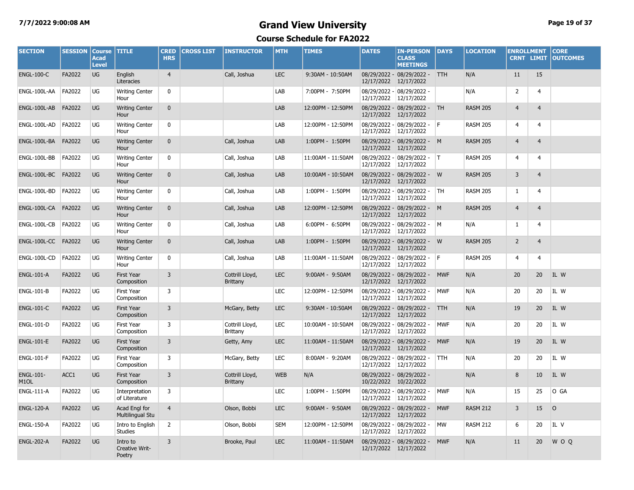#### **7/7/2022 9:00:08 AM Grand View University Page 19 of 37**

| <b>SECTION</b>                        | <b>SESSION</b> | <b>Course</b><br><b>Acad</b><br><b>Level</b> | <b>TITLE</b>                             | <b>CRED</b><br><b>HRS</b> | <b>CROSS LIST</b> | <b>INSTRUCTOR</b>                  | <b>MTH</b> | <b>TIMES</b>      | <b>DATES</b>          | <b>IN-PERSON</b><br><b>CLASS</b><br><b>MEETINGS</b>  | <b>DAYS</b> | <b>LOCATION</b> | <b>ENROLLMENT</b><br><b>CRNT LIMIT</b> |                | <b>CORE</b><br><b>OUTCOMES</b> |
|---------------------------------------|----------------|----------------------------------------------|------------------------------------------|---------------------------|-------------------|------------------------------------|------------|-------------------|-----------------------|------------------------------------------------------|-------------|-----------------|----------------------------------------|----------------|--------------------------------|
| <b>ENGL-100-C</b>                     | FA2022         | UG                                           | English<br>Literacies                    | $\overline{4}$            |                   | Call, Joshua                       | <b>LEC</b> | 9:30AM - 10:50AM  | 12/17/2022            | 08/29/2022 - 08/29/2022 -<br>12/17/2022              | <b>TTH</b>  | N/A             | 11                                     | 15             |                                |
| ENGL-100L-AA                          | FA2022         | UG                                           | <b>Writing Center</b><br>Hour            | 0                         |                   |                                    | LAB        | 7:00PM - 7:50PM   | 12/17/2022            | 08/29/2022 - 08/29/2022 -<br>12/17/2022              |             | N/A             | $\overline{2}$                         | 4              |                                |
| ENGL-100L-AB                          | FA2022         | <b>UG</b>                                    | <b>Writing Center</b><br>Hour            | $\mathbf{0}$              |                   |                                    | LAB        | 12:00PM - 12:50PM | 12/17/2022            | 08/29/2022 - 08/29/2022 - TH<br>12/17/2022           |             | <b>RASM 205</b> | $\overline{4}$                         | $\overline{4}$ |                                |
| ENGL-100L-AD                          | FA2022         | UG                                           | <b>Writing Center</b><br>Hour            | $\mathbf 0$               |                   |                                    | LAB        | 12:00PM - 12:50PM | 12/17/2022 12/17/2022 | 08/29/2022 - 08/29/2022 - F                          |             | <b>RASM 205</b> | $\overline{4}$                         | $\overline{4}$ |                                |
|                                       |                | <b>UG</b>                                    | <b>Writing Center</b><br>Hour            | $\mathbf{0}$              |                   | Call, Joshua                       | LAB        | 1:00PM - 1:50PM   | 12/17/2022            | 08/29/2022 - 08/29/2022 - M<br>12/17/2022            |             | <b>RASM 205</b> | $\overline{4}$                         | $\overline{4}$ |                                |
| ENGL-100L-BB                          | FA2022         | UG                                           | <b>Writing Center</b><br>Hour            | $\mathbf 0$               |                   | Call, Joshua                       | LAB        | 11:00AM - 11:50AM | 12/17/2022            | 08/29/2022 - 08/29/2022 - T<br>12/17/2022            |             | <b>RASM 205</b> | $\overline{4}$                         | 4              |                                |
|                                       |                | <b>UG</b>                                    | <b>Writing Center</b><br>Hour            | $\mathbf{0}$              |                   | Call, Joshua                       | LAB        | 10:00AM - 10:50AM | 12/17/2022            | 08/29/2022 - 08/29/2022 - W<br>12/17/2022            |             | <b>RASM 205</b> | $\overline{3}$                         | $\overline{4}$ |                                |
| ENGL-100L-BD                          | FA2022         | UG                                           | <b>Writing Center</b><br>Hour            | $\mathbf 0$               |                   | Call, Joshua                       | LAB        | 1:00PM - 1:50PM   | 12/17/2022            | 08/29/2022 - 08/29/2022 -<br>12/17/2022              | <b>TH</b>   | <b>RASM 205</b> | $\mathbf{1}$                           | 4              |                                |
| ENGL-100L-CA FA2022                   |                | <b>UG</b>                                    | <b>Writing Center</b><br>Hour            | $\mathbf{0}$              |                   | Call, Joshua                       | LAB        | 12:00PM - 12:50PM | 12/17/2022            | 08/29/2022 - 08/29/2022 - M<br>12/17/2022            |             | <b>RASM 205</b> | $\overline{4}$                         | $\overline{4}$ |                                |
| ENGL-100L-CB                          | FA2022         | UG                                           | <b>Writing Center</b><br>Hour            | $\mathbf 0$               |                   | Call, Joshua                       | LAB        | 6:00PM - 6:50PM   | 12/17/2022            | 08/29/2022 - 08/29/2022 - M<br>12/17/2022            |             | N/A             | $\mathbf{1}$                           | $\overline{4}$ |                                |
| ENGL-100L-CC FA2022                   |                | <b>UG</b>                                    | <b>Writing Center</b><br>Hour            | $\mathbf{0}$              |                   | Call, Joshua                       | LAB        | 1:00PM - 1:50PM   |                       | 08/29/2022 - 08/29/2022 - W<br>12/17/2022 12/17/2022 |             | <b>RASM 205</b> | $\overline{2}$                         | $\overline{4}$ |                                |
| ENGL-100L-CD                          | FA2022         | UG                                           | <b>Writing Center</b><br>Hour            | 0                         |                   | Call, Joshua                       | LAB        | 11:00AM - 11:50AM | 12/17/2022            | 08/29/2022 - 08/29/2022 - F<br>12/17/2022            |             | <b>RASM 205</b> | $\overline{4}$                         | 4              |                                |
| <b>ENGL-101-A</b>                     | FA2022         | <b>UG</b>                                    | <b>First Year</b><br>Composition         | 3                         |                   | Cottrill Lloyd,<br><b>Brittany</b> | <b>LEC</b> | 9:00AM - 9:50AM   | 12/17/2022            | 08/29/2022 - 08/29/2022 -<br>12/17/2022              | <b>MWF</b>  | N/A             | 20                                     | 20             | IL W                           |
| <b>ENGL-101-B</b>                     | FA2022         | UG                                           | <b>First Year</b><br>Composition         | 3                         |                   |                                    | <b>LEC</b> | 12:00PM - 12:50PM | 12/17/2022            | 08/29/2022 - 08/29/2022 -<br>12/17/2022              | <b>MWF</b>  | N/A             | 20                                     | 20             | IL W                           |
| <b>ENGL-101-C</b>                     | FA2022         | <b>UG</b>                                    | <b>First Year</b><br>Composition         | $\overline{3}$            |                   | McGary, Betty                      | <b>LEC</b> | 9:30AM - 10:50AM  | 12/17/2022            | 08/29/2022 - 08/29/2022 -<br>12/17/2022              | <b>TTH</b>  | N/A             | 19                                     | 20             | IL W                           |
| <b>ENGL-101-D</b>                     | FA2022         | UG                                           | <b>First Year</b><br>Composition         | 3                         |                   | Cottrill Llovd,<br>Brittany        | <b>LEC</b> | 10:00AM - 10:50AM | 12/17/2022            | 08/29/2022 - 08/29/2022 -<br>12/17/2022              | <b>MWF</b>  | N/A             | 20                                     | 20             | IL W                           |
| <b>ENGL-101-E</b>                     | FA2022         | <b>UG</b>                                    | <b>First Year</b><br>Composition         | $\overline{3}$            |                   | Getty, Amy                         | <b>LEC</b> | 11:00AM - 11:50AM | 12/17/2022            | 08/29/2022 - 08/29/2022 -<br>12/17/2022              | <b>MWF</b>  | N/A             | 19                                     | 20             | IL W                           |
| <b>ENGL-101-F</b>                     | FA2022         | UG                                           | <b>First Year</b><br>Composition         | 3                         |                   | McGary, Betty                      | <b>LEC</b> | 8:00AM - 9:20AM   | 12/17/2022            | 08/29/2022 - 08/29/2022 -<br>12/17/2022              | <b>TTH</b>  | N/A             | 20                                     | 20             | IL W                           |
| <b>ENGL-101-</b><br>M <sub>1</sub> OL | ACC1           | <b>UG</b>                                    | <b>First Year</b><br>Composition         | 3                         |                   | Cottrill Lloyd,<br>Brittany        | <b>WEB</b> | N/A               | 10/22/2022            | 08/29/2022 - 08/29/2022 -<br>10/22/2022              |             | N/A             | 8                                      | 10             | IL W                           |
| <b>ENGL-111-A</b>                     | FA2022         | UG                                           | Interpretation<br>of Literature          | 3                         |                   |                                    | <b>LEC</b> | 1:00PM - 1:50PM   | 12/17/2022            | 08/29/2022 - 08/29/2022 -<br>12/17/2022              | <b>MWF</b>  | N/A             | 15                                     | 25             | O GA                           |
| <b>ENGL-120-A</b>                     | FA2022         | <b>UG</b>                                    | Acad Engl for<br><b>Multilingual Stu</b> | $\overline{4}$            |                   | Olson, Bobbi                       | <b>LEC</b> | 9:00AM - 9:50AM   | 12/17/2022            | 08/29/2022 - 08/29/2022 -<br>12/17/2022              | <b>MWF</b>  | <b>RASM 212</b> | $\overline{3}$                         | 15             | $\circ$                        |
| <b>ENGL-150-A</b>                     | FA2022         | UG                                           | Intro to English<br><b>Studies</b>       | $\overline{2}$            |                   | Olson, Bobbi                       | <b>SEM</b> | 12:00PM - 12:50PM | 12/17/2022            | 08/29/2022 - 08/29/2022 -<br>12/17/2022              | <b>MW</b>   | <b>RASM 212</b> | 6                                      | 20             | IL V                           |
| <b>ENGL-202-A</b>                     | FA2022         | UG                                           | Intro to<br>Creative Writ-<br>Poetry     | $\overline{3}$            |                   | Brooke, Paul                       | <b>LEC</b> | 11:00AM - 11:50AM |                       | 08/29/2022 - 08/29/2022 -<br>12/17/2022 12/17/2022   | <b>MWF</b>  | N/A             | 11                                     | 20             | W O Q                          |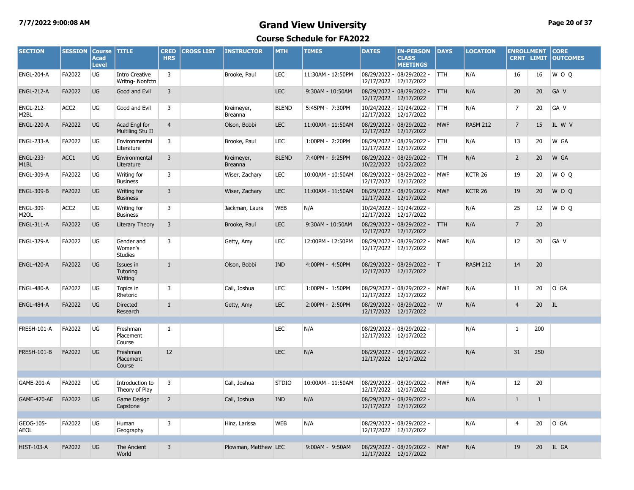#### **7/7/2022 9:00:08 AM Grand View University Page 20 of 37**

| <b>SECTION</b>                        | <b>SESSION</b>   | <b>Course</b><br><b>Acad</b><br><b>Level</b> | <b>TITLE</b>                            | <b>CRED</b><br><b>HRS</b> | <b>CROSS LIST</b> | <b>INSTRUCTOR</b>     | <b>MTH</b>   | <b>TIMES</b>      | <b>DATES</b>                          | <b>IN-PERSON</b><br><b>CLASS</b><br><b>MEETINGS</b> | <b>DAYS</b> | <b>LOCATION</b>    | <b>ENROLLMENT</b> | <b>CRNT LIMIT</b> | <b>CORE</b><br><b>OUTCOMES</b> |
|---------------------------------------|------------------|----------------------------------------------|-----------------------------------------|---------------------------|-------------------|-----------------------|--------------|-------------------|---------------------------------------|-----------------------------------------------------|-------------|--------------------|-------------------|-------------------|--------------------------------|
| <b>ENGL-204-A</b>                     | FA2022           | UG                                           | <b>Intro Creative</b><br>Writng-Nonfctn | 3                         |                   | Brooke, Paul          | <b>LEC</b>   | 11:30AM - 12:50PM | 12/17/2022                            | 08/29/2022 - 08/29/2022 -<br>12/17/2022             | <b>TTH</b>  | N/A                | 16                | 16                | W O O                          |
| <b>ENGL-212-A</b>                     | FA2022           | UG                                           | Good and Evil                           | 3                         |                   |                       | <b>LEC</b>   | 9:30AM - 10:50AM  | 12/17/2022 12/17/2022                 | 08/29/2022 - 08/29/2022 - TTH                       |             | N/A                | 20                | 20                | GA V                           |
| <b>ENGL-212-</b><br>M <sub>2</sub> BL | ACC <sub>2</sub> | UG                                           | Good and Evil                           | 3                         |                   | Kreimeyer,<br>Breanna | <b>BLEND</b> | 5:45PM - 7:30PM   | 12/17/2022 12/17/2022                 | 10/24/2022 - 10/24/2022 -                           | <b>TTH</b>  | N/A                | $\overline{7}$    | 20                | GA V                           |
| <b>ENGL-220-A</b>                     | FA2022           | UG                                           | Acad Engl for<br>Multiling Stu II       | $\overline{4}$            |                   | Olson, Bobbi          | <b>LEC</b>   | 11:00AM - 11:50AM | 12/17/2022 12/17/2022                 | 08/29/2022 - 08/29/2022 -                           | <b>MWF</b>  | <b>RASM 212</b>    | $\overline{7}$    | 15                | IL W V                         |
| ENGL-233-A                            | FA2022           | UG                                           | Environmental<br>Literature             | 3                         |                   | Brooke, Paul          | <b>LEC</b>   | 1:00PM - 2:20PM   | 12/17/2022 12/17/2022                 | 08/29/2022 - 08/29/2022 -                           | <b>TTH</b>  | N/A                | 13                | 20                | W GA                           |
| <b>ENGL-233-</b><br>M <sub>1</sub> BL | ACC1             | UG                                           | Environmental<br>Literature             | $\overline{3}$            |                   | Kreimeyer,<br>Breanna | <b>BLEND</b> | 7:40PM - 9:25PM   | 10/22/2022 10/22/2022                 | 08/29/2022 - 08/29/2022 - TTH                       |             | N/A                | $\overline{2}$    | 20                | W GA                           |
| <b>ENGL-309-A</b>                     | FA2022           | UG                                           | Writing for<br><b>Business</b>          | 3                         |                   | Wiser, Zachary        | <b>LEC</b>   | 10:00AM - 10:50AM | 12/17/2022 12/17/2022                 | 08/29/2022 - 08/29/2022 -                           | <b>MWF</b>  | KCTR 26            | 19                | 20                | WOO                            |
| <b>ENGL-309-B</b>                     | FA2022           | UG                                           | Writing for<br><b>Business</b>          | $\overline{3}$            |                   | Wiser, Zachary        | <b>LEC</b>   | 11:00AM - 11:50AM | 12/17/2022 12/17/2022                 | 08/29/2022 - 08/29/2022 -                           | <b>MWF</b>  | KCTR <sub>26</sub> | 19                | 20                | W O Q                          |
| <b>ENGL-309-</b><br>M <sub>2</sub> OL | ACC <sub>2</sub> | UG                                           | Writing for<br><b>Business</b>          | 3                         |                   | Jackman, Laura        | <b>WEB</b>   | N/A               | 12/17/2022 12/17/2022                 | 10/24/2022 - 10/24/2022 -                           |             | N/A                | 25                | 12                | W O Q                          |
| <b>ENGL-311-A</b>                     | FA2022           | UG                                           | Literary Theory                         | 3                         |                   | Brooke, Paul          | <b>LEC</b>   | 9:30AM - 10:50AM  | 12/17/2022                            | 08/29/2022 - 08/29/2022 -<br>12/17/2022             | <b>TTH</b>  | N/A                | $\overline{7}$    | 20                |                                |
| <b>ENGL-329-A</b>                     | FA2022           | UG                                           | Gender and<br>Women's<br><b>Studies</b> | 3                         |                   | Getty, Amy            | <b>LEC</b>   | 12:00PM - 12:50PM | 08/29/2022 -<br>12/17/2022 12/17/2022 | 08/29/2022 -                                        | <b>MWF</b>  | N/A                | 12                | 20                | GA V                           |
| <b>ENGL-420-A</b>                     | FA2022           | <b>UG</b>                                    | Issues in<br>Tutoring<br>Writing        | $\mathbf{1}$              |                   | Olson, Bobbi          | <b>IND</b>   | 4:00PM - 4:50PM   | 12/17/2022 12/17/2022                 | 08/29/2022 - 08/29/2022 - T                         |             | <b>RASM 212</b>    | 14                | 20                |                                |
| ENGL-480-A                            | FA2022           | UG                                           | Topics in<br>Rhetoric                   | 3                         |                   | Call, Joshua          | <b>LEC</b>   | 1:00PM - 1:50PM   | 12/17/2022                            | 08/29/2022 - 08/29/2022 -<br>12/17/2022             | <b>MWF</b>  | N/A                | 11                | 20                | O GA                           |
| <b>ENGL-484-A</b>                     | FA2022           | <b>UG</b>                                    | <b>Directed</b><br>Research             | $\mathbf{1}$              |                   | Getty, Amy            | <b>LEC</b>   | 2:00PM - 2:50PM   | 12/17/2022 12/17/2022                 | 08/29/2022 - 08/29/2022 - W                         |             | N/A                | $\overline{4}$    | 20                | IL                             |
| FRESH-101-A                           | FA2022           | UG                                           | Freshman<br>Placement<br>Course         | $\mathbf{1}$              |                   |                       | <b>LEC</b>   | N/A               |                                       | 08/29/2022 - 08/29/2022 -<br>12/17/2022 12/17/2022  |             | N/A                | 1                 | 200               |                                |
| <b>FRESH-101-B</b>                    | FA2022           | UG                                           | Freshman<br>Placement<br>Course         | 12                        |                   |                       | <b>LEC</b>   | N/A               | 12/17/2022 12/17/2022                 | 08/29/2022 - 08/29/2022 -                           |             | N/A                | 31                | 250               |                                |
| GAME-201-A                            | FA2022           | UG                                           | Introduction to<br>Theory of Play       | 3                         |                   | Call, Joshua          | <b>STDIO</b> | 10:00AM - 11:50AM | 12/17/2022 12/17/2022                 | 08/29/2022 - 08/29/2022 -                           | <b>MWF</b>  | N/A                | 12                | 20                |                                |
| GAME-470-AE                           | FA2022           | UG                                           | Game Design<br>Capstone                 | 2                         |                   | Call, Joshua          | <b>IND</b>   | N/A               | 12/17/2022 12/17/2022                 | 08/29/2022 - 08/29/2022 -                           |             | N/A                | $\mathbf{1}$      | $\mathbf{1}$      |                                |
| GEOG-105-<br><b>AEOL</b>              | FA2022           | UG                                           | Human<br>Geography                      | 3                         |                   | Hinz, Larissa         | <b>WEB</b>   | N/A               | 12/17/2022 12/17/2022                 | 08/29/2022 - 08/29/2022 -                           |             | N/A                | 4                 | 20                | O GA                           |
| <b>HIST-103-A</b>                     | FA2022           | <b>UG</b>                                    | The Ancient<br>World                    | $\overline{3}$            |                   | Plowman, Matthew LEC  |              | 9:00AM - 9:50AM   | 12/17/2022 12/17/2022                 | 08/29/2022 - 08/29/2022 - MWF                       |             | N/A                | 19                | 20                | IL GA                          |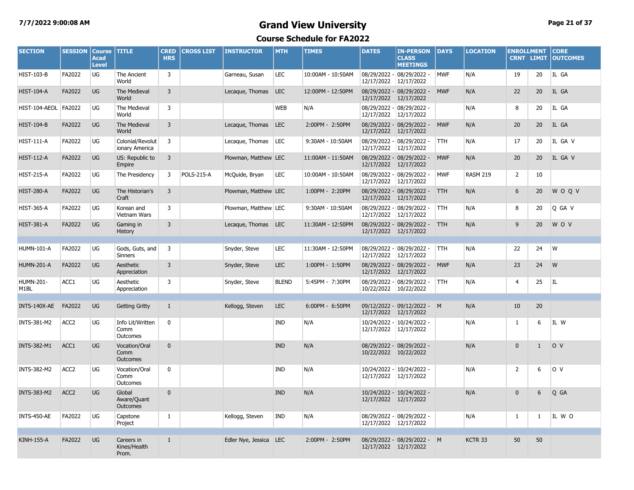#### **7/7/2022 9:00:08 AM Grand View University Page 21 of 37**

| <b>SECTION</b>                        | <b>SESSION</b>   | <b>Course</b><br><b>Acad</b><br><b>Level</b> | <b>TITLE</b>                         | <b>CRED</b><br><b>HRS</b> | <b>CROSS LIST</b> | <b>INSTRUCTOR</b>      | <b>MTH</b>   | <b>TIMES</b>      | <b>DATES</b>          | <b>IN-PERSON</b><br><b>CLASS</b><br><b>MEETINGS</b> | <b>DAYS</b> | <b>LOCATION</b>    | <b>ENROLLMENT</b> | <b>CRNT LIMIT</b> | <b>CORE</b><br><b>OUTCOMES</b> |
|---------------------------------------|------------------|----------------------------------------------|--------------------------------------|---------------------------|-------------------|------------------------|--------------|-------------------|-----------------------|-----------------------------------------------------|-------------|--------------------|-------------------|-------------------|--------------------------------|
| <b>HIST-103-B</b>                     | FA2022           | UG                                           | The Ancient<br>World                 | 3                         |                   | Garneau, Susan         | <b>LEC</b>   | 10:00AM - 10:50AM | 12/17/2022            | 08/29/2022 - 08/29/2022 -<br>12/17/2022             | <b>MWF</b>  | N/A                | 19                | 20                | IL GA                          |
| <b>HIST-104-A</b>                     | FA2022           | UG                                           | The Medieval<br>World                | $\overline{3}$            |                   | Lecaque, Thomas        | <b>LEC</b>   | 12:00PM - 12:50PM | 12/17/2022 12/17/2022 | 08/29/2022 - 08/29/2022 -                           | <b>MWF</b>  | N/A                | 22                | 20                | IL GA                          |
| HIST-104-AEOL FA2022                  |                  | UG                                           | The Medieval<br>World                | 3                         |                   |                        | <b>WEB</b>   | N/A               | 12/17/2022 12/17/2022 | 08/29/2022 - 08/29/2022 -                           |             | N/A                | 8                 | 20                | IL GA                          |
| <b>HIST-104-B</b>                     | FA2022           | UG                                           | The Medieval<br>World                | $\overline{3}$            |                   | Lecaque, Thomas        | LEC          | 2:00PM - 2:50PM   | 12/17/2022 12/17/2022 | 08/29/2022 - 08/29/2022 -                           | <b>MWF</b>  | N/A                | 20                | 20                | IL GA                          |
| <b>HIST-111-A</b>                     | FA2022           | UG                                           | Colonial/Revolut<br>ionary America   | 3                         |                   | Lecaque, Thomas        | LEC          | 9:30AM - 10:50AM  | 12/17/2022 12/17/2022 | 08/29/2022 - 08/29/2022 -                           | <b>TTH</b>  | N/A                | 17                | 20                | IL GA V                        |
| <b>HIST-112-A</b>                     | FA2022           | UG                                           | US: Republic to<br>Empire            | $\overline{3}$            |                   | Plowman, Matthew LEC   |              | 11:00AM - 11:50AM | 12/17/2022 12/17/2022 | 08/29/2022 - 08/29/2022 -                           | <b>MWF</b>  | N/A                | 20                | 20                | IL GA V                        |
| <b>HIST-215-A</b>                     | FA2022           | UG                                           | The Presidency                       | 3                         | <b>POLS-215-A</b> | McQuide, Bryan         | <b>LEC</b>   | 10:00AM - 10:50AM | 12/17/2022 12/17/2022 | 08/29/2022 - 08/29/2022 -                           | <b>MWF</b>  | <b>RASM 219</b>    | $\overline{2}$    | 10                |                                |
| <b>HIST-280-A</b>                     | FA2022           | UG                                           | The Historian's<br>Craft             | $\overline{3}$            |                   | Plowman, Matthew LEC   |              | 1:00PM - 2:20PM   | 12/17/2022 12/17/2022 | 08/29/2022 - 08/29/2022 -                           | <b>TTH</b>  | N/A                | 6                 | 20                | <b>WOOV</b>                    |
| <b>HIST-365-A</b>                     | FA2022           | UG                                           | Korean and<br>Vietnam Wars           | 3                         |                   | Plowman, Matthew LEC   |              | 9:30AM - 10:50AM  | 12/17/2022            | 08/29/2022 - 08/29/2022 -<br>12/17/2022             | <b>ITTH</b> | N/A                | 8                 | 20                | Q GA V                         |
| <b>HIST-381-A</b>                     | FA2022           | UG                                           | Gaming in<br><b>History</b>          | 3                         |                   | Lecague, Thomas LEC    |              | 11:30AM - 12:50PM | 12/17/2022 12/17/2022 | 08/29/2022 - 08/29/2022 - TTH                       |             | N/A                | 9                 | 20                | W O V                          |
|                                       |                  |                                              |                                      |                           |                   |                        |              |                   |                       |                                                     |             |                    |                   |                   |                                |
| <b>HUMN-101-A</b>                     | FA2022           | UG                                           | Gods, Guts, and<br>Sinners           | $\overline{\mathbf{3}}$   |                   | Snyder, Steve          | <b>LEC</b>   | 11:30AM - 12:50PM | 12/17/2022            | 08/29/2022 - 08/29/2022 -<br>12/17/2022             | <b>TTH</b>  | N/A                | 22                | 24                | W                              |
| <b>HUMN-201-A</b>                     | FA2022           | UG                                           | Aesthetic<br>Appreciation            | 3                         |                   | Snyder, Steve          | <b>LEC</b>   | 1:00PM - 1:50PM   | 12/17/2022 12/17/2022 | 08/29/2022 - 08/29/2022 -                           | <b>MWF</b>  | N/A                | 23                | 24                | W                              |
| <b>HUMN-201-</b><br>M <sub>1</sub> BL | ACC1             | UG                                           | Aesthetic<br>Appreciation            | 3                         |                   | Snyder, Steve          | <b>BLEND</b> | 5:45PM - 7:30PM   | 10/22/2022 10/22/2022 | 08/29/2022 - 08/29/2022 -                           | <b>TTH</b>  | N/A                | 4                 | 25                | IL.                            |
|                                       |                  |                                              |                                      |                           |                   |                        |              |                   |                       |                                                     |             |                    |                   |                   |                                |
| INTS-140X-AE                          | FA2022           | <b>UG</b>                                    | <b>Getting Gritty</b>                | $\mathbf{1}$              |                   | Kellogg, Steven        | <b>LEC</b>   | 6:00PM - 6:50PM   | 12/17/2022 12/17/2022 | 09/12/2022 - 09/12/2022 - M                         |             | N/A                | 10                | 20                |                                |
| <b>INTS-381-M2</b>                    | ACC <sub>2</sub> | UG                                           | Info Lit/Written<br>Comm<br>Outcomes | $\mathbf 0$               |                   |                        | IND          | N/A               | 12/17/2022 12/17/2022 | 10/24/2022 - 10/24/2022 -                           |             | N/A                | $\mathbf{1}$      | 6                 | IL W                           |
| <b>INTS-382-M1</b>                    | ACC1             | UG                                           | Vocation/Oral<br>Comm<br>Outcomes    | $\mathbf{0}$              |                   |                        | <b>IND</b>   | N/A               | 10/22/2022 10/22/2022 | 08/29/2022 - 08/29/2022 -                           |             | N/A                | $\mathbf 0$       | $\mathbf{1}$      | O V                            |
| <b>INTS-382-M2</b>                    | ACC <sub>2</sub> | UG                                           | Vocation/Oral<br>Comm<br>Outcomes    | $\mathbf 0$               |                   |                        | IND          | N/A               | 12/17/2022            | 10/24/2022 - 10/24/2022 -<br>12/17/2022             |             | N/A                | $\overline{2}$    | 6                 | O V                            |
| <b>INTS-383-M2</b>                    | ACC <sub>2</sub> | UG                                           | Global<br>Aware/Quant<br>Outcomes    | $\mathbf{0}$              |                   |                        | <b>IND</b>   | N/A               | 12/17/2022 12/17/2022 | 10/24/2022 - 10/24/2022 -                           |             | N/A                | $\mathbf{0}$      | 6                 | Q GA                           |
| <b>INTS-450-AE</b>                    | FA2022           | UG                                           | Capstone<br>Project                  | $\mathbf{1}$              |                   | Kellogg, Steven        | IND          | N/A               | 12/17/2022 12/17/2022 | 08/29/2022 - 08/29/2022 -                           |             | N/A                | 1                 | 1                 | IL WO                          |
|                                       |                  |                                              |                                      |                           |                   |                        |              |                   |                       |                                                     |             |                    |                   |                   |                                |
| <b>KINH-155-A</b>                     | FA2022           | <b>UG</b>                                    | Careers in<br>Kines/Health<br>Prom.  | $\mathbf{1}$              |                   | Edler Nye, Jessica LEC |              | 2:00PM - 2:50PM   | 12/17/2022 12/17/2022 | 08/29/2022 - 08/29/2022 - M                         |             | KCTR <sub>33</sub> | 50                | 50                |                                |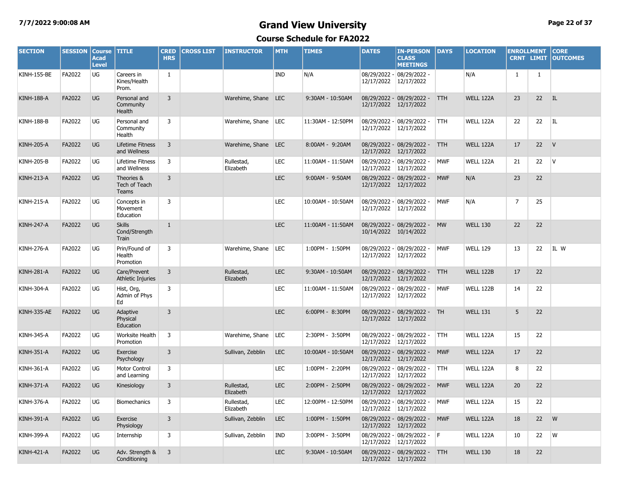#### **7/7/2022 9:00:08 AM Grand View University Page 22 of 37**

| <b>SECTION</b>     | <b>SESSION</b> | <b>Course</b><br>Acad<br><b>Level</b> | <b>TITLE</b>                            | <b>CRED</b><br><b>HRS</b> | <b>CROSS LIST</b> | <b>INSTRUCTOR</b>       | <b>MTH</b> | <b>TIMES</b>      | <b>DATES</b> | <b>IN-PERSON</b><br><b>CLASS</b><br><b>MEETINGS</b>   | <b>DAYS</b> | <b>LOCATION</b>  | <b>ENROLLMENT</b> | <b>CRNT LIMIT</b> | <b>CORE</b><br><b>OUTCOMES</b> |
|--------------------|----------------|---------------------------------------|-----------------------------------------|---------------------------|-------------------|-------------------------|------------|-------------------|--------------|-------------------------------------------------------|-------------|------------------|-------------------|-------------------|--------------------------------|
| <b>KINH-155-BE</b> | FA2022         | <b>UG</b>                             | Careers in<br>Kines/Health<br>Prom.     | 1                         |                   |                         | <b>IND</b> | N/A               | 12/17/2022   | 08/29/2022 - 08/29/2022 -<br>12/17/2022               |             | N/A              | $\mathbf{1}$      | $\mathbf{1}$      |                                |
| <b>KINH-188-A</b>  | FA2022         | <b>UG</b>                             | Personal and<br>Community<br>Health     | $\overline{3}$            |                   | Warehime, Shane LEC     |            | 9:30AM - 10:50AM  |              | 08/29/2022 - 08/29/2022 -<br>12/17/2022 12/17/2022    | <b>TTH</b>  | <b>WELL 122A</b> | 23                | 22                | <b>IL</b>                      |
| <b>KINH-188-B</b>  | FA2022         | UG                                    | Personal and<br>Community<br>Health     | 3                         |                   | Warehime, Shane   LEC   |            | 11:30AM - 12:50PM | 12/17/2022   | 08/29/2022 - 08/29/2022 -<br>12/17/2022               | <b>TTH</b>  | WELL 122A        | 22                | 22                | IL                             |
| <b>KINH-205-A</b>  | FA2022         | <b>UG</b>                             | Lifetime Fitness<br>and Wellness        | 3                         |                   | Warehime, Shane LEC     |            | 8:00AM - 9:20AM   | 12/17/2022   | 08/29/2022 - 08/29/2022 -<br>12/17/2022               | <b>TTH</b>  | <b>WELL 122A</b> | 17                | 22                | V                              |
| <b>KINH-205-B</b>  | FA2022         | UG                                    | Lifetime Fitness<br>and Wellness        | 3                         |                   | Rullestad,<br>Elizabeth | <b>LEC</b> | 11:00AM - 11:50AM | 12/17/2022   | 08/29/2022 - 08/29/2022 -<br>12/17/2022               | <b>MWF</b>  | WELL 122A        | 21                | 22                | V                              |
| <b>KINH-213-A</b>  | FA2022         | <b>UG</b>                             | Theories &<br>Tech of Teach<br>Teams    | $\overline{3}$            |                   |                         | <b>LEC</b> | 9:00AM - 9:50AM   | 12/17/2022   | 08/29/2022 - 08/29/2022 -<br>12/17/2022               | <b>MWF</b>  | N/A              | 23                | 22                |                                |
| <b>KINH-215-A</b>  | FA2022         | UG                                    | Concepts in<br>Movement<br>Education    | 3                         |                   |                         | <b>LEC</b> | 10:00AM - 10:50AM |              | 08/29/2022 - 08/29/2022 -<br>12/17/2022 12/17/2022    | <b>MWF</b>  | N/A              | $\overline{7}$    | 25                |                                |
| <b>KINH-247-A</b>  | FA2022         | <b>UG</b>                             | <b>Skills</b><br>Cond/Strength<br>Train | $\mathbf{1}$              |                   |                         | <b>LEC</b> | 11:00AM - 11:50AM |              | 08/29/2022 - 08/29/2022 -<br>10/14/2022 10/14/2022    | <b>MW</b>   | <b>WELL 130</b>  | 22                | 22                |                                |
| <b>KINH-276-A</b>  | FA2022         | UG                                    | Prin/Found of<br>Health<br>Promotion    | 3                         |                   | Warehime, Shane         | LEC        | 1:00PM - 1:50PM   | 12/17/2022   | 08/29/2022 - 08/29/2022 -<br>12/17/2022               | <b>MWF</b>  | <b>WELL 129</b>  | 13                | 22                | IL W                           |
| <b>KINH-281-A</b>  | FA2022         | <b>UG</b>                             | Care/Prevent<br>Athletic Injuries       | 3                         |                   | Rullestad,<br>Elizabeth | <b>LEC</b> | 9:30AM - 10:50AM  |              | 08/29/2022 - 08/29/2022 -<br>12/17/2022 12/17/2022    | <b>TTH</b>  | <b>WELL 122B</b> | 17                | 22                |                                |
| <b>KINH-304-A</b>  | FA2022         | UG                                    | Hist, Org,<br>Admin of Phys<br>Ed       | 3                         |                   |                         | LEC        | 11:00AM - 11:50AM |              | 08/29/2022 - 08/29/2022 -<br>12/17/2022 12/17/2022    | <b>MWF</b>  | <b>WELL 122B</b> | 14                | 22                |                                |
| KINH-335-AE        | FA2022         | <b>UG</b>                             | Adaptive<br>Physical<br>Education       | $\overline{3}$            |                   |                         | <b>LEC</b> | 6:00PM - 8:30PM   |              | 08/29/2022 - 08/29/2022 - TH<br>12/17/2022 12/17/2022 |             | <b>WELL 131</b>  | 5                 | 22                |                                |
| <b>KINH-345-A</b>  | FA2022         | UG                                    | Worksite Health<br>Promotion            | 3                         |                   | Warehime, Shane         | <b>LEC</b> | 2:30PM - 3:50PM   | 12/17/2022   | 08/29/2022 - 08/29/2022 -<br>12/17/2022               | <b>TTH</b>  | WELL 122A        | 15                | 22                |                                |
| <b>KINH-351-A</b>  | FA2022         | <b>UG</b>                             | Exercise<br>Psychology                  | 3                         |                   | Sullivan, Zebblin       | <b>LEC</b> | 10:00AM - 10:50AM | 12/17/2022   | 08/29/2022 - 08/29/2022 -<br>12/17/2022               | <b>MWF</b>  | <b>WELL 122A</b> | 17                | 22                |                                |
| <b>KINH-361-A</b>  | FA2022         | UG                                    | <b>Motor Control</b><br>and Learning    | 3                         |                   |                         | <b>LEC</b> | 1:00PM - 2:20PM   | 12/17/2022   | 08/29/2022 - 08/29/2022 -<br>12/17/2022               | TTH.        | WELL 122A        | 8                 | 22                |                                |
| <b>KINH-371-A</b>  | FA2022         | <b>UG</b>                             | Kinesiology                             | 3                         |                   | Rullestad,<br>Elizabeth | <b>LEC</b> | 2:00PM - 2:50PM   | 12/17/2022   | 08/29/2022 - 08/29/2022 -<br>12/17/2022               | <b>MWF</b>  | <b>WELL 122A</b> | 20                | 22                |                                |
| <b>KINH-376-A</b>  | FA2022         | UG                                    | <b>Biomechanics</b>                     | 3                         |                   | Rullestad,<br>Elizabeth | <b>LEC</b> | 12:00PM - 12:50PM | 12/17/2022   | 08/29/2022 - 08/29/2022 -<br>12/17/2022               | <b>MWF</b>  | WELL 122A        | 15                | 22                |                                |
| <b>KINH-391-A</b>  | FA2022         | <b>UG</b>                             | Exercise<br>Physiology                  | 3                         |                   | Sullivan, Zebblin       | <b>LEC</b> | 1:00PM - 1:50PM   | 12/17/2022   | 08/29/2022 - 08/29/2022 -<br>12/17/2022               | <b>MWF</b>  | <b>WELL 122A</b> | 18                | 22                | W                              |
| <b>KINH-399-A</b>  | FA2022         | UG                                    | Internship                              | 3                         |                   | Sullivan, Zebblin       | <b>IND</b> | 3:00PM - 3:50PM   | 12/17/2022   | 08/29/2022 - 08/29/2022 -<br>12/17/2022               | IF.         | WELL 122A        | 10                | 22                | W                              |
| <b>KINH-421-A</b>  | FA2022         | <b>UG</b>                             | Adv. Strength &<br>Conditioning         | 3                         |                   |                         | <b>LEC</b> | 9:30AM - 10:50AM  |              | 08/29/2022 - 08/29/2022 -<br>12/17/2022 12/17/2022    | <b>TTH</b>  | <b>WELL 130</b>  | 18                | 22                |                                |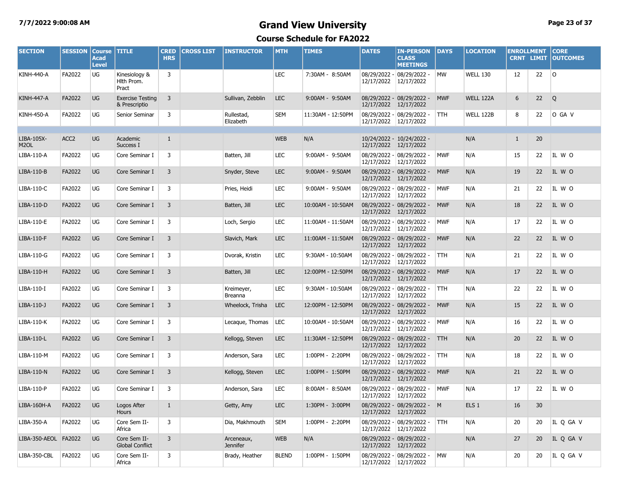#### **7/7/2022 9:00:08 AM Grand View University Page 23 of 37**

| <b>SECTION</b>                  | <b>SESSION</b>   | <b>Course</b><br>Acad<br><b>Level</b> | <b>TITLE</b>                             | <b>CRED</b><br><b>HRS</b> | <b>CROSS LIST</b> | <b>INSTRUCTOR</b>             | <b>MTH</b>   | <b>TIMES</b>      | <b>DATES</b>          | <b>IN-PERSON</b><br><b>CLASS</b><br><b>MEETINGS</b> | <b>DAYS</b> | <b>LOCATION</b>  | <b>ENROLLMENT</b> |    | <b>CORE</b><br><b>CRNT LIMIT OUTCOMES</b> |
|---------------------------------|------------------|---------------------------------------|------------------------------------------|---------------------------|-------------------|-------------------------------|--------------|-------------------|-----------------------|-----------------------------------------------------|-------------|------------------|-------------------|----|-------------------------------------------|
| <b>KINH-440-A</b>               | FA2022           | UG                                    | Kinesiology &<br>Hith Prom.<br>Pract     | 3                         |                   |                               | <b>LEC</b>   | 7:30AM - 8:50AM   | 12/17/2022            | 08/29/2022 - 08/29/2022 -<br>12/17/2022             | <b>MW</b>   | <b>WELL 130</b>  | 12                | 22 | $\circ$                                   |
| <b>KINH-447-A</b>               | FA2022           | <b>UG</b>                             | <b>Exercise Testing</b><br>& Prescriptio | 3                         |                   | Sullivan, Zebblin             | <b>LEC</b>   | 9:00AM - 9:50AM   | 12/17/2022            | 08/29/2022 - 08/29/2022 -<br>12/17/2022             | <b>MWF</b>  | <b>WELL 122A</b> | 6                 | 22 | Q                                         |
| <b>KINH-450-A</b>               | FA2022           | UG                                    | Senior Seminar                           | 3                         |                   | Rullestad,<br>Elizabeth       | <b>SEM</b>   | 11:30AM - 12:50PM | 12/17/2022 12/17/2022 | 08/29/2022 - 08/29/2022 -                           | <b>TTH</b>  | <b>WELL 122B</b> | 8                 | 22 | O GA V                                    |
| LIBA-105X-<br>M <sub>2</sub> OL | ACC <sub>2</sub> | <b>UG</b>                             | Academic<br>Success I                    | $\mathbf{1}$              |                   |                               | <b>WEB</b>   | N/A               |                       | 10/24/2022 - 10/24/2022 -<br>12/17/2022 12/17/2022  |             | N/A              | $\mathbf{1}$      | 20 |                                           |
| LIBA-110-A                      | FA2022           | <b>UG</b>                             | Core Seminar I                           | 3                         |                   | Batten, Jill                  | <b>LEC</b>   | 9:00AM - 9:50AM   | 12/17/2022            | 08/29/2022 - 08/29/2022 -<br>12/17/2022             | <b>MWF</b>  | N/A              | 15                | 22 | IL W O                                    |
| LIBA-110-B                      | FA2022           | <b>UG</b>                             | Core Seminar I                           | 3                         |                   | Snyder, Steve                 | <b>LEC</b>   | 9:00AM - 9:50AM   | 12/17/2022 12/17/2022 | 08/29/2022 - 08/29/2022 -                           | <b>MWF</b>  | N/A              | 19                | 22 | IL W O                                    |
| LIBA-110-C                      | FA2022           | UG                                    | Core Seminar I                           | 3                         |                   | Pries, Heidi                  | LEC          | 9:00AM - 9:50AM   | 12/17/2022 12/17/2022 | 08/29/2022 - 08/29/2022 -                           | <b>MWF</b>  | N/A              | 21                | 22 | IL W O                                    |
| LIBA-110-D                      | FA2022           | <b>UG</b>                             | Core Seminar I                           | 3                         |                   | Batten, Jill                  | <b>LEC</b>   | 10:00AM - 10:50AM | 12/17/2022 12/17/2022 | 08/29/2022 - 08/29/2022 -                           | <b>MWF</b>  | N/A              | 18                | 22 | IL W O                                    |
| LIBA-110-E                      | FA2022           | UG                                    | Core Seminar I                           | 3                         |                   | Loch, Sergio                  | LEC          | 11:00AM - 11:50AM | 12/17/2022 12/17/2022 | 08/29/2022 - 08/29/2022 -                           | <b>MWF</b>  | N/A              | 17                | 22 | IL W O                                    |
| LIBA-110-F                      | FA2022           | <b>UG</b>                             | Core Seminar I                           | 3                         |                   | Slavich, Mark                 | <b>LEC</b>   | 11:00AM - 11:50AM | 12/17/2022 12/17/2022 | 08/29/2022 - 08/29/2022 -                           | <b>MWF</b>  | N/A              | 22                | 22 | IL W O                                    |
| LIBA-110-G                      | FA2022           | UG                                    | Core Seminar I                           | 3                         |                   | Dvorak, Kristin               | LEC          | 9:30AM - 10:50AM  | 12/17/2022 12/17/2022 | 08/29/2022 - 08/29/2022 -                           | <b>TTH</b>  | N/A              | 21                | 22 | IL W O                                    |
| LIBA-110-H                      | FA2022           | <b>UG</b>                             | Core Seminar I                           | 3                         |                   | Batten, Jill                  | <b>LEC</b>   | 12:00PM - 12:50PM | 12/17/2022            | 08/29/2022 - 08/29/2022 -<br>12/17/2022             | <b>MWF</b>  | N/A              | 17                | 22 | IL W O                                    |
| LIBA-110-I                      | FA2022           | <b>UG</b>                             | Core Seminar I                           | 3                         |                   | Kreimeyer,<br>Breanna         | <b>LEC</b>   | 9:30AM - 10:50AM  | 12/17/2022 12/17/2022 | 08/29/2022 - 08/29/2022 -                           | <b>TTH</b>  | N/A              | 22                | 22 | IL W O                                    |
| LIBA-110-J                      | FA2022           | <b>UG</b>                             | Core Seminar I                           | 3                         |                   | Wheelock, Trisha              | <b>LEC</b>   | 12:00PM - 12:50PM | 12/17/2022            | 08/29/2022 - 08/29/2022 -<br>12/17/2022             | <b>MWF</b>  | N/A              | 15                | 22 | IL W O                                    |
| LIBA-110-K                      | FA2022           | <b>UG</b>                             | Core Seminar I                           | 3                         |                   | Lecaque, Thomas               | LEC          | 10:00AM - 10:50AM | 12/17/2022 12/17/2022 | 08/29/2022 - 08/29/2022 -                           | <b>MWF</b>  | N/A              | 16                | 22 | IL W O                                    |
| LIBA-110-L                      | FA2022           | <b>UG</b>                             | Core Seminar I                           | 3                         |                   | Kellogg, Steven               | <b>LEC</b>   | 11:30AM - 12:50PM | 12/17/2022            | 08/29/2022 - 08/29/2022 -<br>12/17/2022             | TH          | N/A              | 20                | 22 | IL W O                                    |
| LIBA-110-M                      | FA2022           | <b>UG</b>                             | Core Seminar I                           | 3                         |                   | Anderson, Sara                | <b>LEC</b>   | 1:00PM - 2:20PM   | 12/17/2022            | 08/29/2022 - 08/29/2022 -<br>12/17/2022             | <b>TTH</b>  | N/A              | 18                | 22 | IL W O                                    |
| LIBA-110-N                      | FA2022           | <b>UG</b>                             | Core Seminar I                           | 3                         |                   | Kellogg, Steven               | <b>LEC</b>   | 1:00PM - 1:50PM   | 12/17/2022            | 08/29/2022 - 08/29/2022 -<br>12/17/2022             | <b>MWF</b>  | N/A              | 21                | 22 | IL W O                                    |
| LIBA-110-P                      | FA2022           | UG                                    | Core Seminar I                           | 3                         |                   | Anderson, Sara                | LEC          | 8:00AM - 8:50AM   | 12/17/2022            | 08/29/2022 - 08/29/2022 -<br>12/17/2022             | <b>MWF</b>  | N/A              | 17                | 22 | IL W O                                    |
| LIBA-160H-A                     | FA2022           | <b>UG</b>                             | Logos After<br>Hours                     | $\mathbf{1}$              |                   | Getty, Amy                    | <b>LEC</b>   | 1:30PM - 3:00PM   | 12/17/2022            | 08/29/2022 - 08/29/2022 - M<br>12/17/2022           |             | ELS <sub>1</sub> | 16                | 30 |                                           |
| LIBA-350-A                      | FA2022           | UG                                    | Core Sem II-<br>Africa                   | 3                         |                   | Dia, Makhmouth                | <b>SEM</b>   | 1:00PM - 2:20PM   | 12/17/2022            | 08/29/2022 - 08/29/2022 -<br>12/17/2022             | <b>TTH</b>  | N/A              | 20                | 20 | IL Q GA V                                 |
| LIBA-350-AEOL FA2022            |                  | <b>UG</b>                             | Core Sem II-<br><b>Global Conflict</b>   | 3                         |                   | Arceneaux,<br><b>Jennifer</b> | <b>WEB</b>   | N/A               | 12/17/2022            | 08/29/2022 - 08/29/2022 -<br>12/17/2022             |             | N/A              | 27                | 20 | IL Q GA V                                 |
| LIBA-350-CBL                    | FA2022           | UG                                    | Core Sem II-<br>Africa                   | 3                         |                   | Brady, Heather                | <b>BLEND</b> | 1:00PM - 1:50PM   | 12/17/2022 12/17/2022 | 08/29/2022 - 08/29/2022 -                           | <b>MW</b>   | N/A              | 20                | 20 | IL Q GA V                                 |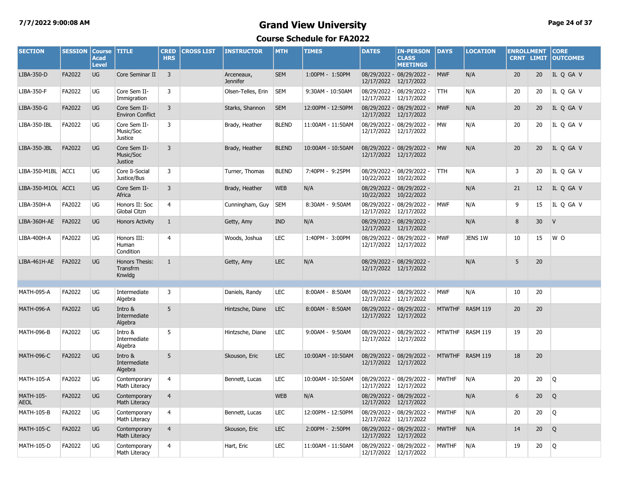#### **7/7/2022 9:00:08 AM Grand View University Page 24 of 37**

| <b>SECTION</b>                  | <b>SESSION</b> | <b>Course</b><br><b>Acad</b><br><b>Level</b> | <b>TITLE</b>                                | <b>CRED</b><br><b>HRS</b> | <b>CROSS LIST</b> | <b>INSTRUCTOR</b>             | <b>MTH</b>   | <b>TIMES</b>      | <b>DATES</b>          | <b>IN-PERSON</b><br><b>CLASS</b><br><b>MEETINGS</b> | DAYS          | <b>LOCATION</b> | <b>ENROLLMENT</b><br><b>CRNT LIMIT</b> |                 | <b>CORE</b><br><b>OUTCOMES</b> |
|---------------------------------|----------------|----------------------------------------------|---------------------------------------------|---------------------------|-------------------|-------------------------------|--------------|-------------------|-----------------------|-----------------------------------------------------|---------------|-----------------|----------------------------------------|-----------------|--------------------------------|
| LIBA-350-D                      | FA2022         | UG                                           | Core Seminar II                             | $\overline{3}$            |                   | Arceneaux,<br><b>Jennifer</b> | <b>SEM</b>   | 1:00PM - 1:50PM   | 12/17/2022            | 08/29/2022 - 08/29/2022 -<br>12/17/2022             | <b>MWF</b>    | N/A             | 20                                     | 20              | IL Q GA V                      |
| LIBA-350-F                      | FA2022         | UG                                           | Core Sem II-<br>Immigration                 | 3                         |                   | Olsen-Telles, Erin            | <b>SEM</b>   | 9:30AM - 10:50AM  | 12/17/2022            | 08/29/2022 - 08/29/2022 -<br>12/17/2022             | <b>TTH</b>    | N/A             | 20                                     | 20              | IL Q GA V                      |
| LIBA-350-G                      | FA2022         | <b>UG</b>                                    | Core Sem II-<br><b>Environ Conflict</b>     | $\overline{3}$            |                   | Starks, Shannon               | <b>SEM</b>   | 12:00PM - 12:50PM | 12/17/2022            | 08/29/2022 - 08/29/2022 -<br>12/17/2022             | <b>MWF</b>    | N/A             | 20                                     | 20              | IL Q GA V                      |
| LIBA-350-IBL                    | FA2022         | UG                                           | Core Sem II-<br>Music/Soc<br><b>Justice</b> | $\overline{3}$            |                   | Brady, Heather                | <b>BLEND</b> | 11:00AM - 11:50AM | 12/17/2022            | 08/29/2022 - 08/29/2022 -<br>12/17/2022             | <b>MW</b>     | N/A             | 20                                     | 20              | IL Q GA V                      |
| LIBA-350-JBL                    | FA2022         | UG                                           | Core Sem II-<br>Music/Soc<br><b>Justice</b> | 3                         |                   | Brady, Heather                | <b>BLEND</b> | 10:00AM - 10:50AM | 12/17/2022 12/17/2022 | 08/29/2022 - 08/29/2022 -                           | <b>MW</b>     | N/A             | 20                                     | 20              | IL Q GA V                      |
| LIBA-350-M1BL ACC1              |                | UG                                           | Core Ii-Social<br>Justice/Bus               | 3                         |                   | Turner, Thomas                | <b>BLEND</b> | 7:40PM - 9:25PM   | 10/22/2022            | 08/29/2022 - 08/29/2022 -<br>10/22/2022             | <b>TTH</b>    | N/A             | 3                                      | 20              | IL Q GA V                      |
| LIBA-350-M1OL ACC1              |                | UG                                           | Core Sem II-<br>Africa                      | 3                         |                   | Brady, Heather                | <b>WEB</b>   | N/A               | 10/22/2022 10/22/2022 | 08/29/2022 - 08/29/2022 -                           |               | N/A             | 21                                     | 12              | IL Q GA V                      |
| LIBA-350H-A                     | FA2022         | UG                                           | Honors II: Soc<br>Global Citzn              | 4                         |                   | Cunningham, Guy               | <b>SEM</b>   | 8:30AM - 9:50AM   | 12/17/2022            | 08/29/2022 - 08/29/2022 -<br>12/17/2022             | <b>MWF</b>    | N/A             | 9                                      | 15              | IL Q GA V                      |
| LIBA-360H-AE                    | FA2022         | <b>UG</b>                                    | <b>Honors Activity</b>                      | $\mathbf{1}$              |                   | Getty, Amy                    | <b>IND</b>   | N/A               |                       | 08/29/2022 - 08/29/2022 -<br>12/17/2022 12/17/2022  |               | N/A             | 8                                      | 30              | V                              |
| LIBA-400H-A                     | FA2022         | UG                                           | Honors III:<br>Human<br>Condition           | $\overline{4}$            |                   | Woods, Joshua                 | LEC          | 1:40PM - 3:00PM   | 12/17/2022            | 08/29/2022 - 08/29/2022 -<br>12/17/2022             | <b>MWF</b>    | JENS 1W         | 10                                     | 15              | W O                            |
| LIBA-461H-AE                    | FA2022         | <b>UG</b>                                    | Honors Thesis:<br>Transfrm<br>Knwldg        | $\mathbf{1}$              |                   | Getty, Amy                    | <b>LEC</b>   | N/A               | 12/17/2022 12/17/2022 | 08/29/2022 - 08/29/2022 -                           |               | N/A             | 5                                      | 20              |                                |
|                                 |                |                                              |                                             |                           |                   |                               |              |                   |                       |                                                     |               |                 |                                        |                 |                                |
| <b>MATH-095-A</b>               | FA2022         | UG                                           | Intermediate<br>Algebra                     | 3                         |                   | Daniels, Randy                | LEC          | 8:00AM - 8:50AM   | 12/17/2022            | 08/29/2022 - 08/29/2022 -<br>12/17/2022             | <b>MWF</b>    | N/A             | 10                                     | 20              |                                |
| <b>MATH-096-A</b>               | FA2022         | UG                                           | Intro &<br>Intermediate<br>Algebra          | 5                         |                   | Hintzsche, Diane              | <b>LEC</b>   | 8:00AM - 8:50AM   |                       | 08/29/2022 - 08/29/2022 -<br>12/17/2022 12/17/2022  |               | MTWTHF RASM 119 | 20                                     | 20              |                                |
| <b>MATH-096-B</b>               | FA2022         | UG                                           | Intro &<br>Intermediate<br>Algebra          | 5                         |                   | Hintzsche, Diane              | <b>LEC</b>   | 9:00AM - 9:50AM   | 12/17/2022            | 08/29/2022 - 08/29/2022 -<br>12/17/2022             | <b>MTWTHF</b> | <b>RASM 119</b> | 19                                     | 20              |                                |
| <b>MATH-096-C</b>               | FA2022         | UG                                           | Intro &<br>Intermediate<br>Algebra          | 5                         |                   | Skouson, Eric                 | <b>LEC</b>   | 10:00AM - 10:50AM | 12/17/2022 12/17/2022 | 08/29/2022 - 08/29/2022 -                           |               | MTWTHF RASM 119 | 18                                     | 20              |                                |
| <b>MATH-105-A</b>               | FA2022         | UG                                           | Contemporary<br>Math Literacy               | 4                         |                   | Bennett, Lucas                | LEC          | 10:00AM - 10:50AM | 12/17/2022            | 08/29/2022 - 08/29/2022 -<br>12/17/2022             | <b>MWTHF</b>  | N/A             | 20                                     | 20              | Q                              |
| <b>MATH-105-</b><br><b>AEOL</b> | FA2022         | UG                                           | Contemporary<br>Math Literacy               | $\overline{4}$            |                   |                               | <b>WEB</b>   | N/A               | 12/17/2022 12/17/2022 | 08/29/2022 - 08/29/2022 -                           |               | N/A             | 6                                      | 20 <sub>2</sub> | Q                              |
| <b>MATH-105-B</b>               | FA2022         | UG                                           | Contemporary<br><b>Math Literacy</b>        | 4                         |                   | Bennett, Lucas                | LEC          | 12:00PM - 12:50PM | 12/17/2022            | 08/29/2022 - 08/29/2022 -<br>12/17/2022             | <b>MWTHF</b>  | N/A             | 20                                     | 20              | Q                              |
| <b>MATH-105-C</b>               | FA2022         | UG                                           | Contemporary<br>Math Literacy               | $\overline{4}$            |                   | Skouson, Eric                 | <b>LEC</b>   | 2:00PM - 2:50PM   | 12/17/2022 12/17/2022 | 08/29/2022 - 08/29/2022 -                           | <b>MWTHF</b>  | N/A             | 14                                     | 20              | Q                              |
| <b>MATH-105-D</b>               | FA2022         | UG                                           | Contemporary<br>Math Literacy               | 4                         |                   | Hart, Eric                    | <b>LEC</b>   | 11:00AM - 11:50AM | 12/17/2022 12/17/2022 | 08/29/2022 - 08/29/2022 -                           | <b>MWTHF</b>  | N/A             | 19                                     | 20              | Q                              |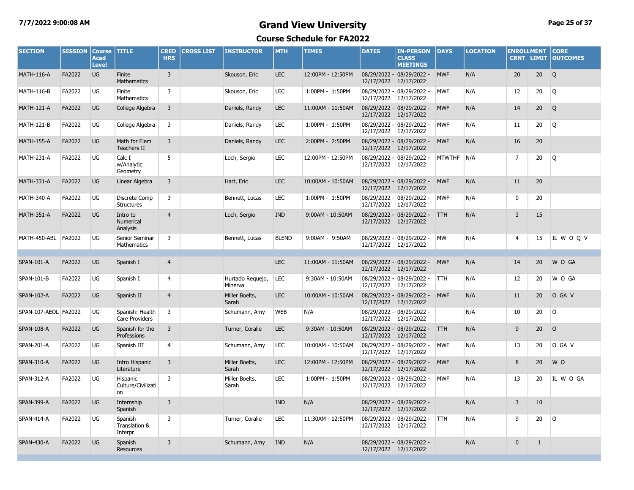### **7/7/2022 9:00:08 AM Grand View University Page 25 of 37**

| <b>SECTION</b>       | <b>SESSION</b> | <b>Course</b><br><b>Acad</b><br><b>Level</b> | <b>TITLE</b>                         | <b>CRED</b><br><b>HRS</b> | <b>CROSS LIST</b> | <b>INSTRUCTOR</b>           | <b>MTH</b>   | <b>TIMES</b>      | <b>DATES</b>          | <b>IN-PERSON</b><br><b>CLASS</b><br><b>MEETINGS</b> | DAYS          | <b>LOCATION</b> | <b>ENROLLMENT</b><br><b>CRNT LIMIT</b> |                 | <b>CORE</b><br><b>OUTCOMES</b> |
|----------------------|----------------|----------------------------------------------|--------------------------------------|---------------------------|-------------------|-----------------------------|--------------|-------------------|-----------------------|-----------------------------------------------------|---------------|-----------------|----------------------------------------|-----------------|--------------------------------|
| <b>MATH-116-A</b>    | FA2022         | <b>UG</b>                                    | Finite<br>Mathematics                | $\overline{3}$            |                   | Skouson, Eric               | <b>LEC</b>   | 12:00PM - 12:50PM | 12/17/2022            | 08/29/2022 - 08/29/2022 -<br>12/17/2022             | <b>MWF</b>    | N/A             | 20                                     | 20              | Q                              |
| <b>MATH-116-B</b>    | FA2022         | UG                                           | Finite<br><b>Mathematics</b>         | $\overline{3}$            |                   | Skouson, Eric               | <b>LEC</b>   | 1:00PM - 1:50PM   | 12/17/2022 12/17/2022 | 08/29/2022 - 08/29/2022 -                           | <b>MWF</b>    | N/A             | 12                                     | 20              | Q                              |
| <b>MATH-121-A</b>    | FA2022         | UG                                           | College Algebra                      | 3                         |                   | Daniels, Randy              | <b>LEC</b>   | 11:00AM - 11:50AM | 12/17/2022 12/17/2022 | 08/29/2022 - 08/29/2022 -                           | <b>MWF</b>    | N/A             | 14                                     | 20              | Q                              |
| <b>MATH-121-B</b>    | FA2022         | UG                                           | College Algebra                      | 3                         |                   | Daniels, Randy              | LEC          | 1:00PM - 1:50PM   | 12/17/2022            | 08/29/2022 - 08/29/2022 -<br>12/17/2022             | <b>MWF</b>    | N/A             | 11                                     | 20              | Q                              |
| <b>MATH-155-A</b>    | FA2022         | UG                                           | Math for Elem<br><b>Teachers II</b>  | 3                         |                   | Daniels, Randy              | <b>LEC</b>   | 2:00PM - 2:50PM   | 12/17/2022            | 08/29/2022 - 08/29/2022 -<br>12/17/2022             | <b>MWF</b>    | N/A             | 16                                     | 20              |                                |
| <b>MATH-231-A</b>    | FA2022         | UG                                           | Calc I<br>w/Analytic<br>Geometry     | 5                         |                   | Loch, Sergio                | <b>LEC</b>   | 12:00PM - 12:50PM | 12/17/2022            | 08/29/2022 - 08/29/2022 -<br>12/17/2022             | <b>MTWTHF</b> | N/A             | $\overline{7}$                         | 20              | Q                              |
| <b>MATH-331-A</b>    | FA2022         | <b>UG</b>                                    | Linear Algebra                       | 3                         |                   | Hart, Eric                  | <b>LEC</b>   | 10:00AM - 10:50AM | 12/17/2022            | 08/29/2022 - 08/29/2022 -<br>12/17/2022             | <b>MWF</b>    | N/A             | 11                                     | 20              |                                |
| <b>MATH-340-A</b>    | FA2022         | UG                                           | Discrete Comp<br><b>Structures</b>   | 3                         |                   | Bennett, Lucas              | LEC          | 1:00PM - 1:50PM   | 12/17/2022            | 08/29/2022 - 08/29/2022 -<br>12/17/2022             | <b>MWF</b>    | N/A             | 9                                      | 20              |                                |
| <b>MATH-351-A</b>    | FA2022         | <b>UG</b>                                    | Intro to<br>Numerical<br>Analysis    | $\overline{4}$            |                   | Loch, Sergio                | <b>IND</b>   | 9:00AM - 10:50AM  | 12/17/2022 12/17/2022 | 08/29/2022 - 08/29/2022 -                           | <b>TTH</b>    | N/A             | 3                                      | 15              |                                |
| MATH-450-ABL         | FA2022         | UG                                           | Senior Seminar<br>Mathematics        | 3                         |                   | Bennett, Lucas              | <b>BLEND</b> | 9:00AM - 9:50AM   | 12/17/2022            | 08/29/2022 - 08/29/2022 -<br>12/17/2022             | <b>MW</b>     | N/A             | $\overline{4}$                         | 15              | IL WOQV                        |
|                      |                |                                              |                                      |                           |                   |                             |              |                   |                       |                                                     |               |                 |                                        |                 |                                |
| <b>SPAN-101-A</b>    | FA2022         | <b>UG</b>                                    | Spanish I                            | $\overline{4}$            |                   |                             | <b>LEC</b>   | 11:00AM - 11:50AM | 12/17/2022            | 08/29/2022 - 08/29/2022 -<br>12/17/2022             | <b>MWF</b>    | N/A             | 14                                     | 20 <sub>2</sub> | W O GA                         |
| SPAN-101-B           | FA2022         | UG                                           | Spanish I                            | 4                         |                   | Hurtado Requejo,<br>Minerva | LEC          | 9:30AM - 10:50AM  | 12/17/2022            | 08/29/2022 - 08/29/2022 -<br>12/17/2022             | TTH           | N/A             | 12                                     | 20              | W O GA                         |
| <b>SPAN-102-A</b>    | FA2022         | <b>UG</b>                                    | Spanish II                           | $\overline{4}$            |                   | Miller Boelts,<br>Sarah     | <b>LEC</b>   | 10:00AM - 10:50AM | 12/17/2022            | 08/29/2022 - 08/29/2022 -<br>12/17/2022             | <b>MWF</b>    | N/A             | 11                                     | 20              | O GA V                         |
| SPAN-107-AEOL FA2022 |                | UG                                           | Spanish: Health<br>Care Providers    | 3                         |                   | Schumann, Amy               | <b>WEB</b>   | N/A               | 12/17/2022            | 08/29/2022 - 08/29/2022 -<br>12/17/2022             |               | N/A             | 10                                     | 20              | l O                            |
| <b>SPAN-108-A</b>    | FA2022         | <b>UG</b>                                    | Spanish for the<br>Professions       | 3                         |                   | Turner, Coralie             | <b>LEC</b>   | 9:30AM - 10:50AM  | 12/17/2022            | 08/29/2022 - 08/29/2022 -<br>12/17/2022             | <b>TTH</b>    | N/A             | 9                                      | 20              | $\circ$                        |
| SPAN-201-A           | FA2022         | UG                                           | Spanish III                          | $\overline{4}$            |                   | Schumann, Amy               | LEC          | 10:00AM - 10:50AM | 12/17/2022            | 08/29/2022 - 08/29/2022 -<br>12/17/2022             | <b>MWF</b>    | N/A             | 13                                     | 20              | O GA V                         |
| <b>SPAN-310-A</b>    | FA2022         | UG                                           | Intro Hispanic<br>Literature         | $\overline{3}$            |                   | Miller Boelts,<br>Sarah     | <b>LEC</b>   | 12:00PM - 12:50PM | 12/17/2022 12/17/2022 | 08/29/2022 - 08/29/2022 -                           | <b>MWF</b>    | N/A             | 8                                      | 20              | W O                            |
| SPAN-312-A           | FA2022         | UG                                           | Hispanic<br>Culture/Civilizati<br>on | 3                         |                   | Miller Boelts,<br>Sarah     | <b>LEC</b>   | 1:00PM - 1:50PM   | 12/17/2022            | 08/29/2022 - 08/29/2022 -<br>12/17/2022             | <b>MWF</b>    | N/A             | 13                                     | 20              | IL W O GA                      |
| <b>SPAN-399-A</b>    | FA2022         | <b>UG</b>                                    | Internship<br>Spanish                | $\overline{3}$            |                   |                             | <b>IND</b>   | N/A               | 12/17/2022            | 08/29/2022 - 08/29/2022 -<br>12/17/2022             |               | N/A             | $\overline{3}$                         | 10              |                                |
| <b>SPAN-414-A</b>    | FA2022         | UG                                           | Spanish<br>Translation &<br>Interpr  | 3                         |                   | Turner, Coralie             | LEC          | 11:30AM - 12:50PM | 12/17/2022 12/17/2022 | 08/29/2022 - 08/29/2022 -                           | <b>TTH</b>    | N/A             | 9                                      | 20              | l O                            |
| <b>SPAN-430-A</b>    | FA2022         | <b>UG</b>                                    | Spanish<br>Resources                 | 3                         |                   | Schumann, Amy               | <b>IND</b>   | N/A               | 12/17/2022 12/17/2022 | 08/29/2022 - 08/29/2022 -                           |               | N/A             | $\mathbf{0}$                           | $\mathbf{1}$    |                                |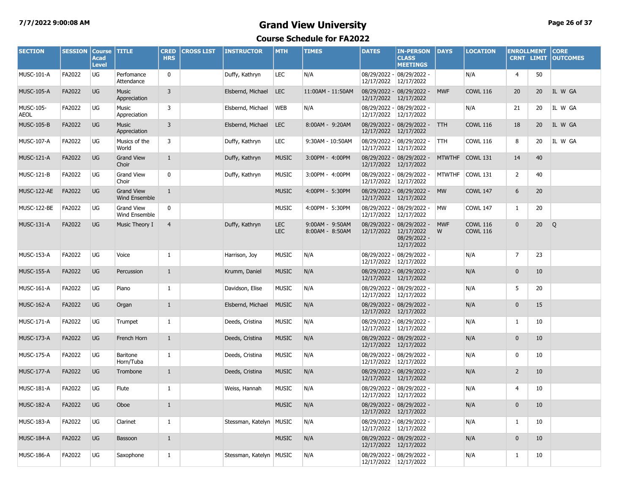# **7/7/2022 9:00:08 AM Grand View University Page 26 of 37**

| <b>SECTION</b>           | <b>SESSION</b> | <b>Course</b><br>Acad<br><b>Level</b> | <b>TITLE</b>                              | <b>CRED</b><br><b>HRS</b> | <b>CROSS LIST</b> | <b>INSTRUCTOR</b>         | <b>MTH</b>               | <b>TIMES</b>                       | <b>DATES</b>          | <b>IN-PERSON</b><br><b>CLASS</b><br><b>MEETINGS</b>     | <b>DAYS</b>     | <b>LOCATION</b>                    | <b>ENROLLMENT</b><br><b>CRNT LIMIT</b> |                 | <b>CORE</b><br><b>OUTCOMES</b> |
|--------------------------|----------------|---------------------------------------|-------------------------------------------|---------------------------|-------------------|---------------------------|--------------------------|------------------------------------|-----------------------|---------------------------------------------------------|-----------------|------------------------------------|----------------------------------------|-----------------|--------------------------------|
| <b>MUSC-101-A</b>        | FA2022         | UG                                    | Perfomance<br>Attendance                  | $\mathbf{0}$              |                   | Duffy, Kathryn            | <b>LEC</b>               | N/A                                | 12/17/2022            | 08/29/2022 - 08/29/2022 -<br>12/17/2022                 |                 | N/A                                | 4                                      | 50              |                                |
| <b>MUSC-105-A</b>        | FA2022         | <b>UG</b>                             | <b>Music</b><br>Appreciation              | $\overline{3}$            |                   | Elsbernd, Michael         | <b>LEC</b>               | 11:00AM - 11:50AM                  | 12/17/2022 12/17/2022 | 08/29/2022 - 08/29/2022 -                               | <b>MWF</b>      | <b>COWL 116</b>                    | 20                                     | 20 <sup>°</sup> | IL W GA                        |
| MUSC-105-<br><b>AEOL</b> | FA2022         | UG                                    | Music<br>Appreciation                     | 3                         |                   | Elsbernd, Michael         | <b>WEB</b>               | N/A                                | 12/17/2022 12/17/2022 | 08/29/2022 - 08/29/2022 -                               |                 | N/A                                | 21                                     | 20              | IL W GA                        |
| <b>MUSC-105-B</b>        | FA2022         | <b>UG</b>                             | <b>Music</b><br>Appreciation              | $\overline{3}$            |                   | Elsbernd, Michael         | <b>LEC</b>               | 8:00AM - 9:20AM                    | 12/17/2022 12/17/2022 | 08/29/2022 - 08/29/2022 -                               | <b>TTH</b>      | <b>COWL 116</b>                    | 18                                     | 20              | IL W GA                        |
| <b>MUSC-107-A</b>        | FA2022         | UG                                    | Musics of the<br>World                    | 3                         |                   | Duffy, Kathryn            | <b>LEC</b>               | 9:30AM - 10:50AM                   | 12/17/2022            | 08/29/2022 - 08/29/2022 -<br>12/17/2022                 | <b>TTH</b>      | <b>COWL 116</b>                    | 8                                      | 20              | IL W GA                        |
| <b>MUSC-121-A</b>        | FA2022         | <b>UG</b>                             | <b>Grand View</b><br>Choir                | $\mathbf{1}$              |                   | Duffy, Kathryn            | <b>MUSIC</b>             | 3:00PM - 4:00PM                    | 12/17/2022 12/17/2022 | 08/29/2022 - 08/29/2022 -                               |                 | MTWTHF COWL 131                    | 14                                     | 40              |                                |
| <b>MUSC-121-B</b>        | FA2022         | UG                                    | <b>Grand View</b><br>Choir                | $\mathbf 0$               |                   | Duffy, Kathryn            | <b>MUSIC</b>             | 3:00PM - 4:00PM                    | 12/17/2022            | 08/29/2022 - 08/29/2022 -<br>12/17/2022                 | <b>MTWTHF</b>   | <b>COWL 131</b>                    | $\mathbf{2}$                           | 40              |                                |
| MUSC-122-AE              | FA2022         | <b>UG</b>                             | <b>Grand View</b><br><b>Wind Ensemble</b> | $\mathbf{1}$              |                   |                           | <b>MUSIC</b>             | 4:00PM - 5:30PM                    | 12/17/2022 12/17/2022 | 08/29/2022 - 08/29/2022 -                               | <b>MW</b>       | <b>COWL 147</b>                    | 6                                      | 20              |                                |
| MUSC-122-BE              | FA2022         | UG                                    | <b>Grand View</b><br>Wind Ensemble        | 0                         |                   |                           | <b>MUSIC</b>             | 4:00PM - 5:30PM                    | 12/17/2022            | 08/29/2022 - 08/29/2022 -<br>12/17/2022                 | <b>MW</b>       | <b>COWL 147</b>                    | $\mathbf{1}$                           | 20              |                                |
| <b>MUSC-131-A</b>        | FA2022         | <b>UG</b>                             | Music Theory I                            | $\overline{4}$            |                   | Duffy, Kathryn            | <b>LEC</b><br><b>LEC</b> | 9:00AM - 9:50AM<br>8:00AM - 8:50AM | 12/17/2022 12/17/2022 | 08/29/2022 - 08/29/2022 -<br>08/29/2022 -<br>12/17/2022 | <b>MWF</b><br>W | <b>COWL 116</b><br><b>COWL 116</b> | $\mathbf{0}$                           | 20 <sub>2</sub> | Q                              |
| <b>MUSC-153-A</b>        | FA2022         | <b>UG</b>                             | Voice                                     | $\mathbf{1}$              |                   | Harrison, Joy             | <b>MUSIC</b>             | N/A                                | 12/17/2022 12/17/2022 | 08/29/2022 - 08/29/2022 -                               |                 | N/A                                | $\overline{7}$                         | 23              |                                |
| <b>MUSC-155-A</b>        | FA2022         | <b>UG</b>                             | Percussion                                | $\mathbf{1}$              |                   | Krumm, Daniel             | <b>MUSIC</b>             | N/A                                | 12/17/2022 12/17/2022 | 08/29/2022 - 08/29/2022 -                               |                 | N/A                                | $\mathbf{0}$                           | 10              |                                |
| <b>MUSC-161-A</b>        | FA2022         | UG                                    | Piano                                     | 1                         |                   | Davidson, Elise           | <b>MUSIC</b>             | N/A                                | 12/17/2022 12/17/2022 | 08/29/2022 - 08/29/2022 -                               |                 | N/A                                | 5                                      | 20              |                                |
| <b>MUSC-162-A</b>        | FA2022         | <b>UG</b>                             | Organ                                     | $\mathbf{1}$              |                   | Elsbernd, Michael         | <b>MUSIC</b>             | N/A                                | 12/17/2022 12/17/2022 | 08/29/2022 - 08/29/2022 -                               |                 | N/A                                | $\pmb{0}$                              | 15              |                                |
| <b>MUSC-171-A</b>        | FA2022         | UG                                    | Trumpet                                   | $\mathbf{1}$              |                   | Deeds, Cristina           | <b>MUSIC</b>             | N/A                                | 12/17/2022 12/17/2022 | 08/29/2022 - 08/29/2022 -                               |                 | N/A                                | $\mathbf{1}$                           | 10              |                                |
| <b>MUSC-173-A</b>        | FA2022         | <b>UG</b>                             | French Horn                               | $\mathbf{1}$              |                   | Deeds, Cristina           | <b>MUSIC</b>             | N/A                                | 12/17/2022 12/17/2022 | 08/29/2022 - 08/29/2022 -                               |                 | N/A                                | $\mathbf{0}$                           | 10              |                                |
| <b>MUSC-175-A</b>        | FA2022         | UG                                    | Baritone<br>Horn/Tuba                     | 1                         |                   | Deeds, Cristina           | <b>MUSIC</b>             | N/A                                | 12/17/2022 12/17/2022 | 08/29/2022 - 08/29/2022 -                               |                 | N/A                                | 0                                      | 10              |                                |
| <b>MUSC-177-A</b>        | FA2022         | <b>UG</b>                             | Trombone                                  | $\mathbf{1}$              |                   | Deeds, Cristina           | <b>MUSIC</b>             | N/A                                | 12/17/2022 12/17/2022 | 08/29/2022 - 08/29/2022 -                               |                 | N/A                                | $\overline{2}$                         | 10              |                                |
| <b>MUSC-181-A</b>        | FA2022         | UG                                    | Flute                                     | $\mathbf{1}$              |                   | Weiss, Hannah             | <b>MUSIC</b>             | N/A                                | 12/17/2022            | 08/29/2022 - 08/29/2022 -<br>12/17/2022                 |                 | N/A                                | $\overline{4}$                         | 10              |                                |
| <b>MUSC-182-A</b>        | FA2022         | <b>UG</b>                             | Oboe                                      | $\mathbf{1}$              |                   |                           | <b>MUSIC</b>             | N/A                                | 12/17/2022 12/17/2022 | 08/29/2022 - 08/29/2022 -                               |                 | N/A                                | $\mathbf{0}$                           | 10              |                                |
| <b>MUSC-183-A</b>        | FA2022         | UG                                    | Clarinet                                  | 1                         |                   | Stessman, Katelyn   MUSIC |                          | N/A                                | 12/17/2022 12/17/2022 | 08/29/2022 - 08/29/2022 -                               |                 | N/A                                | $\mathbf{1}$                           | 10              |                                |
| <b>MUSC-184-A</b>        | FA2022         | <b>UG</b>                             | Bassoon                                   | $\mathbf{1}$              |                   |                           | <b>MUSIC</b>             | N/A                                | 12/17/2022 12/17/2022 | 08/29/2022 - 08/29/2022 -                               |                 | N/A                                | $\mathbf 0$                            | 10              |                                |
| <b>MUSC-186-A</b>        | FA2022         | UG                                    | Saxophone                                 | 1                         |                   | Stessman, Katelyn   MUSIC |                          | N/A                                | 12/17/2022 12/17/2022 | 08/29/2022 - 08/29/2022 -                               |                 | N/A                                | $\mathbf{1}$                           | 10              |                                |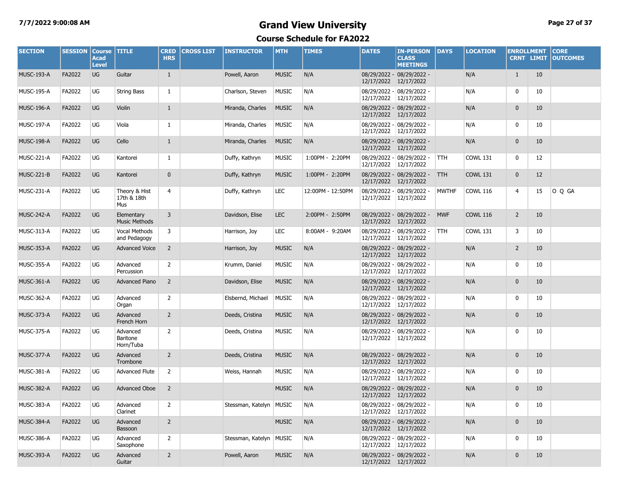# **7/7/2022 9:00:08 AM Grand View University Page 27 of 37**

| <b>SECTION</b>    | <b>SESSION</b> | <b>Course</b><br><b>Acad</b><br><b>Level</b> | <b>TITLE</b>                         | <b>CRED</b><br><b>HRS</b> | <b>CROSS LIST</b> | <b>INSTRUCTOR</b>         | <b>MTH</b>   | <b>TIMES</b>      | <b>DATES</b>          | <b>IN-PERSON</b><br><b>CLASS</b><br><b>MEETINGS</b> | <b>DAYS</b>  | <b>LOCATION</b> | <b>ENROLLMENT</b> | <b>CRNT LIMIT</b> | <b>CORE</b><br><b>OUTCOMES</b> |
|-------------------|----------------|----------------------------------------------|--------------------------------------|---------------------------|-------------------|---------------------------|--------------|-------------------|-----------------------|-----------------------------------------------------|--------------|-----------------|-------------------|-------------------|--------------------------------|
| <b>MUSC-193-A</b> | FA2022         | <b>UG</b>                                    | Guitar                               | $\mathbf{1}$              |                   | Powell, Aaron             | <b>MUSIC</b> | N/A               | 12/17/2022 12/17/2022 | 08/29/2022 - 08/29/2022 -                           |              | N/A             | $\mathbf{1}$      | 10                |                                |
| <b>MUSC-195-A</b> | FA2022         | UG                                           | String Bass                          | 1                         |                   | Charlson, Steven          | <b>MUSIC</b> | N/A               | 12/17/2022 12/17/2022 | 08/29/2022 - 08/29/2022 -                           |              | N/A             | 0                 | 10                |                                |
| <b>MUSC-196-A</b> | FA2022         | UG                                           | Violin                               | $\mathbf{1}$              |                   | Miranda, Charles          | <b>MUSIC</b> | N/A               | 12/17/2022 12/17/2022 | 08/29/2022 - 08/29/2022 -                           |              | N/A             | $\mathbf{0}$      | 10                |                                |
| <b>MUSC-197-A</b> | FA2022         | UG                                           | Viola                                | -1                        |                   | Miranda, Charles          | <b>MUSIC</b> | N/A               | 12/17/2022 12/17/2022 | 08/29/2022 - 08/29/2022 -                           |              | N/A             | 0                 | 10                |                                |
| MUSC-198-A        | FA2022         | <b>UG</b>                                    | Cello                                | $\mathbf{1}$              |                   | Miranda, Charles          | <b>MUSIC</b> | N/A               | 12/17/2022 12/17/2022 | 08/29/2022 - 08/29/2022 -                           |              | N/A             | $\mathbf{0}$      | 10                |                                |
| <b>MUSC-221-A</b> | FA2022         | UG                                           | Kantorei                             | -1                        |                   | Duffy, Kathryn            | <b>MUSIC</b> | 1:00PM - 2:20PM   | 12/17/2022 12/17/2022 | 08/29/2022 - 08/29/2022 -                           | <b>TTH</b>   | <b>COWL 131</b> | 0                 | 12                |                                |
| MUSC-221-B        | FA2022         | <b>UG</b>                                    | Kantorei                             | $\mathbf{0}$              |                   | Duffy, Kathryn            | <b>MUSIC</b> | 1:00PM - 2:20PM   | 12/17/2022 12/17/2022 | 08/29/2022 - 08/29/2022 -                           | <b>TTH</b>   | <b>COWL 131</b> | $\mathbf 0$       | 12                |                                |
| MUSC-231-A        | FA2022         | UG                                           | Theory & Hist<br>17th & 18th<br>Mus  | 4                         |                   | Duffy, Kathryn            | LEC          | 12:00PM - 12:50PM |                       | 08/29/2022 - 08/29/2022 -<br>12/17/2022 12/17/2022  | <b>MWTHF</b> | <b>COWL 116</b> | 4                 | 15                | O Q GA                         |
| <b>MUSC-242-A</b> | FA2022         | <b>UG</b>                                    | Elementary<br><b>Music Methods</b>   | $\overline{3}$            |                   | Davidson, Elise           | <b>LEC</b>   | 2:00PM - 2:50PM   | 12/17/2022 12/17/2022 | 08/29/2022 - 08/29/2022 -                           | <b>MWF</b>   | <b>COWL 116</b> | $\overline{2}$    | 10                |                                |
| MUSC-313-A        | FA2022         | UG                                           | <b>Vocal Methods</b><br>and Pedagogy | 3                         |                   | Harrison, Joy             | <b>LEC</b>   | 8:00AM - 9:20AM   | 12/17/2022 12/17/2022 | 08/29/2022 - 08/29/2022 -                           | <b>TTH</b>   | <b>COWL 131</b> | 3                 | 10                |                                |
| <b>MUSC-353-A</b> | FA2022         | <b>UG</b>                                    | <b>Advanced Voice</b>                | $\overline{2}$            |                   | Harrison, Joy             | <b>MUSIC</b> | N/A               | 12/17/2022 12/17/2022 | 08/29/2022 - 08/29/2022 -                           |              | N/A             | $\overline{2}$    | 10                |                                |
| <b>MUSC-355-A</b> | FA2022         | UG                                           | Advanced<br>Percussion               | 2                         |                   | Krumm, Daniel             | <b>MUSIC</b> | N/A               | 12/17/2022 12/17/2022 | 08/29/2022 - 08/29/2022 -                           |              | N/A             | 0                 | 10                |                                |
| <b>MUSC-361-A</b> | FA2022         | UG                                           | <b>Advanced Piano</b>                | $\overline{2}$            |                   | Davidson, Elise           | <b>MUSIC</b> | N/A               | 12/17/2022 12/17/2022 | 08/29/2022 - 08/29/2022 -                           |              | N/A             | $\mathbf{0}$      | 10                |                                |
| <b>MUSC-362-A</b> | FA2022         | UG                                           | Advanced<br>Organ                    | 2                         |                   | Elsbernd, Michael         | <b>MUSIC</b> | N/A               | 12/17/2022 12/17/2022 | 08/29/2022 - 08/29/2022 -                           |              | N/A             | 0                 | 10                |                                |
| <b>MUSC-373-A</b> | FA2022         | UG                                           | Advanced<br>French Horn              | $\overline{2}$            |                   | Deeds, Cristina           | <b>MUSIC</b> | N/A               | 12/17/2022 12/17/2022 | 08/29/2022 - 08/29/2022 -                           |              | N/A             | $\mathbf{0}$      | 10                |                                |
| <b>MUSC-375-A</b> | FA2022         | UG                                           | Advanced<br>Baritone<br>Horn/Tuba    | 2                         |                   | Deeds, Cristina           | <b>MUSIC</b> | N/A               | 12/17/2022 12/17/2022 | 08/29/2022 - 08/29/2022 -                           |              | N/A             | 0                 | 10                |                                |
| MUSC-377-A        | FA2022         | UG                                           | Advanced<br>Trombone                 | $\overline{2}$            |                   | Deeds, Cristina           | <b>MUSIC</b> | N/A               | 12/17/2022 12/17/2022 | 08/29/2022 - 08/29/2022 -                           |              | N/A             | $\mathbf 0$       | 10                |                                |
| <b>MUSC-381-A</b> | FA2022         | UG                                           | <b>Advanced Flute</b>                | $\overline{2}$            |                   | Weiss, Hannah             | <b>MUSIC</b> | N/A               | 12/17/2022 12/17/2022 | 08/29/2022 - 08/29/2022 -                           |              | N/A             | $\mathbf 0$       | 10                |                                |
| MUSC-382-A        | FA2022         | <b>UG</b>                                    | <b>Advanced Oboe</b>                 | $\overline{2}$            |                   |                           | <b>MUSIC</b> | N/A               | 12/17/2022 12/17/2022 | 08/29/2022 - 08/29/2022 -                           |              | N/A             | $\mathbf{0}$      | 10                |                                |
| <b>MUSC-383-A</b> | FA2022         | UG                                           | Advanced<br>Clarinet                 | 2                         |                   | Stessman, Katelyn MUSIC   |              | N/A               | 12/17/2022 12/17/2022 | 08/29/2022 - 08/29/2022 -                           |              | N/A             | 0                 | 10                |                                |
| MUSC-384-A        | FA2022         | <b>UG</b>                                    | Advanced<br>Bassoon                  | $\overline{2}$            |                   |                           | <b>MUSIC</b> | N/A               | 12/17/2022 12/17/2022 | 08/29/2022 - 08/29/2022 -                           |              | N/A             | $\mathbf{0}$      | 10                |                                |
| <b>MUSC-386-A</b> | FA2022         | UG                                           | Advanced<br>Saxophone                | 2                         |                   | Stessman, Katelyn   MUSIC |              | N/A               | 12/17/2022 12/17/2022 | 08/29/2022 - 08/29/2022 -                           |              | N/A             | 0                 | 10                |                                |
| <b>MUSC-393-A</b> | FA2022         | <b>UG</b>                                    | Advanced<br>Guitar                   | $\overline{2}$            |                   | Powell, Aaron             | <b>MUSIC</b> | N/A               | 12/17/2022 12/17/2022 | 08/29/2022 - 08/29/2022 -                           |              | N/A             | $\mathbf{0}$      | 10                |                                |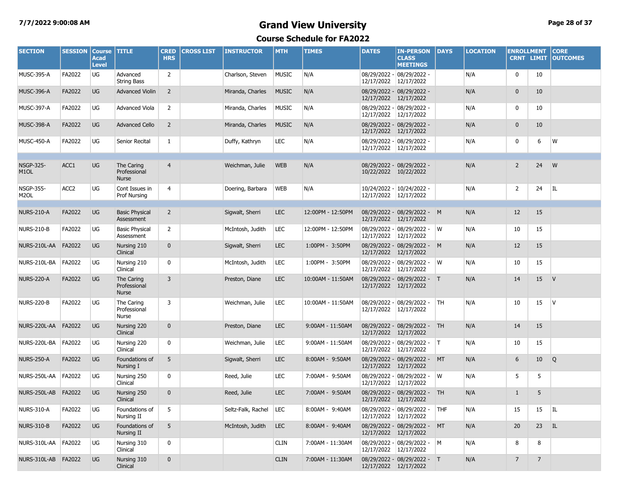# **7/7/2022 9:00:08 AM Grand View University Page 28 of 37**

| <b>SECTION</b>                        | <b>SESSION</b>   | <b>Course</b><br><b>Acad</b><br><b>Level</b> | <b>TITLE</b>                               | <b>CRED</b><br><b>HRS</b> | <b>CROSS LIST</b> | <b>INSTRUCTOR</b>  | <b>MTH</b>   | <b>TIMES</b>      | <b>DATES</b>          | <b>IN-PERSON</b><br><b>CLASS</b><br><b>MEETINGS</b>   | DAYS      | <b>LOCATION</b> | <b>ENROLLMENT</b><br><b>CRNT LIMIT</b> |                 | <b>CORE</b><br><b>OUTCOMES</b> |
|---------------------------------------|------------------|----------------------------------------------|--------------------------------------------|---------------------------|-------------------|--------------------|--------------|-------------------|-----------------------|-------------------------------------------------------|-----------|-----------------|----------------------------------------|-----------------|--------------------------------|
| MUSC-395-A                            | FA2022           | UG                                           | Advanced<br><b>String Bass</b>             | $\overline{2}$            |                   | Charlson, Steven   | <b>MUSIC</b> | N/A               | 12/17/2022            | 08/29/2022 - 08/29/2022 -<br>12/17/2022               |           | N/A             | 0                                      | 10              |                                |
| MUSC-396-A                            | FA2022           | UG                                           | <b>Advanced Violin</b>                     | $\overline{2}$            |                   | Miranda, Charles   | <b>MUSIC</b> | N/A               | 12/17/2022            | 08/29/2022 - 08/29/2022 -<br>12/17/2022               |           | N/A             | $\mathbf 0$                            | 10              |                                |
| MUSC-397-A                            | FA2022           | UG                                           | <b>Advanced Viola</b>                      | 2                         |                   | Miranda, Charles   | <b>MUSIC</b> | N/A               | 12/17/2022            | 08/29/2022 - 08/29/2022 -<br>12/17/2022               |           | N/A             | 0                                      | 10              |                                |
| MUSC-398-A                            | FA2022           | UG                                           | <b>Advanced Cello</b>                      | $\overline{2}$            |                   | Miranda, Charles   | <b>MUSIC</b> | N/A               |                       | 08/29/2022 - 08/29/2022 -<br>12/17/2022 12/17/2022    |           | N/A             | $\mathbf 0$                            | 10              |                                |
| MUSC-450-A                            | FA2022           | UG                                           | Senior Recital                             | 1                         |                   | Duffy, Kathryn     | <b>LEC</b>   | N/A               |                       | 08/29/2022 - 08/29/2022 -<br>12/17/2022 12/17/2022    |           | N/A             | 0                                      | 6               | W                              |
| <b>NSGP-325-</b><br>M <sub>1</sub> OL | ACC1             | <b>UG</b>                                    | The Caring<br>Professional<br><b>Nurse</b> | $\overline{4}$            |                   | Weichman, Julie    | <b>WEB</b>   | N/A               |                       | 08/29/2022 - 08/29/2022 -<br>10/22/2022 10/22/2022    |           | N/A             | $\overline{2}$                         | 24              | W                              |
| <b>NSGP-355-</b><br>M <sub>2</sub> OL | ACC <sub>2</sub> | UG                                           | Cont Issues in<br>Prof Nursing             | 4                         |                   | Doering, Barbara   | <b>WEB</b>   | N/A               |                       | 10/24/2022 - 10/24/2022 -<br>12/17/2022 12/17/2022    |           | N/A             | $\overline{2}$                         | 24              | IL                             |
| <b>NURS-210-A</b>                     | FA2022           | UG                                           | <b>Basic Physical</b><br>Assessment        | $\overline{2}$            |                   | Sigwalt, Sherri    | <b>LEC</b>   | 12:00PM - 12:50PM | 12/17/2022            | 08/29/2022 - 08/29/2022 - M<br>12/17/2022             |           | N/A             | 12                                     | 15              |                                |
| <b>NURS-210-B</b>                     | FA2022           | UG                                           | <b>Basic Physical</b><br>Assessment        | $\overline{2}$            |                   | McIntosh, Judith   | LEC          | 12:00PM - 12:50PM | 12/17/2022            | 08/29/2022 - 08/29/2022 -<br>12/17/2022               | W         | N/A             | 10                                     | 15              |                                |
| NURS-210L-AA                          | FA2022           | UG                                           | Nursing 210<br>Clinical                    | $\mathbf{0}$              |                   | Sigwalt, Sherri    | <b>LEC</b>   | 1:00PM - 3:50PM   | 12/17/2022            | 08/29/2022 - 08/29/2022 - M<br>12/17/2022             |           | N/A             | 12                                     | 15              |                                |
| NURS-210L-BA                          | FA2022           | UG                                           | Nursing 210<br>Clinical                    | 0                         |                   | McIntosh, Judith   | LEC          | 1:00PM - 3:50PM   | 12/17/2022            | 08/29/2022 - 08/29/2022 -<br>12/17/2022               | W         | N/A             | 10                                     | 15              |                                |
| <b>NURS-220-A</b>                     | FA2022           | UG                                           | The Caring<br>Professional<br>Nurse        | 3                         |                   | Preston, Diane     | <b>LEC</b>   | 10:00AM - 11:50AM | 12/17/2022            | 08/29/2022 - 08/29/2022 - T<br>12/17/2022             |           | N/A             | 14                                     | 15              | V                              |
| <b>NURS-220-B</b>                     | FA2022           | UG                                           | The Caring<br>Professional<br>Nurse        | 3                         |                   | Weichman, Julie    | LEC          | 10:00AM - 11:50AM | 12/17/2022            | 08/29/2022 - 08/29/2022 -<br>12/17/2022               | TH        | N/A             | 10                                     | 15              | IV.                            |
| NURS-220L-AA                          | FA2022           | <b>UG</b>                                    | Nursing 220<br>Clinical                    | $\mathbf{0}$              |                   | Preston, Diane     | <b>LEC</b>   | 9:00AM - 11:50AM  | 12/17/2022            | 08/29/2022 - 08/29/2022 - TH<br>12/17/2022            |           | N/A             | 14                                     | 15              |                                |
| NURS-220L-BA                          | FA2022           | UG                                           | Nursing 220<br>Clinical                    | 0                         |                   | Weichman, Julie    | LEC          | 9:00AM - 11:50AM  | 12/17/2022            | 08/29/2022 - 08/29/2022 -<br>12/17/2022               | IT.       | N/A             | 10                                     | 15              |                                |
| <b>NURS-250-A</b>                     | FA2022           | UG                                           | Foundations of<br>Nursing I                | 5                         |                   | Sigwalt, Sherri    | <b>LEC</b>   | 8:00AM - 9:50AM   | 12/17/2022            | 08/29/2022 - 08/29/2022 -<br>12/17/2022               | MT        | N/A             | 6                                      | 10 <sup>°</sup> | Q                              |
| NURS-250L-AA                          | <b>FA2022</b>    | UG                                           | Nursing 250<br>Clinical                    | 0                         |                   | Reed, Julie        | <b>LEC</b>   | 7:00AM - 9:50AM   | 12/17/2022            | 08/29/2022 - 08/29/2022 -<br>12/17/2022               | W         | N/A             | 5                                      | 5               |                                |
| NURS-250L-AB                          | FA2022           | <b>UG</b>                                    | Nursing 250<br>Clinical                    | $\mathbf 0$               |                   | Reed, Julie        | <b>LEC</b>   | 7:00AM - 9:50AM   | 12/17/2022 12/17/2022 | 08/29/2022 - 08/29/2022 -                             | <b>TH</b> | N/A             | 1                                      | 5               |                                |
| NURS-310-A                            | FA2022           | UG                                           | Foundations of<br>Nursing II               | 5                         |                   | Seltz-Falk, Rachel | LEC          | 8:00AM - 9:40AM   |                       | 08/29/2022 - 08/29/2022 -<br>12/17/2022 12/17/2022    | THF       | N/A             | 15                                     | 15              | I                              |
| <b>NURS-310-B</b>                     | FA2022           | <b>UG</b>                                    | Foundations of<br>Nursing II               | 5                         |                   | McIntosh, Judith   | <b>LEC</b>   | 8:00AM - 9:40AM   |                       | 08/29/2022 - 08/29/2022 - MT<br>12/17/2022 12/17/2022 |           | N/A             | 20                                     | 23 IL           |                                |
| NURS-310L-AA                          | FA2022           | UG                                           | Nursing 310<br>Clinical                    | 0                         |                   |                    | <b>CLIN</b>  | 7:00AM - 11:30AM  | 12/17/2022 12/17/2022 | 08/29/2022 - 08/29/2022 - M                           |           | N/A             | 8                                      | 8               |                                |
| NURS-310L-AB FA2022                   |                  | <b>UG</b>                                    | Nursing 310<br>Clinical                    | $\mathbf 0$               |                   |                    | <b>CLIN</b>  | 7:00AM - 11:30AM  |                       | 08/29/2022 - 08/29/2022 - T<br>12/17/2022 12/17/2022  |           | N/A             | $\overline{7}$                         | $\overline{7}$  |                                |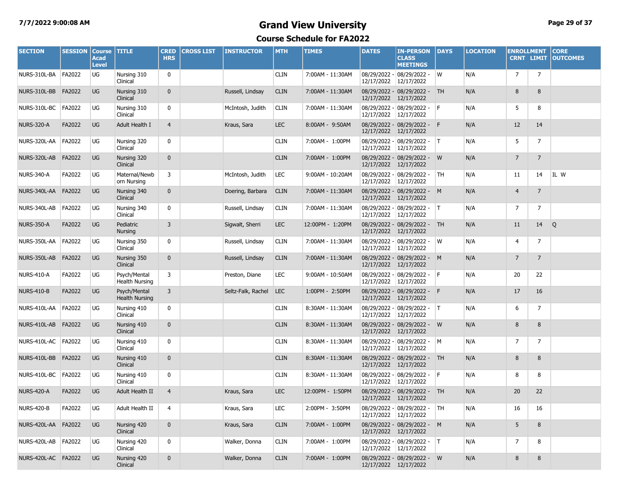### **7/7/2022 9:00:08 AM Grand View University Page 29 of 37**

| <b>SECTION</b>      | <b>SESSION</b> | <b>Course</b><br><b>Acad</b><br><b>Level</b> | <b>TITLE</b>                          | <b>CRED</b><br><b>HRS</b> | <b>CROSS LIST</b> | <b>INSTRUCTOR</b>  | <b>MTH</b>  | <b>TIMES</b>     | <b>DATES</b> | <b>IN-PERSON</b><br><b>CLASS</b><br><b>MEETINGS</b>   | DAYS      | <b>LOCATION</b> | <b>ENROLLMENT</b> | <b>CRNT LIMIT</b> | <b>CORE</b><br><b>OUTCOMES</b> |
|---------------------|----------------|----------------------------------------------|---------------------------------------|---------------------------|-------------------|--------------------|-------------|------------------|--------------|-------------------------------------------------------|-----------|-----------------|-------------------|-------------------|--------------------------------|
| NURS-310L-BA        | FA2022         | UG                                           | Nursing 310<br>Clinical               | 0                         |                   |                    | <b>CLIN</b> | 7:00AM - 11:30AM | 12/17/2022   | 08/29/2022 - 08/29/2022 -<br>12/17/2022               | W         | N/A             | $\overline{7}$    | $\overline{7}$    |                                |
| NURS-310L-BB        | FA2022         | UG                                           | Nursing 310<br>Clinical               | $\mathbf{0}$              |                   | Russell, Lindsay   | <b>CLIN</b> | 7:00AM - 11:30AM | 12/17/2022   | 08/29/2022 - 08/29/2022 -<br>12/17/2022               | <b>TH</b> | N/A             | 8                 | 8                 |                                |
| NURS-310L-BC        | FA2022         | UG                                           | Nursing 310<br>Clinical               | 0                         |                   | McIntosh, Judith   | <b>CLIN</b> | 7:00AM - 11:30AM | 12/17/2022   | 08/29/2022 - 08/29/2022 -<br>12/17/2022               | l F       | N/A             | 5                 | 8                 |                                |
| <b>NURS-320-A</b>   | FA2022         | <b>UG</b>                                    | Adult Health I                        | $\overline{4}$            |                   | Kraus, Sara        | <b>LEC</b>  | 8:00AM - 9:50AM  | 12/17/2022   | 08/29/2022 - 08/29/2022 - F<br>12/17/2022             |           | N/A             | 12                | 14                |                                |
| NURS-320L-AA        | <b>FA2022</b>  | UG                                           | Nursing 320<br>Clinical               | 0                         |                   |                    | <b>CLIN</b> | 7:00AM - 1:00PM  | 12/17/2022   | 08/29/2022 - 08/29/2022 -<br>12/17/2022               | IT.       | N/A             | 5                 | $\overline{7}$    |                                |
| NURS-320L-AB        | FA2022         | UG                                           | Nursing 320<br>Clinical               | $\mathbf{0}$              |                   |                    | <b>CLIN</b> | 7:00AM - 1:00PM  | 12/17/2022   | 08/29/2022 - 08/29/2022 -<br>12/17/2022               | W         | N/A             | $\overline{7}$    | $\overline{7}$    |                                |
| <b>NURS-340-A</b>   | FA2022         | UG                                           | Maternal/Newb<br>orn Nursing          | 3                         |                   | McIntosh, Judith   | <b>LEC</b>  | 9:00AM - 10:20AM | 12/17/2022   | 08/29/2022 - 08/29/2022 -<br>12/17/2022               | TH        | N/A             | 11                | 14                | IL W                           |
| NURS-340L-AA FA2022 |                | <b>UG</b>                                    | Nursing 340<br>Clinical               | $\mathbf{0}$              |                   | Doering, Barbara   | <b>CLIN</b> | 7:00AM - 11:30AM | 12/17/2022   | 08/29/2022 - 08/29/2022 - M<br>12/17/2022             |           | N/A             | $\overline{4}$    | $\overline{7}$    |                                |
| NURS-340L-AB        | <b>FA2022</b>  | UG                                           | Nursing 340<br>Clinical               | 0                         |                   | Russell, Lindsay   | <b>CLIN</b> | 7:00AM - 11:30AM | 12/17/2022   | 08/29/2022 - 08/29/2022 -<br>12/17/2022               | IT.       | N/A             | 7                 | 7                 |                                |
| <b>NURS-350-A</b>   | FA2022         | UG                                           | Pediatric<br>Nursing                  | 3                         |                   | Sigwalt, Sherri    | <b>LEC</b>  | 12:00PM - 1:20PM | 12/17/2022   | 08/29/2022 - 08/29/2022 -<br>12/17/2022               | <b>TH</b> | N/A             | 11                | 14                | Q                              |
| NURS-350L-AA        | FA2022         | UG                                           | Nursing 350<br>Clinical               | 0                         |                   | Russell, Lindsay   | <b>CLIN</b> | 7:00AM - 11:30AM | 12/17/2022   | 08/29/2022 - 08/29/2022 -<br>12/17/2022               | W         | N/A             | 4                 | 7                 |                                |
| NURS-350L-AB        | FA2022         | <b>UG</b>                                    | Nursing 350<br>Clinical               | $\mathbf{0}$              |                   | Russell, Lindsay   | <b>CLIN</b> | 7:00AM - 11:30AM | 12/17/2022   | 08/29/2022 - 08/29/2022 - M<br>12/17/2022             |           | N/A             | $\overline{7}$    | $\overline{7}$    |                                |
| NURS-410-A          | FA2022         | UG                                           | Psych/Mental<br><b>Health Nursing</b> | 3                         |                   | Preston, Diane     | <b>LEC</b>  | 9:00AM - 10:50AM | 12/17/2022   | 08/29/2022 - 08/29/2022 - F<br>12/17/2022             |           | N/A             | 20                | 22                |                                |
| <b>NURS-410-B</b>   | FA2022         | <b>UG</b>                                    | Psych/Mental<br><b>Health Nursing</b> | 3                         |                   | Seltz-Falk, Rachel | <b>LEC</b>  | 1:00PM - 2:50PM  | 12/17/2022   | 08/29/2022 - 08/29/2022 -<br>12/17/2022               | F         | N/A             | 17                | 16                |                                |
| NURS-410L-AA        | <b>FA2022</b>  | UG                                           | Nursing 410<br>Clinical               | 0                         |                   |                    | <b>CLIN</b> | 8:30AM - 11:30AM | 12/17/2022   | 08/29/2022 - 08/29/2022 -<br>12/17/2022               | IT.       | N/A             | 6                 | 7                 |                                |
| NURS-410L-AB        | FA2022         | <b>UG</b>                                    | Nursing 410<br>Clinical               | $\mathbf{0}$              |                   |                    | <b>CLIN</b> | 8:30AM - 11:30AM | 12/17/2022   | 08/29/2022 - 08/29/2022 -<br>12/17/2022               | W         | N/A             | 8                 | 8                 |                                |
| NURS-410L-AC FA2022 |                | UG                                           | Nursing 410<br>Clinical               | 0                         |                   |                    | <b>CLIN</b> | 8:30AM - 11:30AM | 12/17/2022   | 08/29/2022 - 08/29/2022 -<br>12/17/2022               | M         | N/A             | 7                 | $\overline{7}$    |                                |
| NURS-410L-BB        | FA2022         | <b>UG</b>                                    | Nursing 410<br>Clinical               | $\mathbf{0}$              |                   |                    | <b>CLIN</b> | 8:30AM - 11:30AM | 12/17/2022   | 08/29/2022 - 08/29/2022 - TH<br>12/17/2022            |           | N/A             | 8                 | 8                 |                                |
| NURS-410L-BC        | <b>FA2022</b>  | UG                                           | Nursing 410<br>Clinical               | 0                         |                   |                    | <b>CLIN</b> | 8:30AM - 11:30AM | 12/17/2022   | $08/29/2022 - 08/29/2022 -$ F<br>12/17/2022           |           | N/A             | 8                 | 8                 |                                |
| <b>NURS-420-A</b>   | FA2022         | <b>UG</b>                                    | Adult Health II                       | $\overline{4}$            |                   | Kraus, Sara        | <b>LEC</b>  | 12:00PM - 1:50PM |              | 08/29/2022 - 08/29/2022 - TH<br>12/17/2022 12/17/2022 |           | N/A             | 20                | 22                |                                |
| <b>NURS-420-B</b>   | FA2022         | $\overline{\cup}$                            | Adult Health II                       | 4                         |                   | Kraus, Sara        | LEC         | 2:00PM - 3:50PM  |              | 08/29/2022 - 08/29/2022 -<br>12/17/2022 12/17/2022    | <b>TH</b> | N/A             | 16                | 16                |                                |
| NURS-420L-AA FA2022 |                | <b>UG</b>                                    | Nursing 420<br>Clinical               | $\mathbf{0}$              |                   | Kraus, Sara        | <b>CLIN</b> | 7:00AM - 1:00PM  |              | 08/29/2022 - 08/29/2022 - M<br>12/17/2022 12/17/2022  |           | N/A             | 5                 | $\,8\,$           |                                |
| NURS-420L-AB FA2022 |                | UG                                           | Nursing 420<br>Clinical               | 0                         |                   | Walker, Donna      | <b>CLIN</b> | 7:00AM - 1:00PM  |              | 08/29/2022 - 08/29/2022 -<br>12/17/2022 12/17/2022    | IT.       | N/A             | $\overline{7}$    | 8                 |                                |
| NURS-420L-AC FA2022 |                | <b>UG</b>                                    | Nursing 420<br>Clinical               | $\bf{0}$                  |                   | Walker, Donna      | <b>CLIN</b> | 7:00AM - 1:00PM  |              | 08/29/2022 - 08/29/2022 - W<br>12/17/2022 12/17/2022  |           | N/A             | 8                 | 8                 |                                |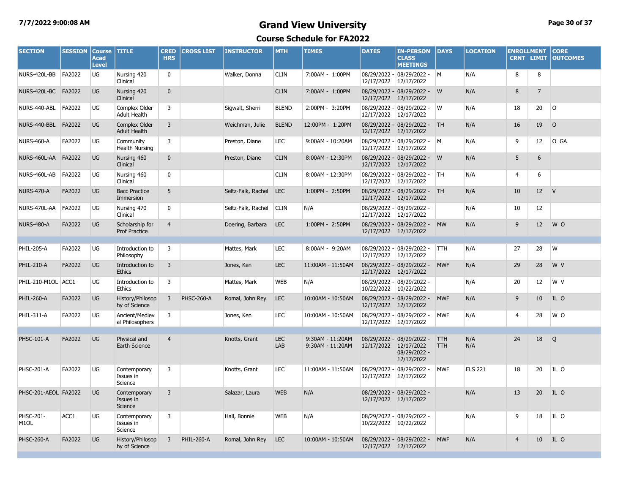### **7/7/2022 9:00:08 AM Grand View University Page 30 of 37**

| <b>SECTION</b>                 | <b>SESSION</b> | <b>Course</b><br><b>Acad</b><br><b>Level</b> | <b>TITLE</b>                                | <b>CRED</b><br><b>HRS</b> | <b>CROSS LIST</b> | <b>INSTRUCTOR</b>  | <b>MTH</b>        | <b>TIMES</b>                         | <b>DATES</b>          | <b>IN-PERSON</b><br><b>CLASS</b><br><b>MEETINGS</b>     | <b>DAYS</b>              | <b>LOCATION</b> | <b>ENROLLMENT</b><br><b>CRNT LIMIT</b> |                   | <b>CORE</b><br><b>OUTCOMES</b> |
|--------------------------------|----------------|----------------------------------------------|---------------------------------------------|---------------------------|-------------------|--------------------|-------------------|--------------------------------------|-----------------------|---------------------------------------------------------|--------------------------|-----------------|----------------------------------------|-------------------|--------------------------------|
| NURS-420L-BB                   | FA2022         | UG                                           | Nursing 420<br>Clinical                     | $\mathbf{0}$              |                   | Walker, Donna      | <b>CLIN</b>       | 7:00AM - 1:00PM                      | 12/17/2022 12/17/2022 | 08/29/2022 - 08/29/2022 -                               | <b>M</b>                 | N/A             | 8                                      | 8                 |                                |
| NURS-420L-BC FA2022            |                | UG                                           | Nursing 420<br>Clinical                     | $\mathbf{0}$              |                   |                    | <b>CLIN</b>       | 7:00AM - 1:00PM                      | 12/17/2022 12/17/2022 | 08/29/2022 - 08/29/2022 - W                             |                          | N/A             | 8                                      | $\overline{7}$    |                                |
| NURS-440-ABL                   | FA2022         | UG                                           | Complex Older<br><b>Adult Health</b>        | 3                         |                   | Sigwalt, Sherri    | <b>BLEND</b>      | 2:00PM - 3:20PM                      | 12/17/2022 12/17/2022 | 08/29/2022 - 08/29/2022 -                               | W                        | N/A             | 18                                     | 20                | <b>O</b>                       |
| NURS-440-BBL                   | FA2022         | <b>UG</b>                                    | <b>Complex Older</b><br><b>Adult Health</b> | $\overline{3}$            |                   | Weichman, Julie    | <b>BLEND</b>      | 12:00PM - 1:20PM                     | 12/17/2022 12/17/2022 | 08/29/2022 - 08/29/2022 -                               | <b>TH</b>                | N/A             | 16                                     | 19                | $\circ$                        |
| <b>NURS-460-A</b>              | FA2022         | UG                                           | Community<br><b>Health Nursing</b>          | 3                         |                   | Preston, Diane     | <b>LEC</b>        | 9:00AM - 10:20AM                     | 12/17/2022 12/17/2022 | 08/29/2022 - 08/29/2022 - M                             |                          | N/A             | 9                                      | 12 <sup>2</sup>   | O GA                           |
| NURS-460L-AA                   | FA2022         | UG                                           | Nursing 460<br>Clinical                     | $\mathbf{0}$              |                   | Preston, Diane     | <b>CLIN</b>       | 8:00AM - 12:30PM                     | 12/17/2022            | 08/29/2022 - 08/29/2022 -<br>12/17/2022                 | W                        | N/A             | 5                                      | 6                 |                                |
| NURS-460L-AB                   | FA2022         | UG                                           | Nursing 460<br>Clinical                     | $\mathbf 0$               |                   |                    | <b>CLIN</b>       | 8:00AM - 12:30PM                     | 12/17/2022 12/17/2022 | 08/29/2022 - 08/29/2022 -                               | <b>TH</b>                | N/A             | 4                                      | 6                 |                                |
| <b>NURS-470-A</b>              | FA2022         | <b>UG</b>                                    | <b>Bacc Practice</b><br>Immersion           | 5                         |                   | Seltz-Falk, Rachel | <b>LEC</b>        | 1:00PM - 2:50PM                      | 12/17/2022            | 08/29/2022 - 08/29/2022 -<br>12/17/2022                 | <b>TH</b>                | N/A             | 10                                     | 12 <sup>2</sup>   | $\mathsf{V}$                   |
| NURS-470L-AA                   | FA2022         | UG                                           | Nursing 470<br>Clinical                     | $\mathbf 0$               |                   | Seltz-Falk, Rachel | <b>CLIN</b>       | N/A                                  | 12/17/2022 12/17/2022 | 08/29/2022 - 08/29/2022 -                               |                          | N/A             | 10                                     | $12 \overline{ }$ |                                |
| <b>NURS-480-A</b>              | FA2022         | <b>UG</b>                                    | Scholarship for<br><b>Prof Practice</b>     | $\overline{4}$            |                   | Doering, Barbara   | LEC               | 1:00PM - 2:50PM                      | 12/17/2022 12/17/2022 | 08/29/2022 - 08/29/2022 -                               | <b>MW</b>                | N/A             | 9                                      | 12                | W O                            |
|                                |                |                                              |                                             |                           |                   |                    |                   |                                      |                       |                                                         |                          |                 |                                        |                   |                                |
| PHIL-205-A                     | FA2022         | UG                                           | Introduction to<br>Philosophy               | 3                         |                   | Mattes, Mark       | <b>LEC</b>        | 8:00AM - 9:20AM                      | 12/17/2022 12/17/2022 | 08/29/2022 - 08/29/2022 -                               | <b>TTH</b>               | N/A             | 27                                     | 28                | W                              |
| <b>PHIL-210-A</b>              | FA2022         | <b>UG</b>                                    | Introduction to<br><b>Ethics</b>            | $\overline{3}$            |                   | Jones, Ken         | <b>LEC</b>        | 11:00AM - 11:50AM                    | 12/17/2022 12/17/2022 | 08/29/2022 - 08/29/2022 -                               | <b>MWF</b>               | N/A             | 29                                     | 28                | W V                            |
| PHIL-210-M1OL ACC1             |                | UG                                           | Introduction to<br><b>Ethics</b>            | $\overline{3}$            |                   | Mattes, Mark       | <b>WEB</b>        | N/A                                  | 10/22/2022 10/22/2022 | 08/29/2022 - 08/29/2022 -                               |                          | N/A             | 20                                     | 12 <sup>2</sup>   | W V                            |
| <b>PHIL-260-A</b>              | FA2022         | UG                                           | History/Philosop<br>hy of Science           | $\overline{3}$            | <b>PHSC-260-A</b> | Romal, John Rey    | <b>LEC</b>        | 10:00AM - 10:50AM                    | 12/17/2022            | 08/29/2022 - 08/29/2022 -<br>12/17/2022                 | <b>MWF</b>               | N/A             | 9                                      | 10 <sup>°</sup>   | IL O                           |
| PHIL-311-A                     | FA2022         | UG                                           | Ancient/Mediev<br>al Philosophers           | 3                         |                   | Jones, Ken         | <b>LEC</b>        | 10:00AM - 10:50AM                    | 12/17/2022 12/17/2022 | 08/29/2022 - 08/29/2022 -                               | <b>MWF</b>               | N/A             | $\overline{4}$                         | 28                | W O                            |
|                                |                |                                              |                                             |                           |                   |                    |                   |                                      |                       |                                                         |                          |                 |                                        |                   |                                |
| <b>PHSC-101-A</b>              | FA2022         | <b>UG</b>                                    | Physical and<br>Earth Science               | $\overline{4}$            |                   | Knotts, Grant      | <b>LEC</b><br>LAB | 9:30AM - 11:20AM<br>9:30AM - 11:20AM | 12/17/2022 12/17/2022 | 08/29/2022 - 08/29/2022 -<br>08/29/2022 -<br>12/17/2022 | <b>TTH</b><br><b>TTH</b> | N/A<br>N/A      | 24                                     | 18                | Q                              |
| <b>PHSC-201-A</b>              | FA2022         | UG                                           | Contemporary<br>Issues in<br>Science        | 3                         |                   | Knotts, Grant      | <b>LEC</b>        | 11:00AM - 11:50AM                    | 12/17/2022            | 08/29/2022 - 08/29/2022 -<br>12/17/2022                 | <b>MWF</b>               | <b>ELS 221</b>  | 18                                     | 20                | IL O                           |
| PHSC-201-AEOL FA2022           |                | <b>UG</b>                                    | Contemporary<br>Issues in<br>Science        | $\overline{3}$            |                   | Salazar, Laura     | <b>WEB</b>        | N/A                                  |                       | 08/29/2022 - 08/29/2022 -<br>12/17/2022 12/17/2022      |                          | N/A             | 13                                     | 20                | IL O                           |
| PHSC-201-<br>M <sub>1</sub> OL | ACC1           | UG                                           | Contemporary<br>Issues in<br>Science        | 3                         |                   | Hall, Bonnie       | <b>WEB</b>        | N/A                                  |                       | 08/29/2022 - 08/29/2022 -<br>10/22/2022 10/22/2022      |                          | N/A             | 9                                      | 18                | IL O                           |
| <b>PHSC-260-A</b>              | FA2022         | UG                                           | History/Philosop<br>hy of Science           | $\overline{3}$            | <b>PHIL-260-A</b> | Romal, John Rey    | <b>LEC</b>        | 10:00AM - 10:50AM                    | 12/17/2022 12/17/2022 | 08/29/2022 - 08/29/2022 -                               | <b>MWF</b>               | N/A             | $\overline{4}$                         | 10                | IL O                           |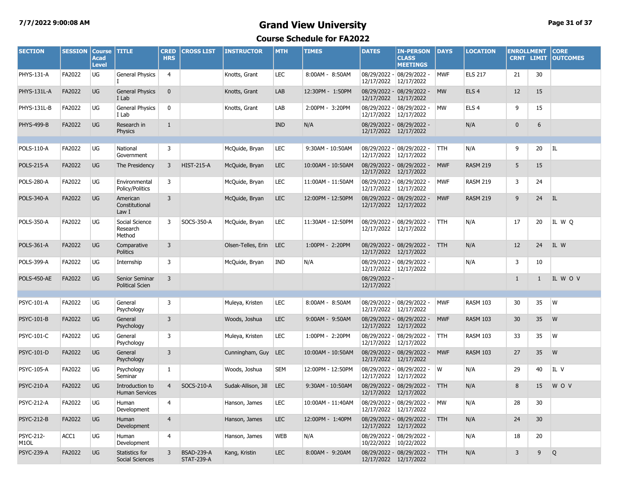## **7/7/2022 9:00:08 AM Grand View University Page 31 of 37**

| <b>SECTION</b>                        | <b>SESSION</b> | <b>Course</b><br><b>Acad</b><br><b>Level</b> | <b>TITLE</b>                             | <b>CRED</b><br><b>HRS</b> | <b>CROSS LIST</b>                      | <b>INSTRUCTOR</b>   | <b>MTH</b> | <b>TIMES</b>      | <b>DATES</b>               | <b>IN-PERSON</b><br><b>CLASS</b><br><b>MEETINGS</b>    | <b>DAYS</b> | <b>LOCATION</b>  | <b>ENROLLMENT</b><br><b>CRNT LIMIT</b> |              | <b>CORE</b><br><b>OUTCOMES</b> |
|---------------------------------------|----------------|----------------------------------------------|------------------------------------------|---------------------------|----------------------------------------|---------------------|------------|-------------------|----------------------------|--------------------------------------------------------|-------------|------------------|----------------------------------------|--------------|--------------------------------|
| <b>PHYS-131-A</b>                     | FA2022         | UG                                           | <b>General Physics</b>                   | $\overline{4}$            |                                        | Knotts, Grant       | <b>LEC</b> | 8:00AM - 8:50AM   | 12/17/2022                 | 08/29/2022 - 08/29/2022 -<br>12/17/2022                | <b>MWF</b>  | <b>ELS 217</b>   | 21                                     | 30           |                                |
| PHYS-131L-A                           | FA2022         | <b>UG</b>                                    | <b>General Physics</b><br>I Lab          | $\mathbf{0}$              |                                        | Knotts, Grant       | LAB        | 12:30PM - 1:50PM  |                            | 08/29/2022 - 08/29/2022 -<br>12/17/2022 12/17/2022     | <b>MW</b>   | ELS <sub>4</sub> | 12                                     | 15           |                                |
| PHYS-131L-B                           | FA2022         | UG                                           | <b>General Physics</b><br>I Lab          | 0                         |                                        | Knotts, Grant       | LAB        | 2:00PM - 3:20PM   | 12/17/2022                 | 08/29/2022 - 08/29/2022 -<br>12/17/2022                | MW          | ELS <sub>4</sub> | 9                                      | 15           |                                |
| <b>PHYS-499-B</b>                     | FA2022         | <b>UG</b>                                    | Research in<br>Physics                   | $\mathbf{1}$              |                                        |                     | <b>IND</b> | N/A               |                            | 08/29/2022 - 08/29/2022 -<br>12/17/2022 12/17/2022     |             | N/A              | $\mathbf{0}$                           | 6            |                                |
|                                       |                |                                              |                                          |                           |                                        |                     |            |                   |                            |                                                        |             |                  |                                        |              |                                |
| POLS-110-A                            | FA2022         | UG                                           | National<br>Government                   | 3                         |                                        | McQuide, Bryan      | <b>LEC</b> | 9:30AM - 10:50AM  |                            | $08/29/2022 - 08/29/2022 -$<br>12/17/2022 12/17/2022   | TTH.        | N/A              | 9                                      | 20           | ΙL                             |
| <b>POLS-215-A</b>                     | FA2022         | UG                                           | The Presidency                           | 3                         | <b>HIST-215-A</b>                      | McQuide, Bryan      | <b>LEC</b> | 10:00AM - 10:50AM |                            | 08/29/2022 - 08/29/2022 -<br>12/17/2022 12/17/2022     | <b>MWF</b>  | <b>RASM 219</b>  | 5                                      | 15           |                                |
| <b>POLS-280-A</b>                     | FA2022         | UG                                           | Environmental<br>Policy/Politics         | 3                         |                                        | McQuide, Bryan      | <b>LEC</b> | 11:00AM - 11:50AM |                            | 08/29/2022 - 08/29/2022 -<br>12/17/2022 12/17/2022     | <b>MWF</b>  | <b>RASM 219</b>  | 3                                      | 24           |                                |
| POLS-340-A                            | FA2022         | UG                                           | American<br>Constitutional<br>Law I      | 3                         |                                        | McQuide, Bryan      | <b>LEC</b> | 12:00PM - 12:50PM |                            | 08/29/2022 - 08/29/2022 -<br>12/17/2022 12/17/2022     | <b>MWF</b>  | <b>RASM 219</b>  | 9                                      | 24           | IL.                            |
| <b>POLS-350-A</b>                     | FA2022         | UG                                           | Social Science<br>Research<br>Method     | 3                         | SOCS-350-A                             | McQuide, Bryan      | <b>LEC</b> | 11:30AM - 12:50PM |                            | 08/29/2022 - 08/29/2022 -<br>12/17/2022 12/17/2022     | <b>TTH</b>  | N/A              | 17                                     | 20           | IL W O                         |
| <b>POLS-361-A</b>                     | FA2022         | UG                                           | Comparative<br><b>Politics</b>           | 3                         |                                        | Olsen-Telles, Erin  | <b>LEC</b> | 1:00PM - 2:20PM   |                            | 08/29/2022 - 08/29/2022 -<br>12/17/2022 12/17/2022     | <b>TTH</b>  | N/A              | 12                                     | 24           | IL W                           |
| POLS-399-A                            | FA2022         | UG                                           | Internship                               | 3                         |                                        | McQuide, Bryan      | IND        | N/A               |                            | 08/29/2022 - 08/29/2022 -<br>12/17/2022 12/17/2022     |             | N/A              | 3                                      | 10           |                                |
| POLS-450-AE                           | FA2022         | UG                                           | Senior Seminar<br><b>Political Scien</b> | 3                         |                                        |                     |            |                   | 08/29/2022 -<br>12/17/2022 |                                                        |             |                  | $\mathbf{1}$                           | $\mathbf{1}$ | IL WOV                         |
|                                       |                |                                              |                                          |                           |                                        |                     |            |                   |                            |                                                        |             |                  |                                        |              |                                |
| PSYC-101-A                            | FA2022         | UG                                           | General<br>Psychology                    | $\overline{3}$            |                                        | Muleya, Kristen     | <b>LEC</b> | 8:00AM - 8:50AM   |                            | 08/29/2022 - 08/29/2022 -<br>12/17/2022 12/17/2022     | <b>MWF</b>  | <b>RASM 103</b>  | 30                                     | 35           | W                              |
| <b>PSYC-101-B</b>                     | FA2022         | UG                                           | General<br>Psychology                    | 3                         |                                        | Woods, Joshua       | <b>LEC</b> | 9:00AM - 9:50AM   |                            | 08/29/2022 - 08/29/2022 -<br>12/17/2022 12/17/2022     | <b>MWF</b>  | <b>RASM 103</b>  | 30                                     | 35           | W                              |
| PSYC-101-C                            | FA2022         | UG                                           | General<br>Psychology                    | 3                         |                                        | Muleya, Kristen     | <b>LEC</b> | 1:00PM - 2:20PM   |                            | 08/29/2022 - 08/29/2022 -<br>12/17/2022 12/17/2022     | TTH.        | <b>RASM 103</b>  | 33                                     | 35           | W                              |
| <b>PSYC-101-D</b>                     | FA2022         | <b>UG</b>                                    | General<br>Psychology                    | 3                         |                                        | Cunningham, Guy LEC |            | 10:00AM - 10:50AM |                            | 08/29/2022 - 08/29/2022 -<br>12/17/2022 12/17/2022     | <b>MWF</b>  | <b>RASM 103</b>  | 27                                     | 35           | W                              |
| PSYC-105-A                            | FA2022         | UG                                           | Psychology<br>Seminar                    | -1                        |                                        | Woods, Joshua       | <b>SEM</b> | 12:00PM - 12:50PM |                            | 08/29/2022 - 08/29/2022 -<br>12/17/2022 12/17/2022     | W           | N/A              | 29                                     | 40           | IL V                           |
| <b>PSYC-210-A</b>                     | FA2022         | <b>UG</b>                                    | Introduction to<br><b>Human Services</b> | $\overline{4}$            | SOCS-210-A                             | Sudak-Allison, Jill | <b>LEC</b> | 9:30AM - 10:50AM  |                            | 08/29/2022 - 08/29/2022 -<br>12/17/2022 12/17/2022     | <b>TTH</b>  | N/A              | 8                                      | 15           | <b>WOV</b>                     |
| <b>PSYC-212-A</b>                     | FA2022         | UG                                           | Human<br>Development                     | $\overline{4}$            |                                        | Hanson, James       | <b>LEC</b> | 10:00AM - 11:40AM |                            | 08/29/2022 - 08/29/2022 -<br>12/17/2022 12/17/2022     | MW          | N/A              | 28                                     | 30           |                                |
| <b>PSYC-212-B</b>                     | FA2022         | <b>UG</b>                                    | Human<br>Development                     | $\overline{4}$            |                                        | Hanson, James       | <b>LEC</b> | 12:00PM - 1:40PM  |                            | 08/29/2022 - 08/29/2022 -<br>12/17/2022 12/17/2022     | <b>TTH</b>  | N/A              | 24                                     | 30           |                                |
| <b>PSYC-212-</b><br>M <sub>1</sub> OL | ACC1           | UG                                           | Human<br>Development                     | 4                         |                                        | Hanson, James       | <b>WEB</b> | N/A               |                            | 08/29/2022 - 08/29/2022 -<br>10/22/2022 10/22/2022     |             | N/A              | 18                                     | 20           |                                |
| <b>PSYC-239-A</b>                     | FA2022         | <b>UG</b>                                    | Statistics for<br>Social Sciences        | 3                         | <b>BSAD-239-A</b><br><b>STAT-239-A</b> | Kang, Kristin       | <b>LEC</b> | 8:00AM - 9:20AM   |                            | 08/29/2022 - 08/29/2022 - TTH<br>12/17/2022 12/17/2022 |             | N/A              | 3                                      | 9            | Q                              |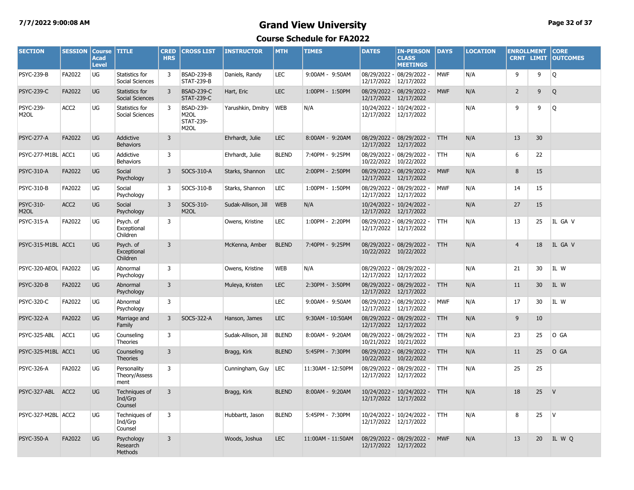#### **7/7/2022 9:00:08 AM Grand View University Page 32 of 37**

| <b>SECTION</b>                        | <b>SESSION</b>   | <b>Course</b><br><b>Acad</b><br><b>Level</b> | <b>TITLE</b>                         | <b>CRED</b><br><b>HRS</b> | <b>CROSS LIST</b>                                                              | <b>INSTRUCTOR</b>   | <b>MTH</b>   | <b>TIMES</b>      | <b>DATES</b>          | <b>IN-PERSON</b><br><b>CLASS</b><br><b>MEETINGS</b> | <b>DAYS</b> | <b>LOCATION</b> | <b>ENROLLMENT</b><br><b>CRNT LIMIT</b> |                | <b>CORE</b><br><b>OUTCOMES</b> |
|---------------------------------------|------------------|----------------------------------------------|--------------------------------------|---------------------------|--------------------------------------------------------------------------------|---------------------|--------------|-------------------|-----------------------|-----------------------------------------------------|-------------|-----------------|----------------------------------------|----------------|--------------------------------|
| <b>PSYC-239-B</b>                     | FA2022           | UG                                           | Statistics for<br>Social Sciences    | 3                         | <b>BSAD-239-B</b><br><b>STAT-239-B</b>                                         | Daniels, Randy      | <b>LEC</b>   | 9:00AM - 9:50AM   | 12/17/2022            | 08/29/2022 - 08/29/2022 -<br>12/17/2022             | <b>MWF</b>  | N/A             | 9                                      | 9              | l Q                            |
| <b>PSYC-239-C</b>                     | FA2022           | <b>UG</b>                                    | Statistics for<br>Social Sciences    | 3                         | <b>BSAD-239-C</b><br><b>STAT-239-C</b>                                         | Hart, Eric          | <b>LEC</b>   | 1:00PM - 1:50PM   | 12/17/2022            | 08/29/2022 - 08/29/2022 -<br>12/17/2022             | <b>MWF</b>  | N/A             | $\overline{2}$                         | $\overline{9}$ | Q                              |
| <b>PSYC-239-</b><br>M <sub>2</sub> OL | ACC <sub>2</sub> | UG                                           | Statistics for<br>Social Sciences    | 3                         | <b>BSAD-239-</b><br>M <sub>2</sub> OL<br><b>STAT-239-</b><br>M <sub>2</sub> OL | Yarushkin, Dmitry   | <b>WEB</b>   | N/A               |                       | 10/24/2022 - 10/24/2022 -<br>12/17/2022 12/17/2022  |             | N/A             | 9                                      | 9              | Q                              |
| <b>PSYC-277-A</b>                     | FA2022           | <b>UG</b>                                    | Addictive<br><b>Behaviors</b>        | $\overline{3}$            |                                                                                | Ehrhardt, Julie     | <b>LEC</b>   | 8:00AM - 9:20AM   | 12/17/2022 12/17/2022 | 08/29/2022 - 08/29/2022 -                           | <b>TTH</b>  | N/A             | 13                                     | 30             |                                |
| PSYC-277-M1BL ACC1                    |                  | UG                                           | Addictive<br><b>Behaviors</b>        | 3                         |                                                                                | Ehrhardt, Julie     | <b>BLEND</b> | 7:40PM - 9:25PM   | 10/22/2022 10/22/2022 | 08/29/2022 - 08/29/2022 -                           | <b>TTH</b>  | N/A             | 6                                      | 22             |                                |
| <b>PSYC-310-A</b>                     | FA2022           | <b>UG</b>                                    | Social<br>Psychology                 | 3                         | SOCS-310-A                                                                     | Starks, Shannon     | <b>LEC</b>   | 2:00PM - 2:50PM   | 12/17/2022 12/17/2022 | 08/29/2022 - 08/29/2022 -                           | <b>MWF</b>  | N/A             | 8                                      | 15             |                                |
| <b>PSYC-310-B</b>                     | FA2022           | UG                                           | Social<br>Psychology                 | 3                         | SOCS-310-B                                                                     | Starks, Shannon     | LEC          | 1:00PM - 1:50PM   | 12/17/2022 12/17/2022 | 08/29/2022 - 08/29/2022 -                           | <b>MWF</b>  | N/A             | 14                                     | 15             |                                |
| PSYC-310-<br>M <sub>2</sub> OL        | ACC <sub>2</sub> | UG                                           | Social<br>Psychology                 | 3                         | SOCS-310-<br>M <sub>2</sub> OL                                                 | Sudak-Allison, Jill | <b>WEB</b>   | N/A               | 12/17/2022 12/17/2022 | 10/24/2022 - 10/24/2022 -                           |             | N/A             | 27                                     | 15             |                                |
| <b>PSYC-315-A</b>                     | FA2022           | UG                                           | Psych. of<br>Exceptional<br>Children | 3                         |                                                                                | Owens, Kristine     | <b>LEC</b>   | 1:00PM - 2:20PM   | 12/17/2022 12/17/2022 | 08/29/2022 - 08/29/2022 -                           | TTH.        | N/A             | 13                                     | 25             | IL GA V                        |
| PSYC-315-M1BL ACC1                    |                  | UG                                           | Psych. of<br>Exceptional<br>Children | $\overline{3}$            |                                                                                | McKenna, Amber      | <b>BLEND</b> | 7:40PM - 9:25PM   | 10/22/2022 10/22/2022 | 08/29/2022 - 08/29/2022 -                           | <b>TTH</b>  | N/A             | $\overline{4}$                         | 18             | IL GA V                        |
| PSYC-320-AEOL FA2022                  |                  | UG                                           | Abnormal<br>Psychology               | 3                         |                                                                                | Owens, Kristine     | <b>WEB</b>   | N/A               | 12/17/2022            | 08/29/2022 - 08/29/2022 -<br>12/17/2022             |             | N/A             | 21                                     | 30             | IL W                           |
| <b>PSYC-320-B</b>                     | FA2022           | <b>UG</b>                                    | Abnormal<br>Psychology               | 3                         |                                                                                | Muleya, Kristen     | <b>LEC</b>   | 2:30PM - 3:50PM   | 12/17/2022 12/17/2022 | 08/29/2022 - 08/29/2022 -                           | <b>TTH</b>  | N/A             | 11                                     | 30             | IL W                           |
| <b>PSYC-320-C</b>                     | FA2022           | UG                                           | Abnormal<br>Psychology               | 3                         |                                                                                |                     | <b>LEC</b>   | 9:00AM - 9:50AM   | 12/17/2022            | 08/29/2022 - 08/29/2022 -<br>12/17/2022             | <b>MWF</b>  | N/A             | 17                                     | 30             | IL W                           |
| <b>PSYC-322-A</b>                     | FA2022           | UG                                           | Marriage and<br>Family               | 3                         | SOCS-322-A                                                                     | Hanson, James       | <b>LEC</b>   | 9:30AM - 10:50AM  | 12/17/2022 12/17/2022 | 08/29/2022 - 08/29/2022 -                           | <b>TTH</b>  | N/A             | 9                                      | 10             |                                |
| PSYC-325-ABL                          | ACC1             | UG                                           | Counseling<br>Theories               | 3                         |                                                                                | Sudak-Allison, Jill | <b>BLEND</b> | 8:00AM - 9:20AM   | 10/21/2022            | 08/29/2022 - 08/29/2022 -<br>10/21/2022             | TTH         | N/A             | 23                                     | 25             | O GA                           |
| PSYC-325-M1BL ACC1                    |                  | <b>UG</b>                                    | Counseling<br><b>Theories</b>        | $\overline{3}$            |                                                                                | Bragg, Kirk         | <b>BLEND</b> | 5:45PM - 7:30PM   | 10/22/2022 10/22/2022 | 08/29/2022 - 08/29/2022 -                           | <b>TTH</b>  | N/A             | 11                                     | 25             | O GA                           |
| <b>PSYC-326-A</b>                     | FA2022           | UG                                           | Personality<br>Theory/Assess<br>ment | 3                         |                                                                                | Cunningham, Guy     | LEC          | 11:30AM - 12:50PM | 12/17/2022 12/17/2022 | 08/29/2022 - 08/29/2022 -                           | TTH.        | N/A             | 25                                     | 25             |                                |
| PSYC-327-ABL ACC2                     |                  | <b>UG</b>                                    | Techniques of<br>Ind/Grp<br>Counsel  | $\overline{3}$            |                                                                                | Bragg, Kirk         | <b>BLEND</b> | 8:00AM - 9:20AM   | 12/17/2022 12/17/2022 | 10/24/2022 - 10/24/2022 -                           | <b>TTH</b>  | N/A             | 18                                     | 25             | V                              |
| PSYC-327-M2BL ACC2                    |                  | UG                                           | Techniques of<br>Ind/Grp<br>Counsel  | 3                         |                                                                                | Hubbartt, Jason     | <b>BLEND</b> | 5:45PM - 7:30PM   | 12/17/2022            | 10/24/2022 - 10/24/2022 -<br>12/17/2022             | TTH.        | N/A             | 8                                      | 25             | $\mathsf{V}$                   |
| <b>PSYC-350-A</b>                     | FA2022           | <b>UG</b>                                    | Psychology<br>Research<br>Methods    | $\overline{3}$            |                                                                                | Woods, Joshua       | <b>LEC</b>   | 11:00AM - 11:50AM | 12/17/2022 12/17/2022 | 08/29/2022 - 08/29/2022 -                           | <b>MWF</b>  | N/A             | 13                                     | 20             | IL W Q                         |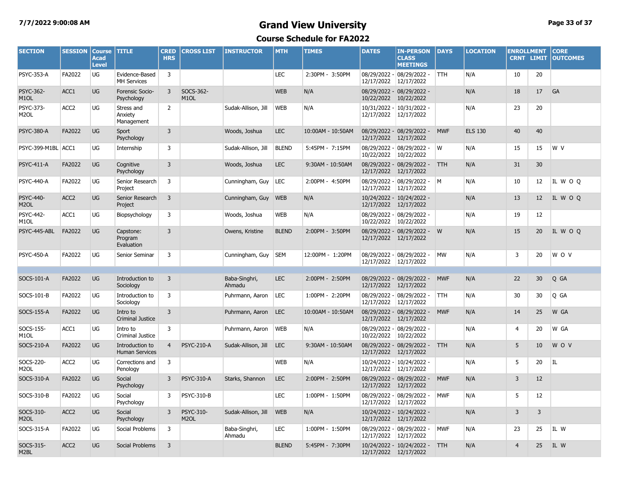#### **7/7/2022 9:00:08 AM Grand View University Page 33 of 37**

| <b>SECTION</b>                        | <b>SESSION</b>   | <b>Course</b><br><b>Acad</b><br><b>Level</b> | <b>TITLE</b>                             | <b>CRED</b><br><b>HRS</b> | <b>CROSS LIST</b>              | <b>INSTRUCTOR</b>       | <b>MTH</b>   | <b>TIMES</b>      | <b>DATES</b>          | <b>IN-PERSON</b><br><b>CLASS</b><br><b>MEETINGS</b> | <b>DAYS</b> | <b>LOCATION</b> | <b>ENROLLMENT</b><br><b>CRNT LIMIT</b> |                   | <b>CORE</b><br><b>OUTCOMES</b> |
|---------------------------------------|------------------|----------------------------------------------|------------------------------------------|---------------------------|--------------------------------|-------------------------|--------------|-------------------|-----------------------|-----------------------------------------------------|-------------|-----------------|----------------------------------------|-------------------|--------------------------------|
| <b>PSYC-353-A</b>                     | FA2022           | UG                                           | Evidence-Based<br><b>MH Services</b>     | 3                         |                                |                         | <b>LEC</b>   | 2:30PM - 3:50PM   | 12/17/2022            | 08/29/2022 - 08/29/2022 -<br>12/17/2022             | <b>TTH</b>  | N/A             | 10                                     | 20                |                                |
| <b>PSYC-362-</b><br>M <sub>1</sub> OL | ACC1             | <b>UG</b>                                    | <b>Forensic Socio-</b><br>Psychology     | $\overline{3}$            | SOCS-362-<br>M <sub>1</sub> OL |                         | <b>WEB</b>   | N/A               | 10/22/2022 10/22/2022 | 08/29/2022 - 08/29/2022 -                           |             | N/A             | 18                                     | 17                | GA                             |
| PSYC-373-<br>M2OL                     | ACC <sub>2</sub> | <b>UG</b>                                    | Stress and<br>Anxiety<br>Management      | $\overline{2}$            |                                | Sudak-Allison, Jill     | <b>WEB</b>   | N/A               | 12/17/2022 12/17/2022 | 10/31/2022 - 10/31/2022 -                           |             | N/A             | 23                                     | 20                |                                |
| <b>PSYC-380-A</b>                     | FA2022           | <b>UG</b>                                    | Sport<br>Psychology                      | 3                         |                                | Woods, Joshua           | <b>LEC</b>   | 10:00AM - 10:50AM | 12/17/2022 12/17/2022 | 08/29/2022 - 08/29/2022 -                           | <b>MWF</b>  | <b>ELS 130</b>  | 40                                     | 40                |                                |
| PSYC-399-M1BL                         | ACC1             | UG                                           | Internship                               | 3                         |                                | Sudak-Allison, Jill     | <b>BLEND</b> | 5:45PM - 7:15PM   | 10/22/2022            | 08/29/2022 - 08/29/2022 -<br>10/22/2022             | W           | N/A             | 15                                     | 15                | W V                            |
| <b>PSYC-411-A</b>                     | FA2022           | <b>UG</b>                                    | Cognitive<br>Psychology                  | 3                         |                                | Woods, Joshua           | <b>LEC</b>   | 9:30AM - 10:50AM  | 12/17/2022 12/17/2022 | 08/29/2022 - 08/29/2022 -                           | <b>TTH</b>  | N/A             | 31                                     | 30                |                                |
| <b>PSYC-440-A</b>                     | FA2022           | UG                                           | Senior Research<br>Project               | 3                         |                                | Cunningham, Guy         | <b>LEC</b>   | 2:00PM - 4:50PM   | 12/17/2022            | $08/29/2022 - 08/29/2022 - M$<br>12/17/2022         |             | N/A             | 10                                     | 12                | IL WOO                         |
| PSYC-440-<br>M <sub>2</sub> OL        | ACC <sub>2</sub> | <b>UG</b>                                    | Senior Research<br>Project               | 3                         |                                | Cunningham, Guy         | <b>WEB</b>   | N/A               | 12/17/2022 12/17/2022 | 10/24/2022 - 10/24/2022 -                           |             | N/A             | 13                                     | $12 \overline{ }$ | IL W O Q                       |
| <b>PSYC-442-</b><br>M1OL              | ACC1             | UG                                           | Biopsychology                            | 3                         |                                | Woods, Joshua           | WEB          | N/A               | 10/22/2022 10/22/2022 | 08/29/2022 - 08/29/2022 -                           |             | N/A             | 19                                     | 12                |                                |
| PSYC-445-ABL                          | FA2022           | <b>UG</b>                                    | Capstone:<br>Program<br>Evaluation       | 3                         |                                | Owens, Kristine         | <b>BLEND</b> | 2:00PM - 3:50PM   | 12/17/2022 12/17/2022 | 08/29/2022 - 08/29/2022 - W                         |             | N/A             | 15                                     | 20                | IL WOQ                         |
| <b>PSYC-450-A</b>                     | FA2022           | UG                                           | Senior Seminar                           | 3                         |                                | Cunningham, Guy         | <b>SEM</b>   | 12:00PM - 1:20PM  | 12/17/2022 12/17/2022 | 08/29/2022 - 08/29/2022 -                           | <b>MW</b>   | N/A             | 3                                      | 20                | W O V                          |
|                                       |                  |                                              |                                          |                           |                                |                         |              |                   |                       |                                                     |             |                 |                                        |                   |                                |
| SOCS-101-A                            | FA2022           | <b>UG</b>                                    | Introduction to<br>Sociology             | 3                         |                                | Baba-Singhri,<br>Ahmadu | <b>LEC</b>   | 2:00PM - 2:50PM   | 12/17/2022 12/17/2022 | 08/29/2022 - 08/29/2022 -                           | <b>MWF</b>  | N/A             | 22                                     | 30                | Q GA                           |
| SOCS-101-B                            | FA2022           | UG                                           | Introduction to<br>Sociology             | 3                         |                                | Puhrmann, Aaron         | <b>LEC</b>   | 1:00PM - 2:20PM   | 12/17/2022 12/17/2022 | 08/29/2022 - 08/29/2022 -                           | <b>TTH</b>  | N/A             | 30                                     | 30                | Q GA                           |
| SOCS-155-A                            | FA2022           | <b>UG</b>                                    | Intro to<br>Criminal Justice             | 3                         |                                | Puhrmann, Aaron         | <b>LEC</b>   | 10:00AM - 10:50AM | 12/17/2022            | 08/29/2022 - 08/29/2022 -<br>12/17/2022             | <b>MWF</b>  | N/A             | 14                                     | 25                | W GA                           |
| SOCS-155-<br>M1OL                     | ACC1             | UG                                           | Intro to<br>Criminal Justice             | 3                         |                                | Puhrmann, Aaron         | <b>WEB</b>   | N/A               | 10/22/2022            | 08/29/2022 - 08/29/2022 -<br>10/22/2022             |             | N/A             | 4                                      | 20                | W GA                           |
| SOCS-210-A                            | FA2022           | <b>UG</b>                                    | Introduction to<br><b>Human Services</b> | $\overline{4}$            | <b>PSYC-210-A</b>              | Sudak-Allison, Jill     | <b>LEC</b>   | 9:30AM - 10:50AM  | 12/17/2022 12/17/2022 | 08/29/2022 - 08/29/2022 -                           | <b>TTH</b>  | N/A             | 5                                      | 10                | W O V                          |
| SOCS-220-<br>M <sub>2</sub> OL        | ACC <sub>2</sub> | UG                                           | Corrections and<br>Penology              | 3                         |                                |                         | WEB          | N/A               | 12/17/2022 12/17/2022 | 10/24/2022 - 10/24/2022 -                           |             | N/A             | 5                                      | 20                | IL                             |
| SOCS-310-A                            | FA2022           | <b>UG</b>                                    | Social<br>Psychology                     | 3                         | <b>PSYC-310-A</b>              | Starks, Shannon         | <b>LEC</b>   | 2:00PM - 2:50PM   | 12/17/2022 12/17/2022 | 08/29/2022 - 08/29/2022 -                           | <b>MWF</b>  | N/A             | 3                                      | 12                |                                |
| SOCS-310-B                            | FA2022           | UG                                           | Social<br>Psychology                     | 3                         | <b>PSYC-310-B</b>              |                         | <b>LEC</b>   | 1:00PM - 1:50PM   | 12/17/2022 12/17/2022 | 08/29/2022 - 08/29/2022 -                           | <b>MWF</b>  | N/A             | 5                                      | 12                |                                |
| SOCS-310-<br>M <sub>2</sub> OL        | ACC <sub>2</sub> | <b>UG</b>                                    | Social<br>Psychology                     | 3                         | PSYC-310-<br>M <sub>2</sub> OL | Sudak-Allison, Jill     | <b>WEB</b>   | N/A               | 12/17/2022 12/17/2022 | 10/24/2022 - 10/24/2022 -                           |             | N/A             | 3                                      | $\overline{3}$    |                                |
| SOCS-315-A                            | FA2022           | UG                                           | Social Problems                          | 3                         |                                | Baba-Singhri,<br>Ahmadu | <b>LEC</b>   | 1:00PM - 1:50PM   | 12/17/2022 12/17/2022 | 08/29/2022 - 08/29/2022 -                           | <b>MWF</b>  | N/A             | 23                                     | 25                | IL W                           |
| SOCS-315-<br>M <sub>2</sub> BL        | ACC <sub>2</sub> | <b>UG</b>                                    | <b>Social Problems</b>                   | 3                         |                                |                         | <b>BLEND</b> | 5:45PM - 7:30PM   | 12/17/2022 12/17/2022 | 10/24/2022 - 10/24/2022 - TTH                       |             | N/A             | $\overline{4}$                         | 25                | IL W                           |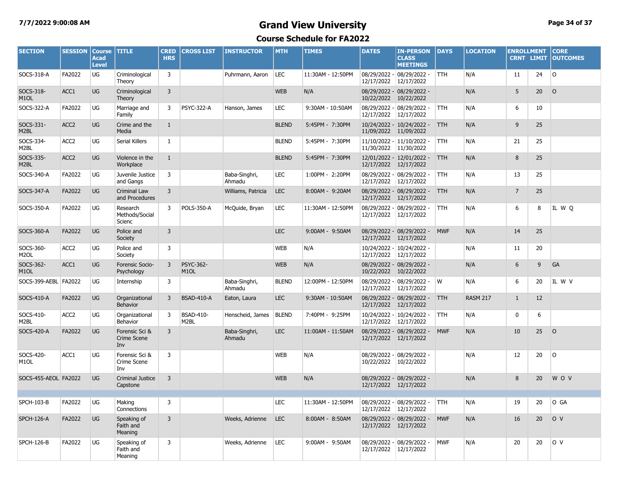#### **7/7/2022 9:00:08 AM Grand View University Page 34 of 37**

| <b>SECTION</b>                 | <b>SESSION</b>   | <b>Course</b><br><b>Acad</b><br><b>Level</b> | <b>TITLE</b>                          | <b>CRED</b><br><b>HRS</b> | <b>CROSS LIST</b>              | <b>INSTRUCTOR</b>       | <b>MTH</b>   | <b>TIMES</b>      | <b>DATES</b>          | <b>IN-PERSON</b><br><b>CLASS</b><br><b>MEETINGS</b> | <b>DAYS</b> | <b>LOCATION</b> | <b>ENROLLMENT</b><br><b>CRNT LIMIT</b> |                 | <b>CORE</b><br><b>OUTCOMES</b> |
|--------------------------------|------------------|----------------------------------------------|---------------------------------------|---------------------------|--------------------------------|-------------------------|--------------|-------------------|-----------------------|-----------------------------------------------------|-------------|-----------------|----------------------------------------|-----------------|--------------------------------|
| SOCS-318-A                     | FA2022           | UG                                           | Criminological<br>Theory              | 3                         |                                | Puhrmann, Aaron         | LEC          | 11:30AM - 12:50PM | 12/17/2022            | 08/29/2022 - 08/29/2022 -<br>12/17/2022             | TTH.        | N/A             | 11                                     | 24              | lo.                            |
| SOCS-318-<br>M <sub>1</sub> OL | ACC1             | <b>UG</b>                                    | Criminological<br>Theory              | $\overline{3}$            |                                |                         | <b>WEB</b>   | N/A               | 10/22/2022            | 08/29/2022 - 08/29/2022 -<br>10/22/2022             |             | N/A             | 5                                      | 20 <sub>2</sub> | $\circ$                        |
| SOCS-322-A                     | FA2022           | UG                                           | Marriage and<br>Family                | 3                         | <b>PSYC-322-A</b>              | Hanson, James           | <b>LEC</b>   | 9:30AM - 10:50AM  | 12/17/2022            | 08/29/2022 - 08/29/2022 -<br>12/17/2022             | <b>TTH</b>  | N/A             | 6                                      | 10              |                                |
| SOCS-331-<br>M2BL              | ACC <sub>2</sub> | <b>UG</b>                                    | Crime and the<br>Media                | $\mathbf{1}$              |                                |                         | <b>BLEND</b> | 5:45PM - 7:30PM   |                       | 10/24/2022 - 10/24/2022 -<br>11/09/2022 11/09/2022  | <b>TTH</b>  | N/A             | 9                                      | 25              |                                |
| SOCS-334-<br>M <sub>2</sub> BL | ACC <sub>2</sub> | UG                                           | Serial Killers                        | $\mathbf{1}$              |                                |                         | <b>BLEND</b> | 5:45PM - 7:30PM   | 11/30/2022 11/30/2022 | 11/10/2022 - 11/10/2022 -                           | <b>TTH</b>  | N/A             | 21                                     | 25              |                                |
| SOCS-335-<br>M <sub>2</sub> BL | ACC <sub>2</sub> | UG                                           | Violence in the<br>Workplace          | 1                         |                                |                         | <b>BLEND</b> | 5:45PM - 7:30PM   |                       | 12/01/2022 - 12/01/2022 -<br>12/17/2022 12/17/2022  | <b>TTH</b>  | N/A             | 8                                      | 25              |                                |
| SOCS-340-A                     | FA2022           | UG                                           | Juvenile Justice<br>and Gangs         | 3                         |                                | Baba-Singhri,<br>Ahmadu | <b>LEC</b>   | 1:00PM - 2:20PM   |                       | 08/29/2022 - 08/29/2022 -<br>12/17/2022 12/17/2022  | TTH.        | N/A             | 13                                     | 25              |                                |
| SOCS-347-A                     | FA2022           | <b>UG</b>                                    | <b>Criminal Law</b><br>and Procedures | 3                         |                                | Williams, Patricia      | <b>LEC</b>   | 8:00AM - 9:20AM   | 12/17/2022            | 08/29/2022 - 08/29/2022 -<br>12/17/2022             | <b>TTH</b>  | N/A             | $\overline{7}$                         | 25              |                                |
| SOCS-350-A                     | FA2022           | UG                                           | Research<br>Methods/Social<br>Scienc  | 3                         | <b>POLS-350-A</b>              | McQuide, Bryan          | LEC          | 11:30AM - 12:50PM |                       | 08/29/2022 - 08/29/2022 -<br>12/17/2022 12/17/2022  | TTH.        | N/A             | 6                                      | 8               | IL WQ                          |
| SOCS-360-A                     | FA2022           | UG                                           | Police and<br>Society                 | 3                         |                                |                         | <b>LEC</b>   | 9:00AM - 9:50AM   |                       | 08/29/2022 - 08/29/2022 -<br>12/17/2022 12/17/2022  | <b>MWF</b>  | N/A             | 14                                     | 25              |                                |
| SOCS-360-<br>M <sub>2</sub> OL | ACC <sub>2</sub> | UG                                           | Police and<br>Society                 | 3                         |                                |                         | <b>WEB</b>   | N/A               | 12/17/2022            | 10/24/2022 - 10/24/2022 -<br>12/17/2022             |             | N/A             | 11                                     | 20              |                                |
| SOCS-362-<br>M <sub>1</sub> OL | ACC1             | <b>UG</b>                                    | Forensic Socio-<br>Psychology         | 3                         | PSYC-362-<br>M <sub>1</sub> OL |                         | <b>WEB</b>   | N/A               | 10/22/2022            | 08/29/2022 - 08/29/2022 -<br>10/22/2022             |             | N/A             | 6                                      | 9               | GA                             |
| SOCS-399-AEBL FA2022           |                  | UG                                           | Internship                            | 3                         |                                | Baba-Singhri,<br>Ahmadu | <b>BLEND</b> | 12:00PM - 12:50PM | 12/17/2022            | 08/29/2022 - 08/29/2022 -<br>12/17/2022             | W           | N/A             | 6                                      | 20              | IL W V                         |
| SOCS-410-A                     | FA2022           | <b>UG</b>                                    | Organizational<br><b>Behavior</b>     | 3                         | <b>BSAD-410-A</b>              | Eaton, Laura            | <b>LEC</b>   | 9:30AM - 10:50AM  | 12/17/2022            | 08/29/2022 - 08/29/2022 -<br>12/17/2022             | <b>TTH</b>  | <b>RASM 217</b> | $\mathbf{1}$                           | 12              |                                |
| SOCS-410-<br>M2BL              | ACC <sub>2</sub> | UG                                           | Organizational<br>Behavior            | $\overline{3}$            | <b>BSAD-410-</b><br>M2BL       | Henscheid, James        | <b>BLEND</b> | 7:40PM - 9:25PM   | 12/17/2022            | 10/24/2022 - 10/24/2022 -<br>12/17/2022             | TTH.        | N/A             | 0                                      | 6               |                                |
| SOCS-420-A                     | FA2022           | <b>UG</b>                                    | Forensic Sci &<br>Crime Scene<br>Inv  | 3                         |                                | Baba-Singhri,<br>Ahmadu | <b>LEC</b>   | 11:00AM - 11:50AM | 12/17/2022            | 08/29/2022 - 08/29/2022 -<br>12/17/2022             | <b>MWF</b>  | N/A             | 10                                     | 25              | $\overline{O}$                 |
| SOCS-420-<br>M <sub>1</sub> OL | ACC1             | UG                                           | Forensic Sci &<br>Crime Scene<br>Inv  | 3                         |                                |                         | <b>WEB</b>   | N/A               | 10/22/2022            | 08/29/2022 - 08/29/2022 -<br>10/22/2022             |             | N/A             | 12                                     | 20              | l O                            |
| SOCS-455-AEOL FA2022           |                  | <b>UG</b>                                    | <b>Criminal Justice</b><br>Capstone   | $\overline{3}$            |                                |                         | <b>WEB</b>   | N/A               |                       | 08/29/2022 - 08/29/2022 -<br>12/17/2022 12/17/2022  |             | N/A             | 8                                      | 20              | W O V                          |
| <b>SPCH-103-B</b>              | FA2022           | UG                                           | Making<br>Connections                 | 3                         |                                |                         | <b>LEC</b>   | 11:30AM - 12:50PM | 12/17/2022            | 08/29/2022 - 08/29/2022 -<br>12/17/2022             | <b>TTH</b>  | N/A             | 19                                     | 20              | O GA                           |
| <b>SPCH-126-A</b>              | FA2022           | UG                                           | Speaking of<br>Faith and<br>Meaning   | 3                         |                                | Weeks, Adrienne         | <b>LEC</b>   | 8:00AM - 8:50AM   |                       | 08/29/2022 - 08/29/2022 -<br>12/17/2022 12/17/2022  | <b>MWF</b>  | N/A             | 16                                     | 20              | O <sub>V</sub>                 |
| <b>SPCH-126-B</b>              | FA2022           | UG                                           | Speaking of<br>Faith and<br>Meaning   | 3                         |                                | Weeks, Adrienne         | LEC          | 9:00AM - 9:50AM   |                       | 08/29/2022 - 08/29/2022 -<br>12/17/2022 12/17/2022  | <b>MWF</b>  | N/A             | 20                                     | 20              | lo v                           |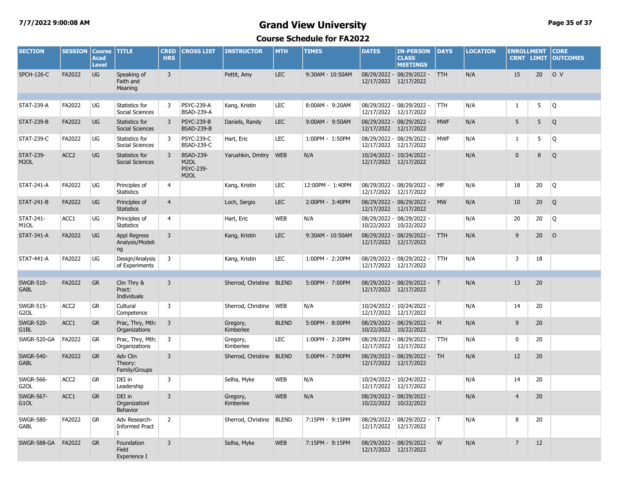#### **7/7/2022 9:00:08 AM Grand View University Page 35 of 37**

| <b>SECTION</b>                        | <b>SESSION</b>   | <b>Course</b><br><b>Acad</b><br><b>Level</b> | <b>TITLE</b>                                | <b>CRED</b><br><b>HRS</b> | <b>CROSS LIST</b>                                                              | <b>INSTRUCTOR</b>        | <b>MTH</b>   | <b>TIMES</b>     | <b>DATES</b>               | <b>IN-PERSON</b><br><b>CLASS</b><br><b>MEETINGS</b> | <b>DAYS</b> | <b>LOCATION</b> | <b>ENROLLMENT</b><br><b>CRNT LIMIT</b> |                 | <b>CORE</b><br><b>OUTCOMES</b> |
|---------------------------------------|------------------|----------------------------------------------|---------------------------------------------|---------------------------|--------------------------------------------------------------------------------|--------------------------|--------------|------------------|----------------------------|-----------------------------------------------------|-------------|-----------------|----------------------------------------|-----------------|--------------------------------|
| <b>SPCH-126-C</b>                     | FA2022           | <b>UG</b>                                    | Speaking of<br>Faith and<br>Meaning         | $\overline{3}$            |                                                                                | Pettit, Amy              | <b>LEC</b>   | 9:30AM - 10:50AM | 12/17/2022 12/17/2022      | 08/29/2022 - 08/29/2022 -                           | <b>TTH</b>  | N/A             | 15                                     | 20              | O V                            |
| <b>STAT-239-A</b>                     | FA2022           | UG                                           | Statistics for<br>Social Sciences           | 3                         | <b>PSYC-239-A</b><br><b>BSAD-239-A</b>                                         | Kang, Kristin            | LEC          | 8:00AM - 9:20AM  | 12/17/2022                 | 08/29/2022 - 08/29/2022 -<br>12/17/2022             | <b>TTH</b>  | N/A             | 1                                      | 5               | Q                              |
| <b>STAT-239-B</b>                     | FA2022           | <b>UG</b>                                    | Statistics for<br>Social Sciences           | 3                         | <b>PSYC-239-B</b><br><b>BSAD-239-B</b>                                         | Daniels, Randy           | <b>LEC</b>   | 9:00AM - 9:50AM  | 12/17/2022 12/17/2022      | 08/29/2022 - 08/29/2022 -                           | <b>MWF</b>  | N/A             | 5                                      | 5               | Q                              |
| <b>STAT-239-C</b>                     | FA2022           | <b>UG</b>                                    | Statistics for<br>Social Sciences           | 3                         | <b>PSYC-239-C</b><br><b>BSAD-239-C</b>                                         | Hart, Eric               | <b>LEC</b>   | 1:00PM - 1:50PM  | 12/17/2022                 | 08/29/2022 - 08/29/2022 -<br>12/17/2022             | <b>MWF</b>  | N/A             | $\mathbf{1}$                           | 5               | Q                              |
| <b>STAT-239-</b><br>M <sub>2</sub> OL | ACC <sub>2</sub> | <b>UG</b>                                    | Statistics for<br>Social Sciences           | 3                         | <b>BSAD-239-</b><br>M <sub>2</sub> OL<br><b>PSYC-239-</b><br>M <sub>2</sub> OL | Yarushkin, Dmitry        | <b>WEB</b>   | N/A              | 12/17/2022 12/17/2022      | 10/24/2022 - 10/24/2022 -                           |             | N/A             | $\mathbf 0$                            | 8               | Q                              |
| <b>STAT-241-A</b>                     | FA2022           | UG                                           | Principles of<br><b>Statistics</b>          | $\overline{4}$            |                                                                                | Kang, Kristin            | LEC          | 12:00PM - 1:40PM | 12/17/2022 12/17/2022      | 08/29/2022 - 08/29/2022 -                           | MF          | N/A             | 18                                     | 20              | Q                              |
| <b>STAT-241-B</b>                     | FA2022           | <b>UG</b>                                    | Principles of<br><b>Statistics</b>          | $\overline{4}$            |                                                                                | Loch, Sergio             | <b>LEC</b>   | 2:00PM - 3:40PM  | 12/17/2022 12/17/2022      | 08/29/2022 - 08/29/2022 - MW                        |             | N/A             | 10                                     | 20 <sup>°</sup> | Q                              |
| <b>STAT-241-</b><br>M <sub>1</sub> OL | ACC1             | <b>UG</b>                                    | Principles of<br><b>Statistics</b>          | $\overline{4}$            |                                                                                | Hart, Eric               | <b>WEB</b>   | N/A              | 10/22/2022 10/22/2022      | 08/29/2022 - 08/29/2022 -                           |             | N/A             | 20                                     | 20              | Q                              |
| <b>STAT-341-A</b>                     | FA2022           | <b>UG</b>                                    | Appl Regress<br>Analysis/Modeli<br>ng       | 3                         |                                                                                | Kang, Kristin            | <b>LEC</b>   | 9:30AM - 10:50AM | 12/17/2022 12/17/2022      | 08/29/2022 - 08/29/2022 - TTH                       |             | N/A             | 9                                      | 20              | $\circ$                        |
| <b>STAT-441-A</b>                     | FA2022           | UG                                           | Design/Analysis<br>of Experiments           | 3                         |                                                                                | Kang, Kristin            | <b>LEC</b>   | 1:00PM - 2:20PM  | 12/17/2022 12/17/2022      | 08/29/2022 - 08/29/2022 -                           | <b>TTH</b>  | N/A             | 3                                      | 18              |                                |
|                                       |                  |                                              |                                             |                           |                                                                                |                          |              |                  |                            |                                                     |             |                 |                                        |                 |                                |
| <b>SWGR-510-</b><br><b>GABL</b>       | FA2022           | <b>GR</b>                                    | Clin Thry &<br>Pract:<br><b>Individuals</b> | $\overline{3}$            |                                                                                | Sherrod, Christine BLEND |              | 5:00PM - 7:00PM  | 12/17/2022 12/17/2022      | 08/29/2022 - 08/29/2022 - T                         |             | N/A             | 13                                     | 20              |                                |
| <b>SWGR-515-</b><br>G <sub>2</sub> OL | ACC <sub>2</sub> | GR                                           | Cultural<br>Competence                      | 3                         |                                                                                | Sherrod, Christine       | <b>WEB</b>   | N/A              | 12/17/2022                 | 10/24/2022 - 10/24/2022 -<br>12/17/2022             |             | N/A             | 14                                     | 20              |                                |
| <b>SWGR-520-</b><br>G1BL              | ACC1             | <b>GR</b>                                    | Prac, Thry, Mth:<br>Organizations           | $\overline{3}$            |                                                                                | Gregory,<br>Kimberlee    | <b>BLEND</b> | 5:00PM - 8:00PM  | 10/22/2022                 | 08/29/2022 - 08/29/2022 - M<br>10/22/2022           |             | N/A             | 9                                      | 20              |                                |
| SWGR-520-GA                           | FA2022           | <b>GR</b>                                    | Prac, Thry, Mth:<br>Organizations           | 3                         |                                                                                | Gregory,<br>Kimberlee    | <b>LEC</b>   | 1:00PM - 2:20PM  | 12/17/2022                 | 08/29/2022 - 08/29/2022 -<br>12/17/2022             | <b>TTH</b>  | N/A             | $\mathbf 0$                            | 20              |                                |
| <b>SWGR-540-</b><br><b>GABL</b>       | FA2022           | <b>GR</b>                                    | Adv Clin<br>Theory:<br>Family/Groups        | $\overline{3}$            |                                                                                | Sherrod, Christine BLEND |              | 5:00PM - 7:00PM  | 12/17/2022 12/17/2022      | 08/29/2022 - 08/29/2022 - TH                        |             | N/A             | 12                                     | 20              |                                |
| <b>SWGR-566-</b><br>G <sub>2</sub> OL | ACC <sub>2</sub> | GR                                           | DEI in<br>Leadership                        | 3                         |                                                                                | Selha, Myke              | <b>WEB</b>   | N/A              | 12/17/2022 12/17/2022      | 10/24/2022 - 10/24/2022 -                           |             | N/A             | 14                                     | 20              |                                |
| <b>SWGR-567-</b><br>G1OL              | ACC1             | <b>GR</b>                                    | DEI in<br>Organizationl<br>Behavior         | $\overline{3}$            |                                                                                | Gregory,<br>Kimberlee    | <b>WEB</b>   | N/A              | 10/22/2022 10/22/2022      | 08/29/2022 - 08/29/2022 -                           |             | N/A             | $\overline{4}$                         | 20              |                                |
| <b>SWGR-580-</b><br><b>GABL</b>       | FA2022           | GR                                           | Adv Research-<br><b>Informed Pract</b>      | $\overline{2}$            |                                                                                | Sherrod, Christine       | <b>BLEND</b> | 7:15PM - 9:15PM  | 08/29/2022 -<br>12/17/2022 | $ 08/29/2022 -  T $<br>12/17/2022                   |             | N/A             | 8                                      | 20              |                                |
| SWGR-588-GA                           | FA2022           | <b>GR</b>                                    | Foundation<br>Field<br>Experience I         | $\overline{3}$            |                                                                                | Selha, Myke              | <b>WEB</b>   | 7:15PM - 9:15PM  | 12/17/2022 12/17/2022      | 08/29/2022 - 08/29/2022 - W                         |             | N/A             | $\overline{7}$                         | 12              |                                |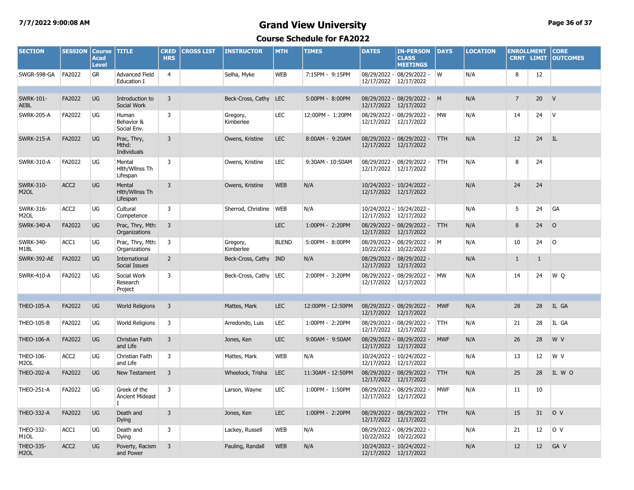#### **7/7/2022 9:00:08 AM Grand View University Page 36 of 37**

| <b>SECTION</b>                        | <b>SESSION</b>   | <b>Course</b><br><b>Acad</b><br><b>Level</b> | <b>TITLE</b>                           | <b>CRED</b><br><b>HRS</b> | <b>CROSS LIST</b> | <b>INSTRUCTOR</b>     | <b>MTH</b>   | <b>TIMES</b>      | <b>DATES</b>                          | <b>IN-PERSON</b><br><b>CLASS</b><br><b>MEETINGS</b> | <b>DAYS</b> | <b>LOCATION</b> | <b>ENROLLMENT</b><br><b>CRNT LIMIT</b> |              | <b>CORE</b><br><b>OUTCOMES</b> |
|---------------------------------------|------------------|----------------------------------------------|----------------------------------------|---------------------------|-------------------|-----------------------|--------------|-------------------|---------------------------------------|-----------------------------------------------------|-------------|-----------------|----------------------------------------|--------------|--------------------------------|
| SWGR-598-GA                           | FA2022           | <b>GR</b>                                    | <b>Advanced Field</b><br>Education I   | $\overline{4}$            |                   | Selha, Myke           | <b>WEB</b>   | 7:15PM - 9:15PM   | 12/17/2022                            | 08/29/2022 - 08/29/2022 -<br>12/17/2022             | W           | N/A             | 8                                      | 12           |                                |
|                                       |                  |                                              |                                        |                           |                   |                       |              |                   |                                       |                                                     |             |                 |                                        |              |                                |
| <b>SWRK-101-</b><br><b>AEBL</b>       | FA2022           | <b>UG</b>                                    | Introduction to<br>Social Work         | $\overline{3}$            |                   | Beck-Cross, Cathy LEC |              | 5:00PM - 8:00PM   | 12/17/2022 12/17/2022                 | 08/29/2022 - 08/29/2022 - M                         |             | N/A             | $\overline{7}$                         | 20           | V                              |
| <b>SWRK-205-A</b>                     | FA2022           | UG                                           | Human<br>Behavior &<br>Social Env.     | 3                         |                   | Gregory,<br>Kimberlee | LEC          | 12:00PM - 1:20PM  | 08/29/2022 -<br>12/17/2022            | 08/29/2022 -<br>12/17/2022                          | <b>MW</b>   | N/A             | 14                                     | 24           | $\mathsf{V}$                   |
| <b>SWRK-215-A</b>                     | FA2022           | <b>UG</b>                                    | Prac, Thry,<br>Mthd:<br>Individuals    | $\overline{3}$            |                   | Owens, Kristine       | <b>LEC</b>   | 8:00AM - 9:20AM   | 12/17/2022 12/17/2022                 | 08/29/2022 - 08/29/2022 -                           | <b>TTH</b>  | N/A             | 12                                     | 24           | IL                             |
| <b>SWRK-310-A</b>                     | FA2022           | UG                                           | Mental<br>Hith/Wilnss Th<br>Lifespan   | 3                         |                   | Owens, Kristine       | LEC          | 9:30AM - 10:50AM  | 12/17/2022                            | 08/29/2022 - 08/29/2022 -<br>12/17/2022             | <b>TTH</b>  | N/A             | 8                                      | 24           |                                |
| <b>SWRK-310-</b><br>M <sub>2</sub> OL | ACC <sub>2</sub> | UG                                           | Mental<br>Hlth/Wllnss Th<br>Lifespan   | 3                         |                   | Owens, Kristine       | <b>WEB</b>   | N/A               | 12/17/2022 12/17/2022                 | 10/24/2022 - 10/24/2022 -                           |             | N/A             | 24                                     | 24           |                                |
| <b>SWRK-316-</b><br>M <sub>2</sub> OL | ACC <sub>2</sub> | UG                                           | Cultural<br>Competence                 | 3                         |                   | Sherrod, Christine    | <b>WEB</b>   | N/A               | 12/17/2022                            | 10/24/2022 - 10/24/2022 -<br>12/17/2022             |             | N/A             | 5                                      | 24           | GA                             |
| <b>SWRK-340-A</b>                     | FA2022           | <b>UG</b>                                    | Prac, Thry, Mth:<br>Organizations      | $\overline{3}$            |                   |                       | <b>LEC</b>   | 1:00PM - 2:20PM   | 12/17/2022                            | 08/29/2022 - 08/29/2022 -<br>12/17/2022             | <b>TTH</b>  | N/A             | 8                                      | 24           | $\circ$                        |
| <b>SWRK-340-</b><br>M1BL              | ACC1             | UG                                           | Prac, Thry, Mth:<br>Organizations      | 3                         |                   | Gregory,<br>Kimberlee | <b>BLEND</b> | 5:00PM - 8:00PM   | 08/29/2022 -<br>10/22/2022 10/22/2022 | 08/29/2022 - M                                      |             | N/A             | 10                                     | 24           | l O                            |
| <b>SWRK-392-AE</b>                    | FA2022           | UG                                           | International<br>Social Issues         | $\overline{2}$            |                   | Beck-Cross, Cathy     | <b>IND</b>   | N/A               | 12/17/2022                            | 08/29/2022 - 08/29/2022 -<br>12/17/2022             |             | N/A             | $\mathbf{1}$                           | $\mathbf{1}$ |                                |
| <b>SWRK-410-A</b>                     | FA2022           | UG                                           | Social Work<br>Research<br>Project     | 3                         |                   | Beck-Cross, Cathy     | <b>LEC</b>   | 2:00PM - 3:20PM   | 08/29/2022 -<br>12/17/2022            | 08/29/2022 -<br>12/17/2022                          | MW          | N/A             | 14                                     | 24           | W Q                            |
|                                       |                  |                                              |                                        |                           |                   |                       |              |                   |                                       |                                                     |             |                 |                                        |              |                                |
| <b>THEO-105-A</b>                     | FA2022           | <b>UG</b>                                    | <b>World Religions</b>                 | 3                         |                   | Mattes, Mark          | <b>LEC</b>   | 12:00PM - 12:50PM | 12/17/2022 12/17/2022                 | 08/29/2022 - 08/29/2022 -                           | <b>MWF</b>  | N/A             | 28                                     | 28           | IL GA                          |
| <b>THEO-105-B</b>                     | FA2022           | UG                                           | <b>World Religions</b>                 | 3                         |                   | Arredondo, Luis       | LEC          | 1:00PM - 2:20PM   | 12/17/2022                            | 08/29/2022 - 08/29/2022 -<br>12/17/2022             | <b>TTH</b>  | N/A             | 21                                     | 28           | IL GA                          |
| <b>THEO-106-A</b>                     | FA2022           | UG                                           | Christian Faith<br>and Life            | $\overline{3}$            |                   | Jones, Ken            | <b>LEC</b>   | 9:00AM - 9:50AM   | 12/17/2022 12/17/2022                 | 08/29/2022 - 08/29/2022 -                           | <b>MWF</b>  | N/A             | 26                                     | 28           | W V                            |
| <b>THEO-106-</b><br>M <sub>2</sub> OL | ACC <sub>2</sub> | UG                                           | Christian Faith<br>and Life            | 3                         |                   | Mattes, Mark          | <b>WEB</b>   | N/A               | 12/17/2022                            | 10/24/2022 - 10/24/2022 -<br>12/17/2022             |             | N/A             | 13                                     | 12           | W V                            |
| <b>THEO-202-A</b>                     | FA2022           | UG                                           | New Testament                          | 3                         |                   | Wheelock, Trisha      | <b>LEC</b>   | 11:30AM - 12:50PM | 12/17/2022                            | 08/29/2022 - 08/29/2022 -<br>12/17/2022             | <b>TTH</b>  | N/A             | 25                                     | 28           | IL W O                         |
| <b>THEO-251-A</b>                     | FA2022           | UG                                           | Greek of the<br><b>Ancient Mideast</b> | $\overline{3}$            |                   | Larson, Wayne         | LEC          | 1:00PM - 1:50PM   | 08/29/2022 -<br>12/17/2022            | 08/29/2022 -<br>12/17/2022                          | <b>MWF</b>  | N/A             | 11                                     | 10           |                                |
| <b>THEO-332-A</b>                     | FA2022           | <b>UG</b>                                    | Death and<br><b>Dying</b>              | $\overline{3}$            |                   | Jones, Ken            | <b>LEC</b>   | 1:00PM - 2:20PM   | 12/17/2022 12/17/2022                 | 08/29/2022 - 08/29/2022 -                           | <b>TTH</b>  | N/A             | 15                                     | 31           | O <sub>V</sub>                 |
| THEO-332-<br>M <sub>1</sub> OL        | ACC1             | UG                                           | Death and<br>Dying                     | 3                         |                   | Lackey, Russell       | <b>WEB</b>   | N/A               | 10/22/2022 10/22/2022                 | 08/29/2022 - 08/29/2022 -                           |             | N/A             | 21                                     | 12           | O V                            |
| <b>THEO-335-</b><br>M <sub>2</sub> OL | ACC <sub>2</sub> | UG                                           | Poverty, Racism<br>and Power           | $\overline{3}$            |                   | Pauling, Randall      | <b>WEB</b>   | N/A               | 12/17/2022 12/17/2022                 | 10/24/2022 - 10/24/2022 -                           |             | N/A             | 12                                     | 12           | GA V                           |